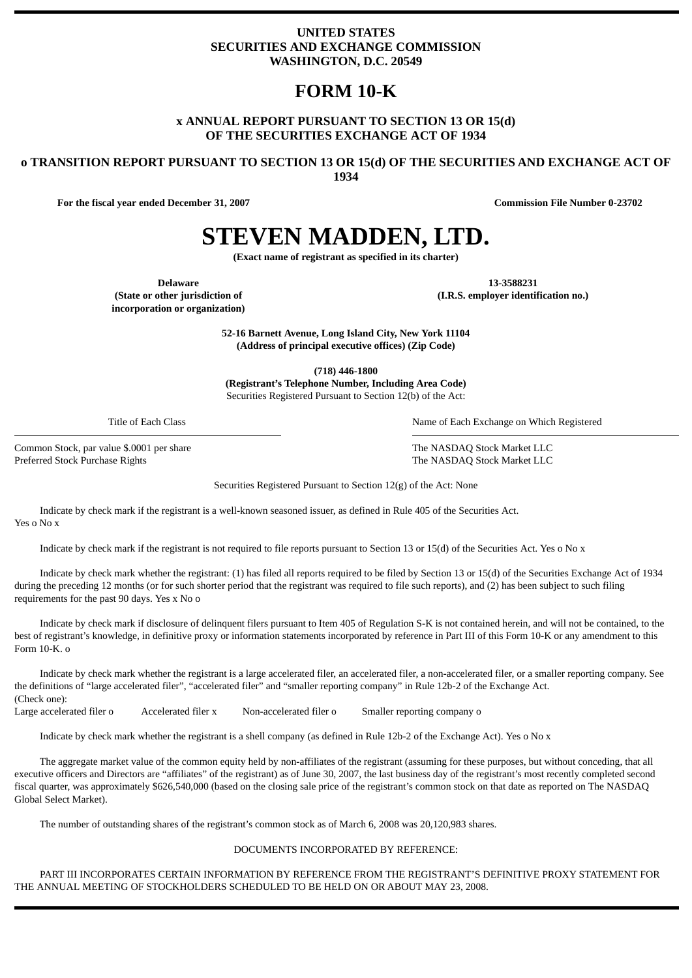## **UNITED STATES SECURITIES AND EXCHANGE COMMISSION WASHINGTON, D.C. 20549**

## **FORM 10-K**

**x ANNUAL REPORT PURSUANT TO SECTION 13 OR 15(d) OF THE SECURITIES EXCHANGE ACT OF 1934**

**o TRANSITION REPORT PURSUANT TO SECTION 13 OR 15(d) OF THE SECURITIES AND EXCHANGE ACT OF**

**1934**

**For the fiscal year ended December 31, 2007 Commission File Number 0-23702**

# **STEVEN MADDEN, LTD.**

**(Exact name of registrant as specified in its charter)**

**incorporation or organization)**

**Delaware 13-3588231 (State or other jurisdiction of (I.R.S. employer identification no.)**

> **52-16 Barnett Avenue, Long Island City, New York 11104 (Address of principal executive offices) (Zip Code)**

> > **(718) 446-1800**

**(Registrant's Telephone Number, Including Area Code)** Securities Registered Pursuant to Section 12(b) of the Act:

Common Stock, par value \$.0001 per share The NASDAQ Stock Market LLC Preferred Stock Purchase Rights The NASDAQ Stock Market LLC

Title of Each Class **Name of Each Exchange on Which Registered** Name of Each Exchange on Which Registered

Securities Registered Pursuant to Section 12(g) of the Act: None

 Indicate by check mark if the registrant is a well-known seasoned issuer, as defined in Rule 405 of the Securities Act. Yes o No x

Indicate by check mark if the registrant is not required to file reports pursuant to Section 13 or 15(d) of the Securities Act. Yes o No x

 Indicate by check mark whether the registrant: (1) has filed all reports required to be filed by Section 13 or 15(d) of the Securities Exchange Act of 1934 during the preceding 12 months (or for such shorter period that the registrant was required to file such reports), and (2) has been subject to such filing requirements for the past 90 days. Yes x No o

 Indicate by check mark if disclosure of delinquent filers pursuant to Item 405 of Regulation S-K is not contained herein, and will not be contained, to the best of registrant's knowledge, in definitive proxy or information statements incorporated by reference in Part III of this Form 10-K or any amendment to this Form 10-K. o

 Indicate by check mark whether the registrant is a large accelerated filer, an accelerated filer, a non-accelerated filer, or a smaller reporting company. See the definitions of "large accelerated filer", "accelerated filer" and "smaller reporting company" in Rule 12b-2 of the Exchange Act. (Check one):

Large accelerated filer o Accelerated filer x Non-accelerated filer o Smaller reporting company o

Indicate by check mark whether the registrant is a shell company (as defined in Rule 12b-2 of the Exchange Act). Yes o No x

 The aggregate market value of the common equity held by non-affiliates of the registrant (assuming for these purposes, but without conceding, that all executive officers and Directors are "affiliates" of the registrant) as of June 30, 2007, the last business day of the registrant's most recently completed second fiscal quarter, was approximately \$626,540,000 (based on the closing sale price of the registrant's common stock on that date as reported on The NASDAQ Global Select Market).

The number of outstanding shares of the registrant's common stock as of March 6, 2008 was 20,120,983 shares.

## DOCUMENTS INCORPORATED BY REFERENCE:

 PART III INCORPORATES CERTAIN INFORMATION BY REFERENCE FROM THE REGISTRANT'S DEFINITIVE PROXY STATEMENT FOR THE ANNUAL MEETING OF STOCKHOLDERS SCHEDULED TO BE HELD ON OR ABOUT MAY 23, 2008.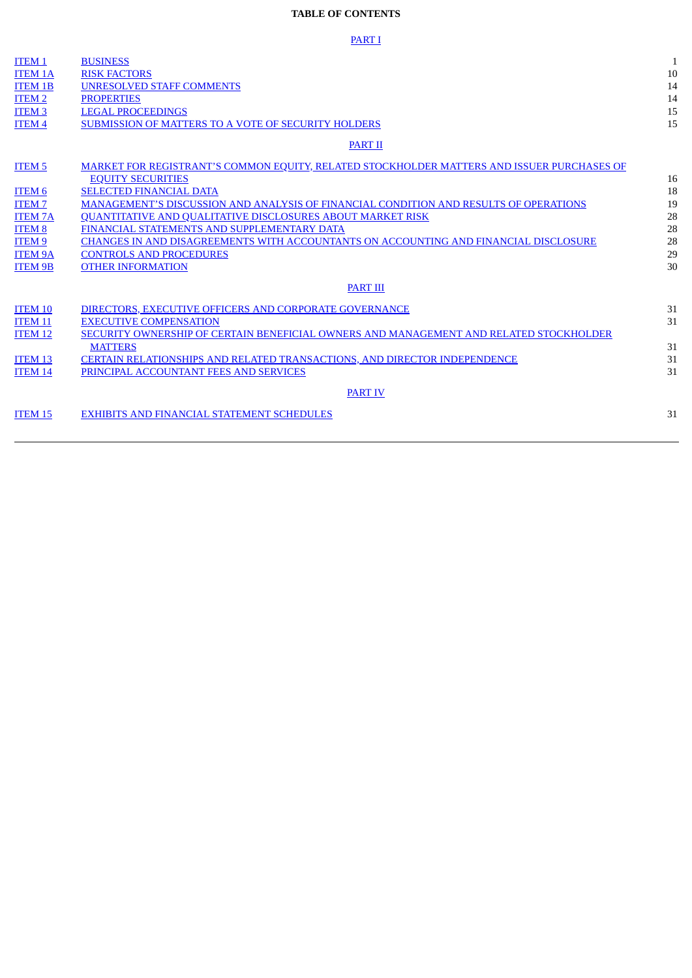## **TABLE OF CONTENTS**

| <b>ITEM1</b><br><b>ITEM 1A</b><br><b>ITEM 1B</b><br><b>ITEM 2</b><br><b>ITEM3</b><br><b>ITEM 4</b> | <b>BUSINESS</b><br><b>RISK FACTORS</b><br><b>UNRESOLVED STAFF COMMENTS</b><br><b>PROPERTIES</b><br><b>LEGAL PROCEEDINGS</b><br><b>SUBMISSION OF MATTERS TO A VOTE OF SECURITY HOLDERS</b> | $\mathbf{1}$<br>10<br>14<br>14<br>15<br>15 |
|----------------------------------------------------------------------------------------------------|-------------------------------------------------------------------------------------------------------------------------------------------------------------------------------------------|--------------------------------------------|
|                                                                                                    | <b>PART II</b>                                                                                                                                                                            |                                            |
|                                                                                                    |                                                                                                                                                                                           |                                            |
| <b>ITEM 5</b>                                                                                      | MARKET FOR REGISTRANT'S COMMON EQUITY, RELATED STOCKHOLDER MATTERS AND ISSUER PURCHASES OF                                                                                                |                                            |
|                                                                                                    | <b>EQUITY SECURITIES</b>                                                                                                                                                                  | 16                                         |
| <b>ITEM6</b>                                                                                       | <b>SELECTED FINANCIAL DATA</b>                                                                                                                                                            | 18                                         |
| <b>ITEM7</b><br><b>ITEM 7A</b>                                                                     | MANAGEMENT'S DISCUSSION AND ANALYSIS OF FINANCIAL CONDITION AND RESULTS OF OPERATIONS                                                                                                     | 19<br>28                                   |
| <b>ITEM8</b>                                                                                       | <b>QUANTITATIVE AND QUALITATIVE DISCLOSURES ABOUT MARKET RISK</b><br>FINANCIAL STATEMENTS AND SUPPLEMENTARY DATA                                                                          | 28                                         |
| <b>ITEM9</b>                                                                                       | CHANGES IN AND DISAGREEMENTS WITH ACCOUNTANTS ON ACCOUNTING AND FINANCIAL DISCLOSURE                                                                                                      | 28                                         |
| <b>ITEM 9A</b>                                                                                     | <b>CONTROLS AND PROCEDURES</b>                                                                                                                                                            | 29                                         |
| <b>ITEM 9B</b>                                                                                     | <b>OTHER INFORMATION</b>                                                                                                                                                                  | 30                                         |
|                                                                                                    |                                                                                                                                                                                           |                                            |
|                                                                                                    | <b>PART III</b>                                                                                                                                                                           |                                            |
| <b>ITEM 10</b>                                                                                     | DIRECTORS, EXECUTIVE OFFICERS AND CORPORATE GOVERNANCE                                                                                                                                    | 31                                         |
| <b>ITEM 11</b>                                                                                     | <b>EXECUTIVE COMPENSATION</b>                                                                                                                                                             | 31                                         |
| <b>ITEM 12</b>                                                                                     | SECURITY OWNERSHIP OF CERTAIN BENEFICIAL OWNERS AND MANAGEMENT AND RELATED STOCKHOLDER<br><b>MATTERS</b>                                                                                  | 31                                         |
| <b>ITEM 13</b>                                                                                     | <b>CERTAIN RELATIONSHIPS AND RELATED TRANSACTIONS, AND DIRECTOR INDEPENDENCE</b>                                                                                                          | 31                                         |
| <b>ITEM 14</b>                                                                                     | PRINCIPAL ACCOUNTANT FEES AND SERVICES                                                                                                                                                    | 31                                         |
|                                                                                                    | <b>PART IV</b>                                                                                                                                                                            |                                            |
| <b>ITEM 15</b>                                                                                     | <b>EXHIBITS AND FINANCIAL STATEMENT SCHEDULES</b>                                                                                                                                         | 31                                         |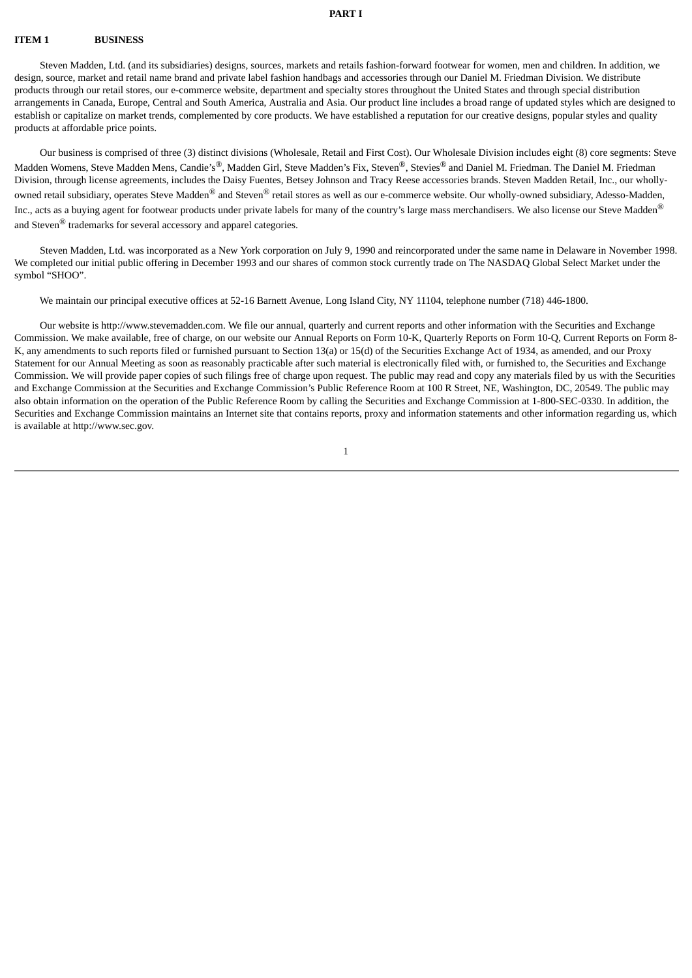#### **PART I**

#### <span id="page-2-1"></span><span id="page-2-0"></span>**ITEM 1 BUSINESS**

 Steven Madden, Ltd. (and its subsidiaries) designs, sources, markets and retails fashion-forward footwear for women, men and children. In addition, we design, source, market and retail name brand and private label fashion handbags and accessories through our Daniel M. Friedman Division. We distribute products through our retail stores, our e-commerce website, department and specialty stores throughout the United States and through special distribution arrangements in Canada, Europe, Central and South America, Australia and Asia. Our product line includes a broad range of updated styles which are designed to establish or capitalize on market trends, complemented by core products. We have established a reputation for our creative designs, popular styles and quality products at affordable price points.

 Our business is comprised of three (3) distinct divisions (Wholesale, Retail and First Cost). Our Wholesale Division includes eight (8) core segments: Steve Madden Womens, Steve Madden Mens, Candie's®, Madden Girl, Steve Madden's Fix, Steven®, Stevies® and Daniel M. Friedman. The Daniel M. Friedman Division, through license agreements, includes the Daisy Fuentes, Betsey Johnson and Tracy Reese accessories brands. Steven Madden Retail, Inc., our whollyowned retail subsidiary, operates Steve Madden<sup>®</sup> and Steven<sup>®</sup> retail stores as well as our e-commerce website. Our wholly-owned subsidiary, Adesso-Madden, Inc., acts as a buying agent for footwear products under private labels for many of the country's large mass merchandisers. We also license our Steve Madden<sup>®</sup> and Steven® trademarks for several accessory and apparel categories.

 Steven Madden, Ltd. was incorporated as a New York corporation on July 9, 1990 and reincorporated under the same name in Delaware in November 1998. We completed our initial public offering in December 1993 and our shares of common stock currently trade on The NASDAQ Global Select Market under the symbol "SHOO".

We maintain our principal executive offices at 52-16 Barnett Avenue, Long Island City, NY 11104, telephone number (718) 446-1800.

 Our website is http://www.stevemadden.com. We file our annual, quarterly and current reports and other information with the Securities and Exchange Commission. We make available, free of charge, on our website our Annual Reports on Form 10-K, Quarterly Reports on Form 10-Q, Current Reports on Form 8- K, any amendments to such reports filed or furnished pursuant to Section 13(a) or 15(d) of the Securities Exchange Act of 1934, as amended, and our Proxy Statement for our Annual Meeting as soon as reasonably practicable after such material is electronically filed with, or furnished to, the Securities and Exchange Commission. We will provide paper copies of such filings free of charge upon request. The public may read and copy any materials filed by us with the Securities and Exchange Commission at the Securities and Exchange Commission's Public Reference Room at 100 R Street, NE, Washington, DC, 20549. The public may also obtain information on the operation of the Public Reference Room by calling the Securities and Exchange Commission at 1-800-SEC-0330. In addition, the Securities and Exchange Commission maintains an Internet site that contains reports, proxy and information statements and other information regarding us, which is available at http://www.sec.gov.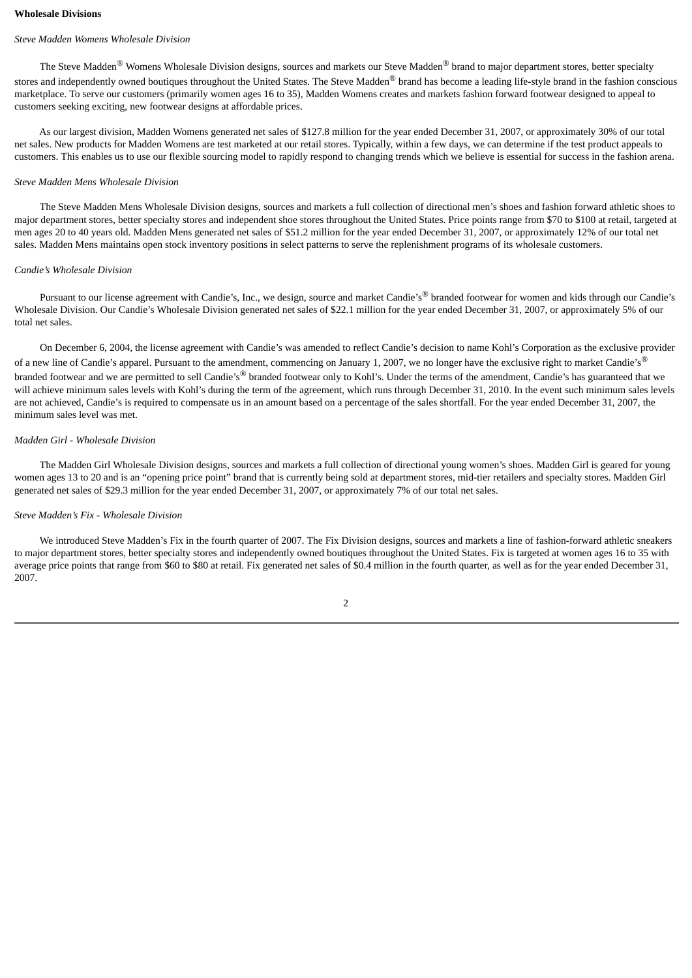#### **Wholesale Divisions**

## *Steve Madden Womens Wholesale Division*

The Steve Madden<sup>®</sup> Womens Wholesale Division designs, sources and markets our Steve Madden<sup>®</sup> brand to major department stores, better specialty stores and independently owned boutiques throughout the United States. The Steve Madden<sup>®</sup> brand has become a leading life-style brand in the fashion conscious marketplace. To serve our customers (primarily women ages 16 to 35), Madden Womens creates and markets fashion forward footwear designed to appeal to customers seeking exciting, new footwear designs at affordable prices.

 As our largest division, Madden Womens generated net sales of \$127.8 million for the year ended December 31, 2007, or approximately 30% of our total net sales. New products for Madden Womens are test marketed at our retail stores. Typically, within a few days, we can determine if the test product appeals to customers. This enables us to use our flexible sourcing model to rapidly respond to changing trends which we believe is essential for success in the fashion arena.

## *Steve Madden Mens Wholesale Division*

 The Steve Madden Mens Wholesale Division designs, sources and markets a full collection of directional men's shoes and fashion forward athletic shoes to major department stores, better specialty stores and independent shoe stores throughout the United States. Price points range from \$70 to \$100 at retail, targeted at men ages 20 to 40 years old. Madden Mens generated net sales of \$51.2 million for the year ended December 31, 2007, or approximately 12% of our total net sales. Madden Mens maintains open stock inventory positions in select patterns to serve the replenishment programs of its wholesale customers.

## *Candie's Wholesale Division*

Pursuant to our license agreement with Candie's, Inc., we design, source and market Candie's<sup>®</sup> branded footwear for women and kids through our Candie's Wholesale Division. Our Candie's Wholesale Division generated net sales of \$22.1 million for the year ended December 31, 2007, or approximately 5% of our total net sales.

 On December 6, 2004, the license agreement with Candie's was amended to reflect Candie's decision to name Kohl's Corporation as the exclusive provider of a new line of Candie's apparel. Pursuant to the amendment, commencing on January 1, 2007, we no longer have the exclusive right to market Candie's<sup>®</sup> branded footwear and we are permitted to sell Candie's<sup>®</sup> branded footwear only to Kohl's. Under the terms of the amendment, Candie's has guaranteed that we will achieve minimum sales levels with Kohl's during the term of the agreement, which runs through December 31, 2010. In the event such minimum sales levels are not achieved, Candie's is required to compensate us in an amount based on a percentage of the sales shortfall. For the year ended December 31, 2007, the minimum sales level was met.

#### *Madden Girl - Wholesale Division*

 The Madden Girl Wholesale Division designs, sources and markets a full collection of directional young women's shoes. Madden Girl is geared for young women ages 13 to 20 and is an "opening price point" brand that is currently being sold at department stores, mid-tier retailers and specialty stores. Madden Girl generated net sales of \$29.3 million for the year ended December 31, 2007, or approximately 7% of our total net sales.

#### *Steve Madden's Fix - Wholesale Division*

 We introduced Steve Madden's Fix in the fourth quarter of 2007. The Fix Division designs, sources and markets a line of fashion-forward athletic sneakers to major department stores, better specialty stores and independently owned boutiques throughout the United States. Fix is targeted at women ages 16 to 35 with average price points that range from \$60 to \$80 at retail. Fix generated net sales of \$0.4 million in the fourth quarter, as well as for the year ended December 31, 2007.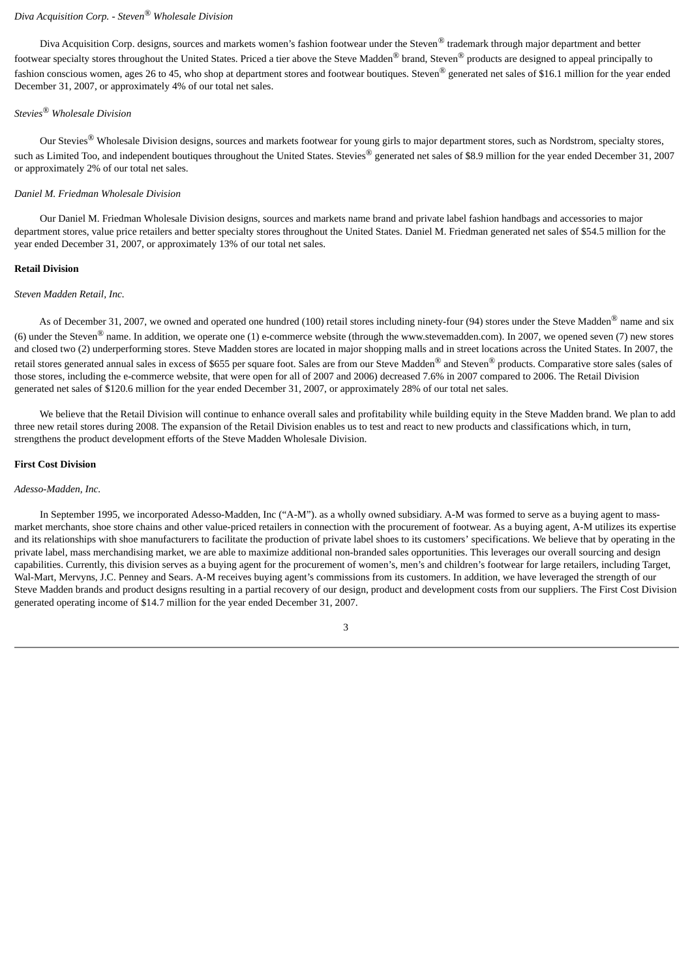## *Diva Acquisition Corp. - Steven® Wholesale Division*

Diva Acquisition Corp. designs, sources and markets women's fashion footwear under the Steven<sup>®</sup> trademark through major department and better footwear specialty stores throughout the United States. Priced a tier above the Steve Madden<sup>®</sup> brand, Steven<sup>®</sup> products are designed to appeal principally to fashion conscious women, ages 26 to 45, who shop at department stores and footwear boutiques. Steven<sup>®</sup> generated net sales of \$16.1 million for the year ended December 31, 2007, or approximately 4% of our total net sales.

## *Stevies*® *Wholesale Division*

Our Stevies<sup>®</sup> Wholesale Division designs, sources and markets footwear for young girls to major department stores, such as Nordstrom, specialty stores, such as Limited Too, and independent boutiques throughout the United States. Stevies® generated net sales of \$8.9 million for the year ended December 31, 2007 or approximately 2% of our total net sales.

#### *Daniel M. Friedman Wholesale Division*

 Our Daniel M. Friedman Wholesale Division designs, sources and markets name brand and private label fashion handbags and accessories to major department stores, value price retailers and better specialty stores throughout the United States. Daniel M. Friedman generated net sales of \$54.5 million for the year ended December 31, 2007, or approximately 13% of our total net sales.

#### **Retail Division**

#### *Steven Madden Retail, Inc.*

As of December 31, 2007, we owned and operated one hundred (100) retail stores including ninety-four (94) stores under the Steve Madden<sup>®</sup> name and six (6) under the Steven<sup>®</sup> name. In addition, we operate one (1) e-commerce website (through the www.stevemadden.com). In 2007, we opened seven (7) new stores and closed two (2) underperforming stores. Steve Madden stores are located in major shopping malls and in street locations across the United States. In 2007, the retail stores generated annual sales in excess of \$655 per square foot. Sales are from our Steve Madden<sup>®</sup> and Steven<sup>®</sup> products. Comparative store sales (sales of those stores, including the e-commerce website, that were open for all of 2007 and 2006) decreased 7.6% in 2007 compared to 2006. The Retail Division generated net sales of \$120.6 million for the year ended December 31, 2007, or approximately 28% of our total net sales.

 We believe that the Retail Division will continue to enhance overall sales and profitability while building equity in the Steve Madden brand. We plan to add three new retail stores during 2008. The expansion of the Retail Division enables us to test and react to new products and classifications which, in turn, strengthens the product development efforts of the Steve Madden Wholesale Division.

#### **First Cost Division**

#### *Adesso-Madden, Inc.*

 In September 1995, we incorporated Adesso-Madden, Inc ("A-M"). as a wholly owned subsidiary. A-M was formed to serve as a buying agent to massmarket merchants, shoe store chains and other value-priced retailers in connection with the procurement of footwear. As a buying agent, A-M utilizes its expertise and its relationships with shoe manufacturers to facilitate the production of private label shoes to its customers' specifications. We believe that by operating in the private label, mass merchandising market, we are able to maximize additional non-branded sales opportunities. This leverages our overall sourcing and design capabilities. Currently, this division serves as a buying agent for the procurement of women's, men's and children's footwear for large retailers, including Target, Wal-Mart, Mervyns, J.C. Penney and Sears. A-M receives buying agent's commissions from its customers. In addition, we have leveraged the strength of our Steve Madden brands and product designs resulting in a partial recovery of our design, product and development costs from our suppliers. The First Cost Division generated operating income of \$14.7 million for the year ended December 31, 2007.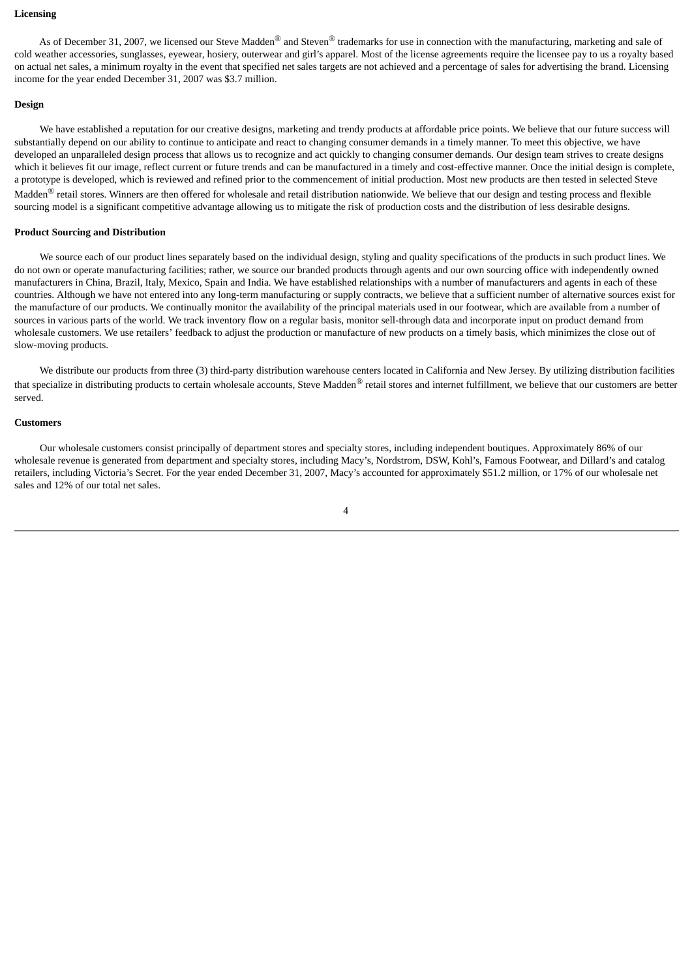#### **Licensing**

As of December 31, 2007, we licensed our Steve Madden<sup>®</sup> and Steven<sup>®</sup> trademarks for use in connection with the manufacturing, marketing and sale of cold weather accessories, sunglasses, eyewear, hosiery, outerwear and girl's apparel. Most of the license agreements require the licensee pay to us a royalty based on actual net sales, a minimum royalty in the event that specified net sales targets are not achieved and a percentage of sales for advertising the brand. Licensing income for the year ended December 31, 2007 was \$3.7 million.

#### **Design**

 We have established a reputation for our creative designs, marketing and trendy products at affordable price points. We believe that our future success will substantially depend on our ability to continue to anticipate and react to changing consumer demands in a timely manner. To meet this objective, we have developed an unparalleled design process that allows us to recognize and act quickly to changing consumer demands. Our design team strives to create designs which it believes fit our image, reflect current or future trends and can be manufactured in a timely and cost-effective manner. Once the initial design is complete, a prototype is developed, which is reviewed and refined prior to the commencement of initial production. Most new products are then tested in selected Steve Madden<sup>®</sup> retail stores. Winners are then offered for wholesale and retail distribution nationwide. We believe that our design and testing process and flexible sourcing model is a significant competitive advantage allowing us to mitigate the risk of production costs and the distribution of less desirable designs.

#### **Product Sourcing and Distribution**

 We source each of our product lines separately based on the individual design, styling and quality specifications of the products in such product lines. We do not own or operate manufacturing facilities; rather, we source our branded products through agents and our own sourcing office with independently owned manufacturers in China, Brazil, Italy, Mexico, Spain and India. We have established relationships with a number of manufacturers and agents in each of these countries. Although we have not entered into any long-term manufacturing or supply contracts, we believe that a sufficient number of alternative sources exist for the manufacture of our products. We continually monitor the availability of the principal materials used in our footwear, which are available from a number of sources in various parts of the world. We track inventory flow on a regular basis, monitor sell-through data and incorporate input on product demand from wholesale customers. We use retailers' feedback to adjust the production or manufacture of new products on a timely basis, which minimizes the close out of slow-moving products.

 We distribute our products from three (3) third-party distribution warehouse centers located in California and New Jersey. By utilizing distribution facilities that specialize in distributing products to certain wholesale accounts, Steve Madden<sup>®</sup> retail stores and internet fulfillment, we believe that our customers are better served.

#### **Customers**

 Our wholesale customers consist principally of department stores and specialty stores, including independent boutiques. Approximately 86% of our wholesale revenue is generated from department and specialty stores, including Macy's, Nordstrom, DSW, Kohl's, Famous Footwear, and Dillard's and catalog retailers, including Victoria's Secret. For the year ended December 31, 2007, Macy's accounted for approximately \$51.2 million, or 17% of our wholesale net sales and 12% of our total net sales.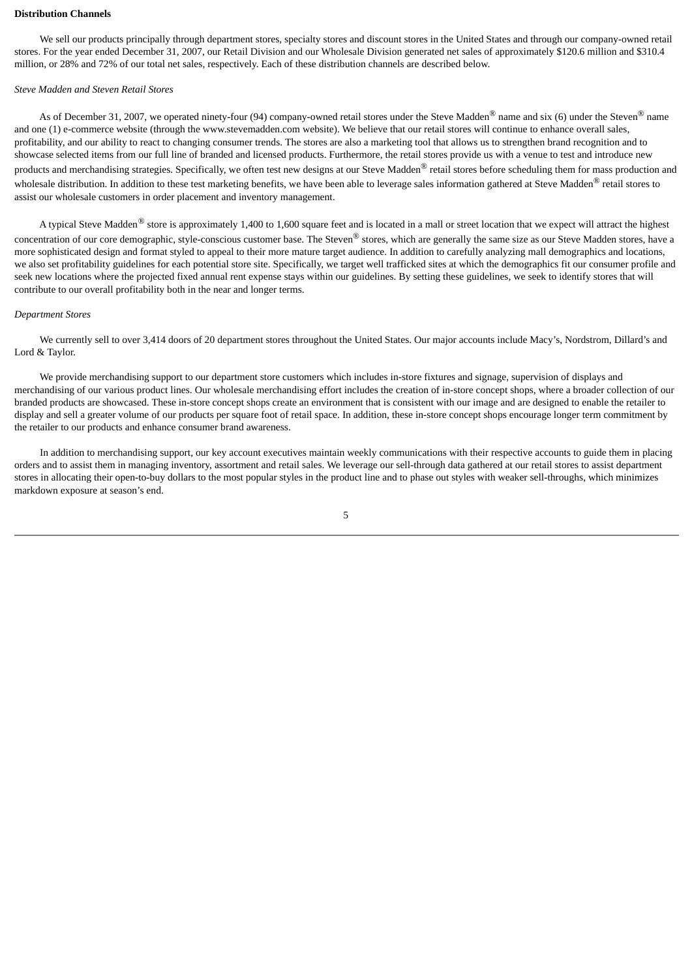#### **Distribution Channels**

 We sell our products principally through department stores, specialty stores and discount stores in the United States and through our company-owned retail stores. For the year ended December 31, 2007, our Retail Division and our Wholesale Division generated net sales of approximately \$120.6 million and \$310.4 million, or 28% and 72% of our total net sales, respectively. Each of these distribution channels are described below.

#### *Steve Madden and Steven Retail Stores*

As of December 31, 2007, we operated ninety-four (94) company-owned retail stores under the Steve Madden<sup>®</sup> name and six (6) under the Steven<sup>®</sup> name and one (1) e-commerce website (through the www.stevemadden.com website). We believe that our retail stores will continue to enhance overall sales, profitability, and our ability to react to changing consumer trends. The stores are also a marketing tool that allows us to strengthen brand recognition and to showcase selected items from our full line of branded and licensed products. Furthermore, the retail stores provide us with a venue to test and introduce new products and merchandising strategies. Specifically, we often test new designs at our Steve Madden<sup>®</sup> retail stores before scheduling them for mass production and wholesale distribution. In addition to these test marketing benefits, we have been able to leverage sales information gathered at Steve Madden<sup>®</sup> retail stores to assist our wholesale customers in order placement and inventory management.

A typical Steve Madden<sup>®</sup> store is approximately 1,400 to 1,600 square feet and is located in a mall or street location that we expect will attract the highest concentration of our core demographic, style-conscious customer base. The Steven® stores, which are generally the same size as our Steve Madden stores, have a more sophisticated design and format styled to appeal to their more mature target audience. In addition to carefully analyzing mall demographics and locations, we also set profitability guidelines for each potential store site. Specifically, we target well trafficked sites at which the demographics fit our consumer profile and seek new locations where the projected fixed annual rent expense stays within our guidelines. By setting these guidelines, we seek to identify stores that will contribute to our overall profitability both in the near and longer terms.

#### *Department Stores*

 We currently sell to over 3,414 doors of 20 department stores throughout the United States. Our major accounts include Macy's, Nordstrom, Dillard's and Lord & Taylor.

 We provide merchandising support to our department store customers which includes in-store fixtures and signage, supervision of displays and merchandising of our various product lines. Our wholesale merchandising effort includes the creation of in-store concept shops, where a broader collection of our branded products are showcased. These in-store concept shops create an environment that is consistent with our image and are designed to enable the retailer to display and sell a greater volume of our products per square foot of retail space. In addition, these in-store concept shops encourage longer term commitment by the retailer to our products and enhance consumer brand awareness.

 In addition to merchandising support, our key account executives maintain weekly communications with their respective accounts to guide them in placing orders and to assist them in managing inventory, assortment and retail sales. We leverage our sell-through data gathered at our retail stores to assist department stores in allocating their open-to-buy dollars to the most popular styles in the product line and to phase out styles with weaker sell-throughs, which minimizes markdown exposure at season's end.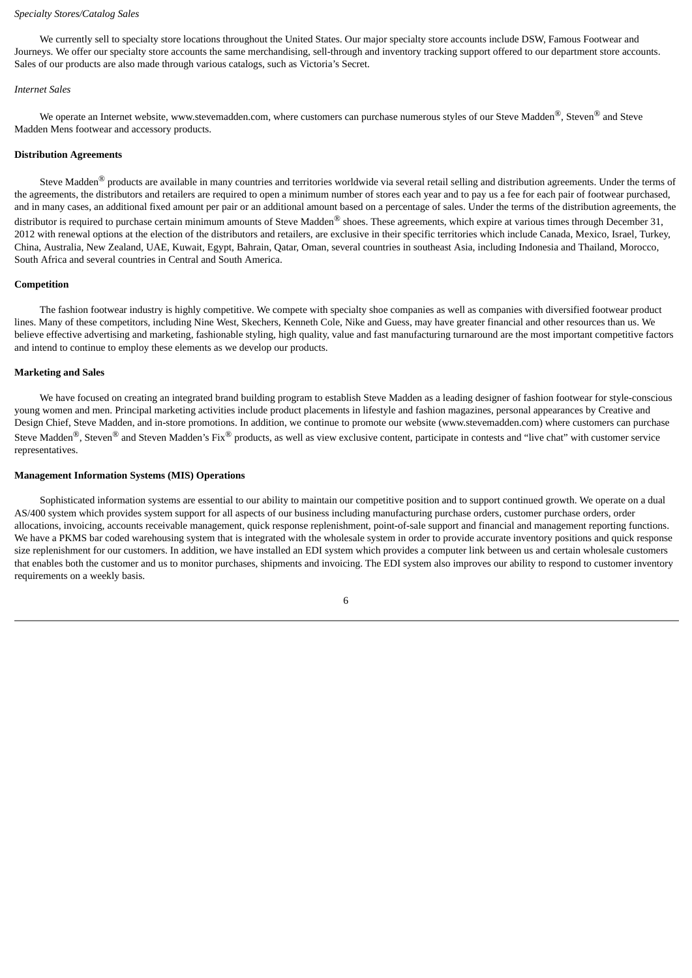#### *Specialty Stores/Catalog Sales*

 We currently sell to specialty store locations throughout the United States. Our major specialty store accounts include DSW, Famous Footwear and Journeys. We offer our specialty store accounts the same merchandising, sell-through and inventory tracking support offered to our department store accounts. Sales of our products are also made through various catalogs, such as Victoria's Secret.

#### *Internet Sales*

We operate an Internet website, www.stevemadden.com, where customers can purchase numerous styles of our Steve Madden®, Steven<sup>®</sup> and Steve Madden Mens footwear and accessory products.

#### **Distribution Agreements**

Steve Madden<sup>®</sup> products are available in many countries and territories worldwide via several retail selling and distribution agreements. Under the terms of the agreements, the distributors and retailers are required to open a minimum number of stores each year and to pay us a fee for each pair of footwear purchased, and in many cases, an additional fixed amount per pair or an additional amount based on a percentage of sales. Under the terms of the distribution agreements, the distributor is required to purchase certain minimum amounts of Steve Madden® shoes. These agreements, which expire at various times through December 31, 2012 with renewal options at the election of the distributors and retailers, are exclusive in their specific territories which include Canada, Mexico, Israel, Turkey, China, Australia, New Zealand, UAE, Kuwait, Egypt, Bahrain, Qatar, Oman, several countries in southeast Asia, including Indonesia and Thailand, Morocco, South Africa and several countries in Central and South America.

#### **Competition**

 The fashion footwear industry is highly competitive. We compete with specialty shoe companies as well as companies with diversified footwear product lines. Many of these competitors, including Nine West, Skechers, Kenneth Cole, Nike and Guess, may have greater financial and other resources than us. We believe effective advertising and marketing, fashionable styling, high quality, value and fast manufacturing turnaround are the most important competitive factors and intend to continue to employ these elements as we develop our products.

#### **Marketing and Sales**

 We have focused on creating an integrated brand building program to establish Steve Madden as a leading designer of fashion footwear for style-conscious young women and men. Principal marketing activities include product placements in lifestyle and fashion magazines, personal appearances by Creative and Design Chief, Steve Madden, and in-store promotions. In addition, we continue to promote our website (www.stevemadden.com) where customers can purchase Steve Madden<sup>®</sup>, Steven<sup>®</sup> and Steven Madden's Fix<sup>®</sup> products, as well as view exclusive content, participate in contests and "live chat" with customer service representatives.

#### **Management Information Systems (MIS) Operations**

 Sophisticated information systems are essential to our ability to maintain our competitive position and to support continued growth. We operate on a dual AS/400 system which provides system support for all aspects of our business including manufacturing purchase orders, customer purchase orders, order allocations, invoicing, accounts receivable management, quick response replenishment, point-of-sale support and financial and management reporting functions. We have a PKMS bar coded warehousing system that is integrated with the wholesale system in order to provide accurate inventory positions and quick response size replenishment for our customers. In addition, we have installed an EDI system which provides a computer link between us and certain wholesale customers that enables both the customer and us to monitor purchases, shipments and invoicing. The EDI system also improves our ability to respond to customer inventory requirements on a weekly basis.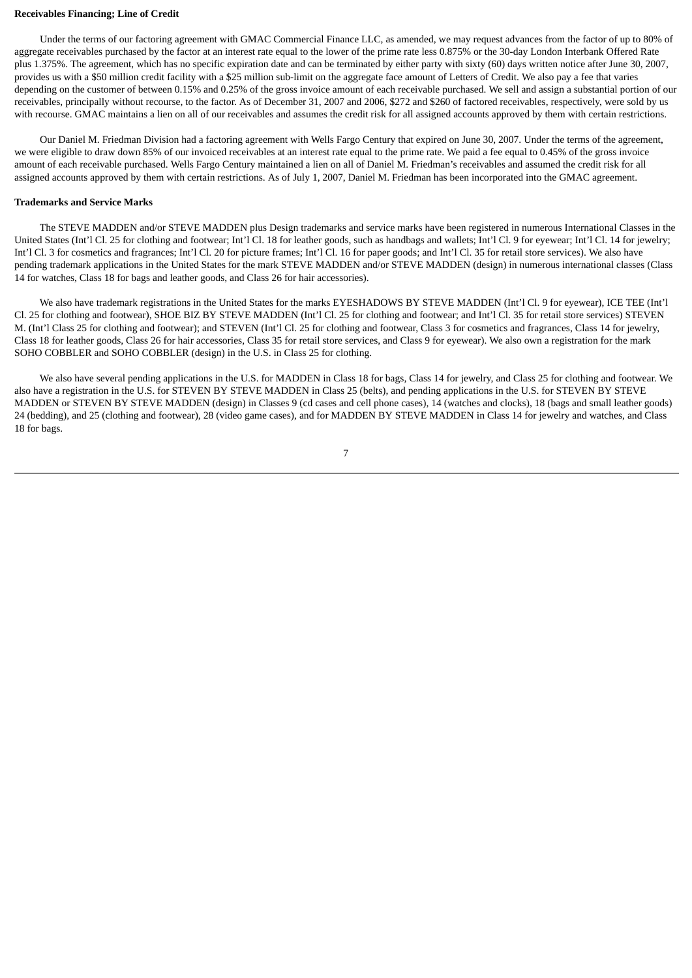#### **Receivables Financing; Line of Credit**

 Under the terms of our factoring agreement with GMAC Commercial Finance LLC, as amended, we may request advances from the factor of up to 80% of aggregate receivables purchased by the factor at an interest rate equal to the lower of the prime rate less 0.875% or the 30-day London Interbank Offered Rate plus 1.375%. The agreement, which has no specific expiration date and can be terminated by either party with sixty (60) days written notice after June 30, 2007, provides us with a \$50 million credit facility with a \$25 million sub-limit on the aggregate face amount of Letters of Credit. We also pay a fee that varies depending on the customer of between 0.15% and 0.25% of the gross invoice amount of each receivable purchased. We sell and assign a substantial portion of our receivables, principally without recourse, to the factor. As of December 31, 2007 and 2006, \$272 and \$260 of factored receivables, respectively, were sold by us with recourse. GMAC maintains a lien on all of our receivables and assumes the credit risk for all assigned accounts approved by them with certain restrictions.

 Our Daniel M. Friedman Division had a factoring agreement with Wells Fargo Century that expired on June 30, 2007. Under the terms of the agreement, we were eligible to draw down 85% of our invoiced receivables at an interest rate equal to the prime rate. We paid a fee equal to 0.45% of the gross invoice amount of each receivable purchased. Wells Fargo Century maintained a lien on all of Daniel M. Friedman's receivables and assumed the credit risk for all assigned accounts approved by them with certain restrictions. As of July 1, 2007, Daniel M. Friedman has been incorporated into the GMAC agreement.

#### **Trademarks and Service Marks**

 The STEVE MADDEN and/or STEVE MADDEN plus Design trademarks and service marks have been registered in numerous International Classes in the United States (Int'l Cl. 25 for clothing and footwear; Int'l Cl. 18 for leather goods, such as handbags and wallets; Int'l Cl. 9 for eyewear; Int'l Cl. 14 for jewelry; Int'l Cl. 3 for cosmetics and fragrances; Int'l Cl. 20 for picture frames; Int'l Cl. 16 for paper goods; and Int'l Cl. 35 for retail store services). We also have pending trademark applications in the United States for the mark STEVE MADDEN and/or STEVE MADDEN (design) in numerous international classes (Class 14 for watches, Class 18 for bags and leather goods, and Class 26 for hair accessories).

 We also have trademark registrations in the United States for the marks EYESHADOWS BY STEVE MADDEN (Int'l Cl. 9 for eyewear), ICE TEE (Int'l Cl. 25 for clothing and footwear), SHOE BIZ BY STEVE MADDEN (Int'l Cl. 25 for clothing and footwear; and Int'l Cl. 35 for retail store services) STEVEN M. (Int'l Class 25 for clothing and footwear); and STEVEN (Int'l Cl. 25 for clothing and footwear, Class 3 for cosmetics and fragrances, Class 14 for jewelry, Class 18 for leather goods, Class 26 for hair accessories, Class 35 for retail store services, and Class 9 for eyewear). We also own a registration for the mark SOHO COBBLER and SOHO COBBLER (design) in the U.S. in Class 25 for clothing.

 We also have several pending applications in the U.S. for MADDEN in Class 18 for bags, Class 14 for jewelry, and Class 25 for clothing and footwear. We also have a registration in the U.S. for STEVEN BY STEVE MADDEN in Class 25 (belts), and pending applications in the U.S. for STEVEN BY STEVE MADDEN or STEVEN BY STEVE MADDEN (design) in Classes 9 (cd cases and cell phone cases), 14 (watches and clocks), 18 (bags and small leather goods) 24 (bedding), and 25 (clothing and footwear), 28 (video game cases), and for MADDEN BY STEVE MADDEN in Class 14 for jewelry and watches, and Class 18 for bags.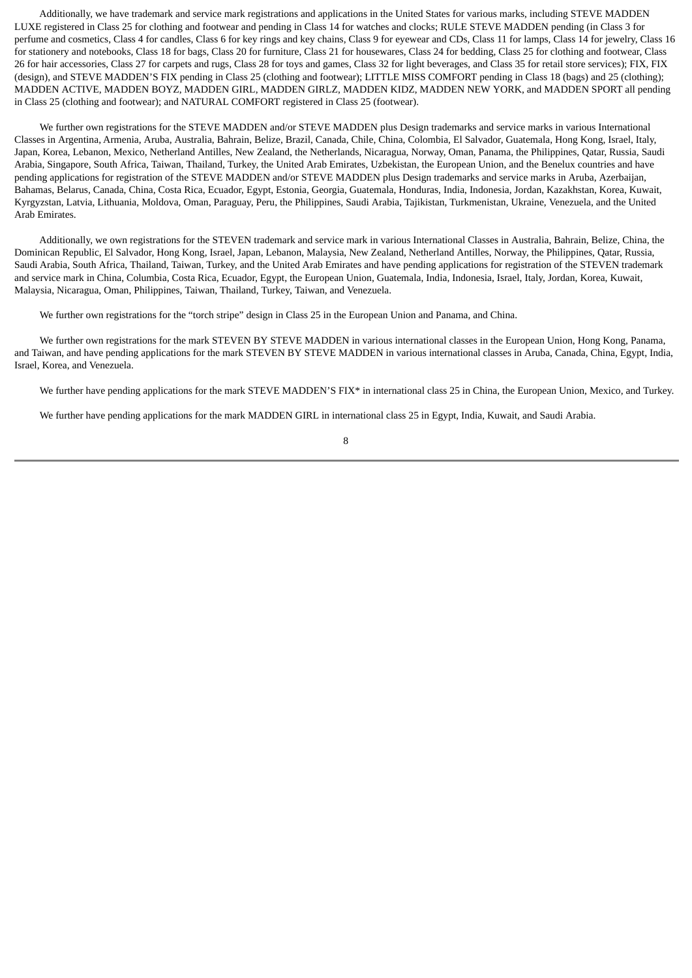Additionally, we have trademark and service mark registrations and applications in the United States for various marks, including STEVE MADDEN LUXE registered in Class 25 for clothing and footwear and pending in Class 14 for watches and clocks; RULE STEVE MADDEN pending (in Class 3 for perfume and cosmetics, Class 4 for candles, Class 6 for key rings and key chains, Class 9 for eyewear and CDs, Class 11 for lamps, Class 14 for jewelry, Class 16 for stationery and notebooks, Class 18 for bags, Class 20 for furniture, Class 21 for housewares, Class 24 for bedding, Class 25 for clothing and footwear, Class 26 for hair accessories, Class 27 for carpets and rugs, Class 28 for toys and games, Class 32 for light beverages, and Class 35 for retail store services); FIX, FIX (design), and STEVE MADDEN'S FIX pending in Class 25 (clothing and footwear); LITTLE MISS COMFORT pending in Class 18 (bags) and 25 (clothing); MADDEN ACTIVE, MADDEN BOYZ, MADDEN GIRL, MADDEN GIRLZ, MADDEN KIDZ, MADDEN NEW YORK, and MADDEN SPORT all pending in Class 25 (clothing and footwear); and NATURAL COMFORT registered in Class 25 (footwear).

 We further own registrations for the STEVE MADDEN and/or STEVE MADDEN plus Design trademarks and service marks in various International Classes in Argentina, Armenia, Aruba, Australia, Bahrain, Belize, Brazil, Canada, Chile, China, Colombia, El Salvador, Guatemala, Hong Kong, Israel, Italy, Japan, Korea, Lebanon, Mexico, Netherland Antilles, New Zealand, the Netherlands, Nicaragua, Norway, Oman, Panama, the Philippines, Qatar, Russia, Saudi Arabia, Singapore, South Africa, Taiwan, Thailand, Turkey, the United Arab Emirates, Uzbekistan, the European Union, and the Benelux countries and have pending applications for registration of the STEVE MADDEN and/or STEVE MADDEN plus Design trademarks and service marks in Aruba, Azerbaijan, Bahamas, Belarus, Canada, China, Costa Rica, Ecuador, Egypt, Estonia, Georgia, Guatemala, Honduras, India, Indonesia, Jordan, Kazakhstan, Korea, Kuwait, Kyrgyzstan, Latvia, Lithuania, Moldova, Oman, Paraguay, Peru, the Philippines, Saudi Arabia, Tajikistan, Turkmenistan, Ukraine, Venezuela, and the United Arab Emirates.

 Additionally, we own registrations for the STEVEN trademark and service mark in various International Classes in Australia, Bahrain, Belize, China, the Dominican Republic, El Salvador, Hong Kong, Israel, Japan, Lebanon, Malaysia, New Zealand, Netherland Antilles, Norway, the Philippines, Qatar, Russia, Saudi Arabia, South Africa, Thailand, Taiwan, Turkey, and the United Arab Emirates and have pending applications for registration of the STEVEN trademark and service mark in China, Columbia, Costa Rica, Ecuador, Egypt, the European Union, Guatemala, India, Indonesia, Israel, Italy, Jordan, Korea, Kuwait, Malaysia, Nicaragua, Oman, Philippines, Taiwan, Thailand, Turkey, Taiwan, and Venezuela.

We further own registrations for the "torch stripe" design in Class 25 in the European Union and Panama, and China.

We further own registrations for the mark STEVEN BY STEVE MADDEN in various international classes in the European Union, Hong Kong, Panama, and Taiwan, and have pending applications for the mark STEVEN BY STEVE MADDEN in various international classes in Aruba, Canada, China, Egypt, India, Israel, Korea, and Venezuela.

We further have pending applications for the mark STEVE MADDEN'S FIX\* in international class 25 in China, the European Union, Mexico, and Turkey.

We further have pending applications for the mark MADDEN GIRL in international class 25 in Egypt, India, Kuwait, and Saudi Arabia.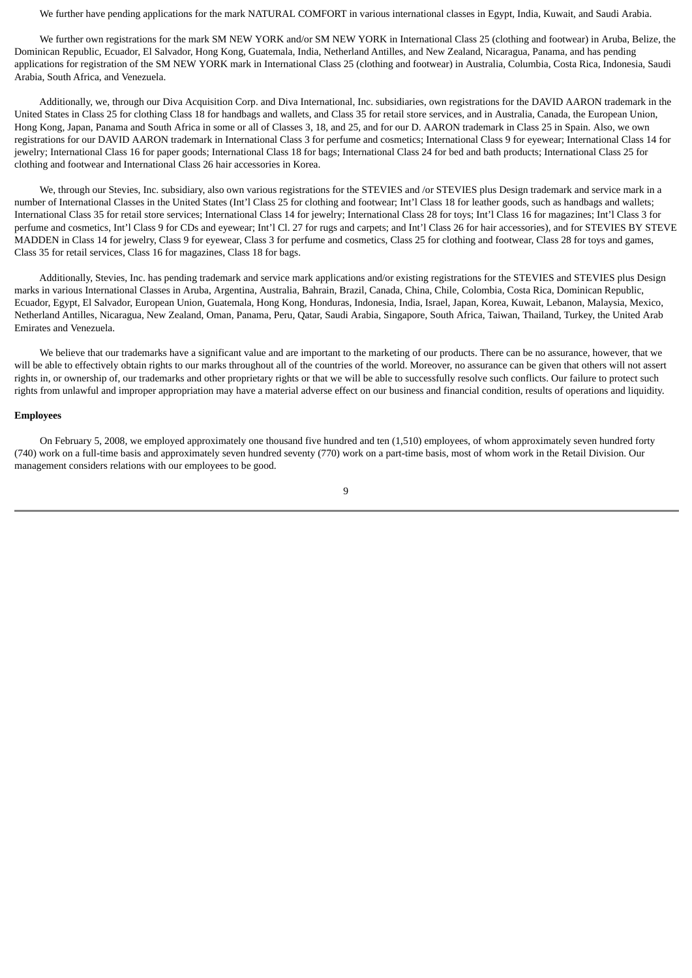We further have pending applications for the mark NATURAL COMFORT in various international classes in Egypt, India, Kuwait, and Saudi Arabia.

 We further own registrations for the mark SM NEW YORK and/or SM NEW YORK in International Class 25 (clothing and footwear) in Aruba, Belize, the Dominican Republic, Ecuador, El Salvador, Hong Kong, Guatemala, India, Netherland Antilles, and New Zealand, Nicaragua, Panama, and has pending applications for registration of the SM NEW YORK mark in International Class 25 (clothing and footwear) in Australia, Columbia, Costa Rica, Indonesia, Saudi Arabia, South Africa, and Venezuela.

 Additionally, we, through our Diva Acquisition Corp. and Diva International, Inc. subsidiaries, own registrations for the DAVID AARON trademark in the United States in Class 25 for clothing Class 18 for handbags and wallets, and Class 35 for retail store services, and in Australia, Canada, the European Union, Hong Kong, Japan, Panama and South Africa in some or all of Classes 3, 18, and 25, and for our D. AARON trademark in Class 25 in Spain. Also, we own registrations for our DAVID AARON trademark in International Class 3 for perfume and cosmetics; International Class 9 for eyewear; International Class 14 for jewelry; International Class 16 for paper goods; International Class 18 for bags; International Class 24 for bed and bath products; International Class 25 for clothing and footwear and International Class 26 hair accessories in Korea.

 We, through our Stevies, Inc. subsidiary, also own various registrations for the STEVIES and /or STEVIES plus Design trademark and service mark in a number of International Classes in the United States (Int'l Class 25 for clothing and footwear; Int'l Class 18 for leather goods, such as handbags and wallets; International Class 35 for retail store services; International Class 14 for jewelry; International Class 28 for toys; Int'l Class 16 for magazines; Int'l Class 3 for perfume and cosmetics, Int'l Class 9 for CDs and eyewear; Int'l Cl. 27 for rugs and carpets; and Int'l Class 26 for hair accessories), and for STEVIES BY STEVE MADDEN in Class 14 for jewelry, Class 9 for eyewear, Class 3 for perfume and cosmetics, Class 25 for clothing and footwear, Class 28 for toys and games, Class 35 for retail services, Class 16 for magazines, Class 18 for bags.

 Additionally, Stevies, Inc. has pending trademark and service mark applications and/or existing registrations for the STEVIES and STEVIES plus Design marks in various International Classes in Aruba, Argentina, Australia, Bahrain, Brazil, Canada, China, Chile, Colombia, Costa Rica, Dominican Republic, Ecuador, Egypt, El Salvador, European Union, Guatemala, Hong Kong, Honduras, Indonesia, India, Israel, Japan, Korea, Kuwait, Lebanon, Malaysia, Mexico, Netherland Antilles, Nicaragua, New Zealand, Oman, Panama, Peru, Qatar, Saudi Arabia, Singapore, South Africa, Taiwan, Thailand, Turkey, the United Arab Emirates and Venezuela.

 We believe that our trademarks have a significant value and are important to the marketing of our products. There can be no assurance, however, that we will be able to effectively obtain rights to our marks throughout all of the countries of the world. Moreover, no assurance can be given that others will not assert rights in, or ownership of, our trademarks and other proprietary rights or that we will be able to successfully resolve such conflicts. Our failure to protect such rights from unlawful and improper appropriation may have a material adverse effect on our business and financial condition, results of operations and liquidity.

#### **Employees**

 On February 5, 2008, we employed approximately one thousand five hundred and ten (1,510) employees, of whom approximately seven hundred forty (740) work on a full-time basis and approximately seven hundred seventy (770) work on a part-time basis, most of whom work in the Retail Division. Our management considers relations with our employees to be good.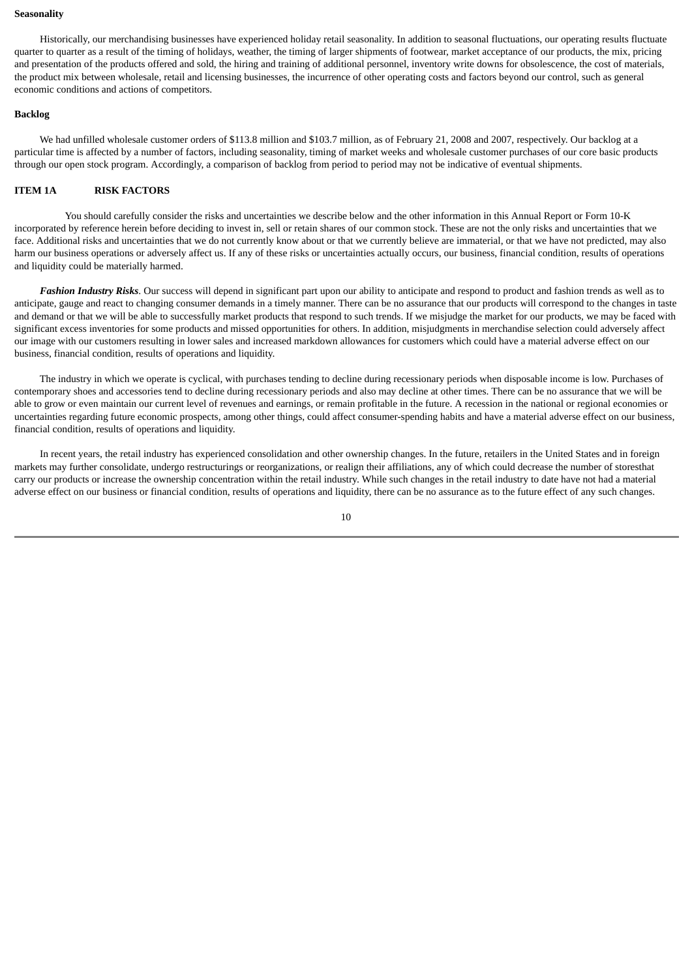#### **Seasonality**

Historically, our merchandising businesses have experienced holiday retail seasonality. In addition to seasonal fluctuations, our operating results fluctuate quarter to quarter as a result of the timing of holidays, weather, the timing of larger shipments of footwear, market acceptance of our products, the mix, pricing and presentation of the products offered and sold, the hiring and training of additional personnel, inventory write downs for obsolescence, the cost of materials, the product mix between wholesale, retail and licensing businesses, the incurrence of other operating costs and factors beyond our control, such as general economic conditions and actions of competitors.

### **Backlog**

 We had unfilled wholesale customer orders of \$113.8 million and \$103.7 million, as of February 21, 2008 and 2007, respectively. Our backlog at a particular time is affected by a number of factors, including seasonality, timing of market weeks and wholesale customer purchases of our core basic products through our open stock program. Accordingly, a comparison of backlog from period to period may not be indicative of eventual shipments.

#### <span id="page-11-0"></span>**ITEM 1A RISK FACTORS**

 You should carefully consider the risks and uncertainties we describe below and the other information in this Annual Report or Form 10-K incorporated by reference herein before deciding to invest in, sell or retain shares of our common stock. These are not the only risks and uncertainties that we face. Additional risks and uncertainties that we do not currently know about or that we currently believe are immaterial, or that we have not predicted, may also harm our business operations or adversely affect us. If any of these risks or uncertainties actually occurs, our business, financial condition, results of operations and liquidity could be materially harmed.

Fashion Industry Risks. Our success will depend in significant part upon our ability to anticipate and respond to product and fashion trends as well as to anticipate, gauge and react to changing consumer demands in a timely manner. There can be no assurance that our products will correspond to the changes in taste and demand or that we will be able to successfully market products that respond to such trends. If we misjudge the market for our products, we may be faced with significant excess inventories for some products and missed opportunities for others. In addition, misjudgments in merchandise selection could adversely affect our image with our customers resulting in lower sales and increased markdown allowances for customers which could have a material adverse effect on our business, financial condition, results of operations and liquidity.

 The industry in which we operate is cyclical, with purchases tending to decline during recessionary periods when disposable income is low. Purchases of contemporary shoes and accessories tend to decline during recessionary periods and also may decline at other times. There can be no assurance that we will be able to grow or even maintain our current level of revenues and earnings, or remain profitable in the future. A recession in the national or regional economies or uncertainties regarding future economic prospects, among other things, could affect consumer-spending habits and have a material adverse effect on our business, financial condition, results of operations and liquidity.

 In recent years, the retail industry has experienced consolidation and other ownership changes. In the future, retailers in the United States and in foreign markets may further consolidate, undergo restructurings or reorganizations, or realign their affiliations, any of which could decrease the number of storesthat carry our products or increase the ownership concentration within the retail industry. While such changes in the retail industry to date have not had a material adverse effect on our business or financial condition, results of operations and liquidity, there can be no assurance as to the future effect of any such changes.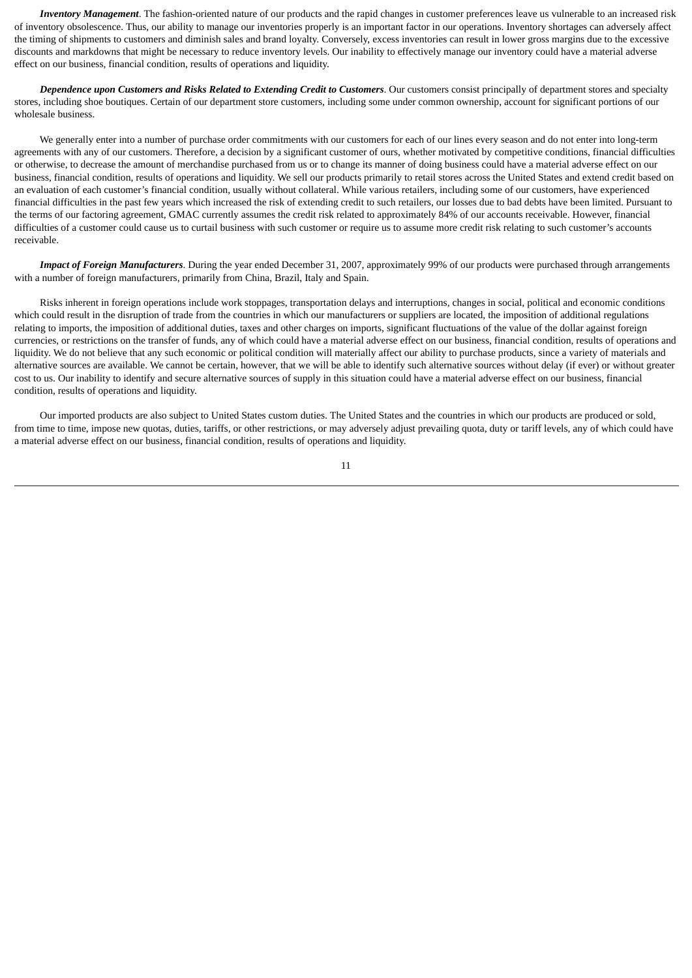Inventory Management. The fashion-oriented nature of our products and the rapid changes in customer preferences leave us vulnerable to an increased risk of inventory obsolescence. Thus, our ability to manage our inventories properly is an important factor in our operations. Inventory shortages can adversely affect the timing of shipments to customers and diminish sales and brand loyalty. Conversely, excess inventories can result in lower gross margins due to the excessive discounts and markdowns that might be necessary to reduce inventory levels. Our inability to effectively manage our inventory could have a material adverse effect on our business, financial condition, results of operations and liquidity.

 *Dependence upon Customers and Risks Related to Extending Credit to Customers*. Our customers consist principally of department stores and specialty stores, including shoe boutiques. Certain of our department store customers, including some under common ownership, account for significant portions of our wholesale business.

 We generally enter into a number of purchase order commitments with our customers for each of our lines every season and do not enter into long-term agreements with any of our customers. Therefore, a decision by a significant customer of ours, whether motivated by competitive conditions, financial difficulties or otherwise, to decrease the amount of merchandise purchased from us or to change its manner of doing business could have a material adverse effect on our business, financial condition, results of operations and liquidity. We sell our products primarily to retail stores across the United States and extend credit based on an evaluation of each customer's financial condition, usually without collateral. While various retailers, including some of our customers, have experienced financial difficulties in the past few years which increased the risk of extending credit to such retailers, our losses due to bad debts have been limited. Pursuant to the terms of our factoring agreement, GMAC currently assumes the credit risk related to approximately 84% of our accounts receivable. However, financial difficulties of a customer could cause us to curtail business with such customer or require us to assume more credit risk relating to such customer's accounts receivable.

 *Impact of Foreign Manufacturers*. During the year ended December 31, 2007, approximately 99% of our products were purchased through arrangements with a number of foreign manufacturers, primarily from China, Brazil, Italy and Spain.

 Risks inherent in foreign operations include work stoppages, transportation delays and interruptions, changes in social, political and economic conditions which could result in the disruption of trade from the countries in which our manufacturers or suppliers are located, the imposition of additional regulations relating to imports, the imposition of additional duties, taxes and other charges on imports, significant fluctuations of the value of the dollar against foreign currencies, or restrictions on the transfer of funds, any of which could have a material adverse effect on our business, financial condition, results of operations and liquidity. We do not believe that any such economic or political condition will materially affect our ability to purchase products, since a variety of materials and alternative sources are available. We cannot be certain, however, that we will be able to identify such alternative sources without delay (if ever) or without greater cost to us. Our inability to identify and secure alternative sources of supply in this situation could have a material adverse effect on our business, financial condition, results of operations and liquidity.

 Our imported products are also subject to United States custom duties. The United States and the countries in which our products are produced or sold, from time to time, impose new quotas, duties, tariffs, or other restrictions, or may adversely adjust prevailing quota, duty or tariff levels, any of which could have a material adverse effect on our business, financial condition, results of operations and liquidity.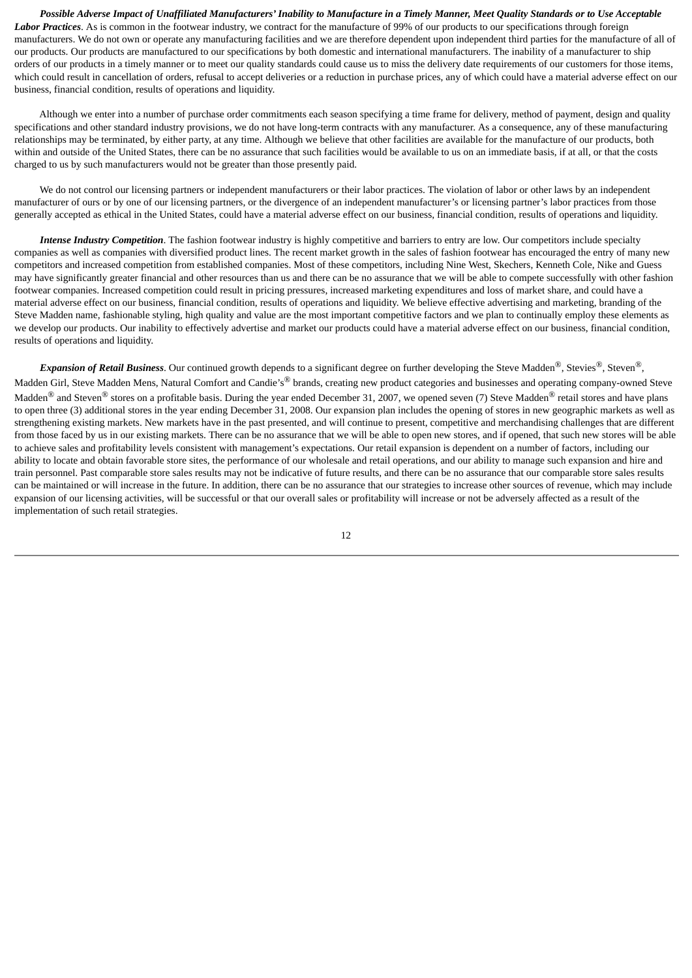*Possible Adverse Impact of Unaffiliated Manufacturers' Inability to Manufacture in a Timely Manner, Meet Quality Standards or to Use Acceptable Labor Practices*. As is common in the footwear industry, we contract for the manufacture of 99% of our products to our specifications through foreign manufacturers. We do not own or operate any manufacturing facilities and we are therefore dependent upon independent third parties for the manufacture of all of our products. Our products are manufactured to our specifications by both domestic and international manufacturers. The inability of a manufacturer to ship orders of our products in a timely manner or to meet our quality standards could cause us to miss the delivery date requirements of our customers for those items, which could result in cancellation of orders, refusal to accept deliveries or a reduction in purchase prices, any of which could have a material adverse effect on our business, financial condition, results of operations and liquidity.

 Although we enter into a number of purchase order commitments each season specifying a time frame for delivery, method of payment, design and quality specifications and other standard industry provisions, we do not have long-term contracts with any manufacturer. As a consequence, any of these manufacturing relationships may be terminated, by either party, at any time. Although we believe that other facilities are available for the manufacture of our products, both within and outside of the United States, there can be no assurance that such facilities would be available to us on an immediate basis, if at all, or that the costs charged to us by such manufacturers would not be greater than those presently paid.

 We do not control our licensing partners or independent manufacturers or their labor practices. The violation of labor or other laws by an independent manufacturer of ours or by one of our licensing partners, or the divergence of an independent manufacturer's or licensing partner's labor practices from those generally accepted as ethical in the United States, could have a material adverse effect on our business, financial condition, results of operations and liquidity.

Intense Industry Competition. The fashion footwear industry is highly competitive and barriers to entry are low. Our competitors include specialty companies as well as companies with diversified product lines. The recent market growth in the sales of fashion footwear has encouraged the entry of many new competitors and increased competition from established companies. Most of these competitors, including Nine West, Skechers, Kenneth Cole, Nike and Guess may have significantly greater financial and other resources than us and there can be no assurance that we will be able to compete successfully with other fashion footwear companies. Increased competition could result in pricing pressures, increased marketing expenditures and loss of market share, and could have a material adverse effect on our business, financial condition, results of operations and liquidity. We believe effective advertising and marketing, branding of the Steve Madden name, fashionable styling, high quality and value are the most important competitive factors and we plan to continually employ these elements as we develop our products. Our inability to effectively advertise and market our products could have a material adverse effect on our business, financial condition, results of operations and liquidity.

*Expansion of Retail Business*. Our continued growth depends to a significant degree on further developing the Steve Madden<sup>®</sup>, Stevies<sup>®</sup>, Steven<sup>®</sup>, Madden Girl, Steve Madden Mens, Natural Comfort and Candie's<sup>®</sup> brands, creating new product categories and businesses and operating company-owned Steve Madden<sup>®</sup> and Steven<sup>®</sup> stores on a profitable basis. During the year ended December 31, 2007, we opened seven (7) Steve Madden<sup>®</sup> retail stores and have plans to open three (3) additional stores in the year ending December 31, 2008. Our expansion plan includes the opening of stores in new geographic markets as well as strengthening existing markets. New markets have in the past presented, and will continue to present, competitive and merchandising challenges that are different from those faced by us in our existing markets. There can be no assurance that we will be able to open new stores, and if opened, that such new stores will be able to achieve sales and profitability levels consistent with management's expectations. Our retail expansion is dependent on a number of factors, including our ability to locate and obtain favorable store sites, the performance of our wholesale and retail operations, and our ability to manage such expansion and hire and train personnel. Past comparable store sales results may not be indicative of future results, and there can be no assurance that our comparable store sales results can be maintained or will increase in the future. In addition, there can be no assurance that our strategies to increase other sources of revenue, which may include expansion of our licensing activities, will be successful or that our overall sales or profitability will increase or not be adversely affected as a result of the implementation of such retail strategies.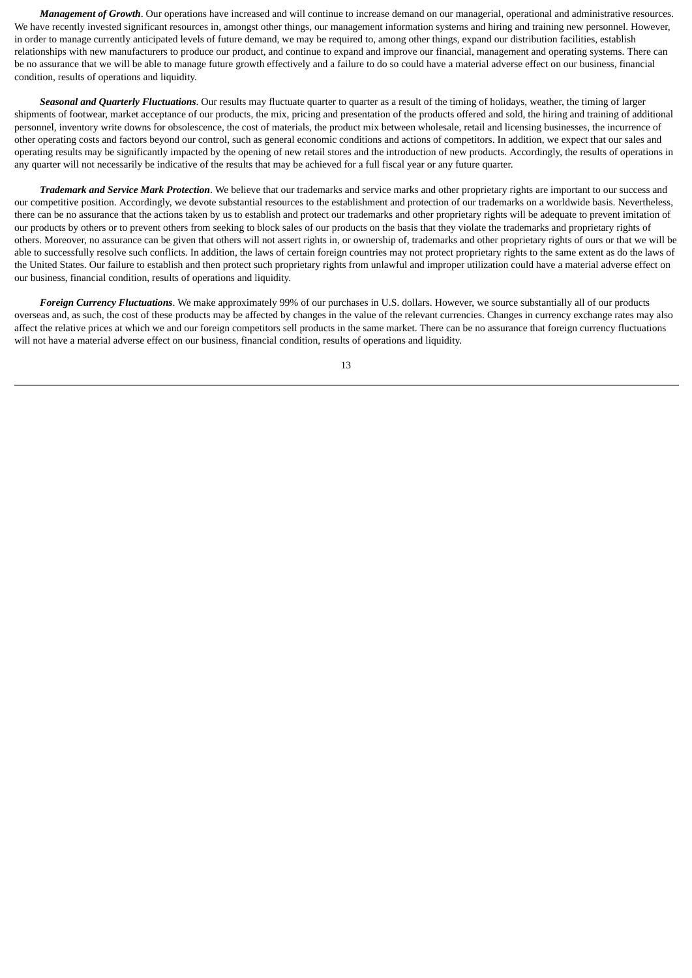*Management of Growth*. Our operations have increased and will continue to increase demand on our managerial, operational and administrative resources. We have recently invested significant resources in, amongst other things, our management information systems and hiring and training new personnel. However, in order to manage currently anticipated levels of future demand, we may be required to, among other things, expand our distribution facilities, establish relationships with new manufacturers to produce our product, and continue to expand and improve our financial, management and operating systems. There can be no assurance that we will be able to manage future growth effectively and a failure to do so could have a material adverse effect on our business, financial condition, results of operations and liquidity.

 *Seasonal and Quarterly Fluctuations*. Our results may fluctuate quarter to quarter as a result of the timing of holidays, weather, the timing of larger shipments of footwear, market acceptance of our products, the mix, pricing and presentation of the products offered and sold, the hiring and training of additional personnel, inventory write downs for obsolescence, the cost of materials, the product mix between wholesale, retail and licensing businesses, the incurrence of other operating costs and factors beyond our control, such as general economic conditions and actions of competitors. In addition, we expect that our sales and operating results may be significantly impacted by the opening of new retail stores and the introduction of new products. Accordingly, the results of operations in any quarter will not necessarily be indicative of the results that may be achieved for a full fiscal year or any future quarter.

 *Trademark and Service Mark Protection*. We believe that our trademarks and service marks and other proprietary rights are important to our success and our competitive position. Accordingly, we devote substantial resources to the establishment and protection of our trademarks on a worldwide basis. Nevertheless, there can be no assurance that the actions taken by us to establish and protect our trademarks and other proprietary rights will be adequate to prevent imitation of our products by others or to prevent others from seeking to block sales of our products on the basis that they violate the trademarks and proprietary rights of others. Moreover, no assurance can be given that others will not assert rights in, or ownership of, trademarks and other proprietary rights of ours or that we will be able to successfully resolve such conflicts. In addition, the laws of certain foreign countries may not protect proprietary rights to the same extent as do the laws of the United States. Our failure to establish and then protect such proprietary rights from unlawful and improper utilization could have a material adverse effect on our business, financial condition, results of operations and liquidity.

 *Foreign Currency Fluctuations*. We make approximately 99% of our purchases in U.S. dollars. However, we source substantially all of our products overseas and, as such, the cost of these products may be affected by changes in the value of the relevant currencies. Changes in currency exchange rates may also affect the relative prices at which we and our foreign competitors sell products in the same market. There can be no assurance that foreign currency fluctuations will not have a material adverse effect on our business, financial condition, results of operations and liquidity.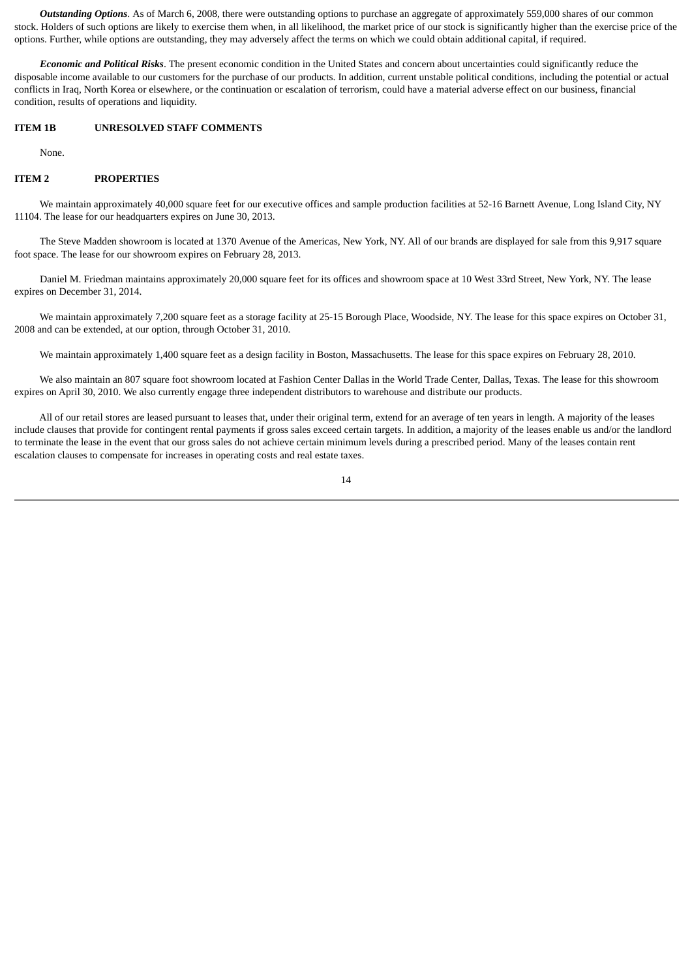*Outstanding Options*. As of March 6, 2008, there were outstanding options to purchase an aggregate of approximately 559,000 shares of our common stock. Holders of such options are likely to exercise them when, in all likelihood, the market price of our stock is significantly higher than the exercise price of the options. Further, while options are outstanding, they may adversely affect the terms on which we could obtain additional capital, if required.

 *Economic and Political Risks*. The present economic condition in the United States and concern about uncertainties could significantly reduce the disposable income available to our customers for the purchase of our products. In addition, current unstable political conditions, including the potential or actual conflicts in Iraq, North Korea or elsewhere, or the continuation or escalation of terrorism, could have a material adverse effect on our business, financial condition, results of operations and liquidity.

#### **ITEM 1B UNRESOLVED STAFF COMMENTS**

<span id="page-15-1"></span><span id="page-15-0"></span>None.

#### **ITEM 2 PROPERTIES**

 We maintain approximately 40,000 square feet for our executive offices and sample production facilities at 52-16 Barnett Avenue, Long Island City, NY 11104. The lease for our headquarters expires on June 30, 2013.

 The Steve Madden showroom is located at 1370 Avenue of the Americas, New York, NY. All of our brands are displayed for sale from this 9,917 square foot space. The lease for our showroom expires on February 28, 2013.

 Daniel M. Friedman maintains approximately 20,000 square feet for its offices and showroom space at 10 West 33rd Street, New York, NY. The lease expires on December 31, 2014.

 We maintain approximately 7,200 square feet as a storage facility at 25-15 Borough Place, Woodside, NY. The lease for this space expires on October 31, 2008 and can be extended, at our option, through October 31, 2010.

We maintain approximately 1,400 square feet as a design facility in Boston, Massachusetts. The lease for this space expires on February 28, 2010.

 We also maintain an 807 square foot showroom located at Fashion Center Dallas in the World Trade Center, Dallas, Texas. The lease for this showroom expires on April 30, 2010. We also currently engage three independent distributors to warehouse and distribute our products.

 All of our retail stores are leased pursuant to leases that, under their original term, extend for an average of ten years in length. A majority of the leases include clauses that provide for contingent rental payments if gross sales exceed certain targets. In addition, a majority of the leases enable us and/or the landlord to terminate the lease in the event that our gross sales do not achieve certain minimum levels during a prescribed period. Many of the leases contain rent escalation clauses to compensate for increases in operating costs and real estate taxes.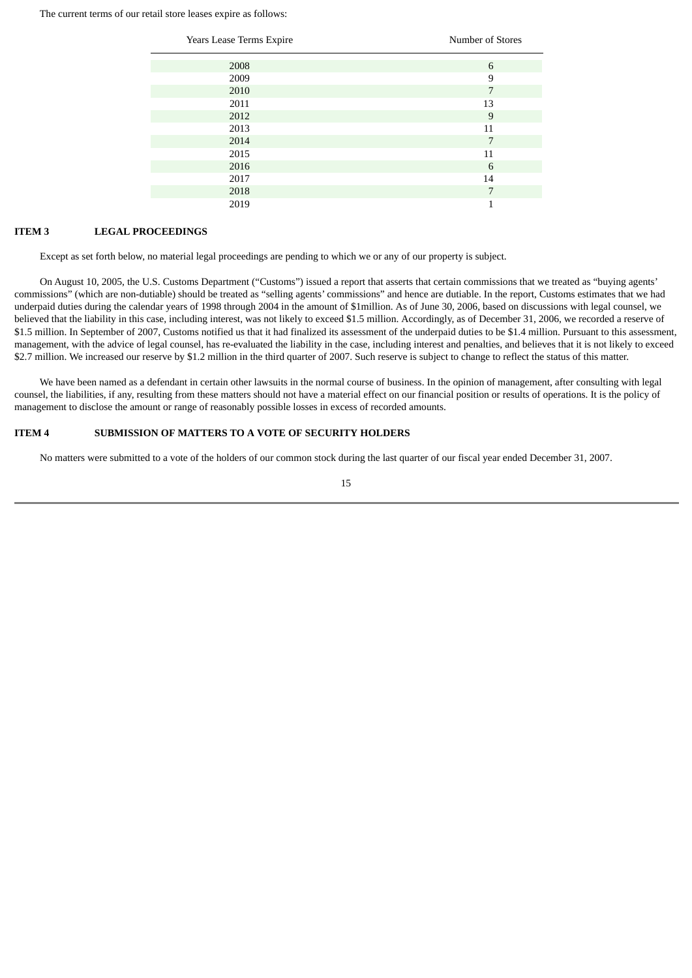#### The current terms of our retail store leases expire as follows:

| Years Lease Terms Expire | Number of Stores |
|--------------------------|------------------|
| 2008                     | 6                |
| 2009                     | 9                |
| 2010                     | 7                |
| 2011                     | 13               |
| 2012                     | 9                |
| 2013                     | 11               |
| 2014                     | 7                |
| 2015                     | 11               |
| 2016                     | 6                |
| 2017                     | 14               |
| 2018                     | 7                |
| 2019                     | 1                |

#### **ITEM 3 LEGAL PROCEEDINGS**

<span id="page-16-0"></span>Except as set forth below, no material legal proceedings are pending to which we or any of our property is subject.

 On August 10, 2005, the U.S. Customs Department ("Customs") issued a report that asserts that certain commissions that we treated as "buying agents' commissions" (which are non-dutiable) should be treated as "selling agents' commissions" and hence are dutiable. In the report, Customs estimates that we had underpaid duties during the calendar years of 1998 through 2004 in the amount of \$1million. As of June 30, 2006, based on discussions with legal counsel, we believed that the liability in this case, including interest, was not likely to exceed \$1.5 million. Accordingly, as of December 31, 2006, we recorded a reserve of \$1.5 million. In September of 2007, Customs notified us that it had finalized its assessment of the underpaid duties to be \$1.4 million. Pursuant to this assessment, management, with the advice of legal counsel, has re-evaluated the liability in the case, including interest and penalties, and believes that it is not likely to exceed \$2.7 million. We increased our reserve by \$1.2 million in the third quarter of 2007. Such reserve is subject to change to reflect the status of this matter.

 We have been named as a defendant in certain other lawsuits in the normal course of business. In the opinion of management, after consulting with legal counsel, the liabilities, if any, resulting from these matters should not have a material effect on our financial position or results of operations. It is the policy of management to disclose the amount or range of reasonably possible losses in excess of recorded amounts.

## **ITEM 4 SUBMISSION OF MATTERS TO A VOTE OF SECURITY HOLDERS**

<span id="page-16-1"></span>No matters were submitted to a vote of the holders of our common stock during the last quarter of our fiscal year ended December 31, 2007.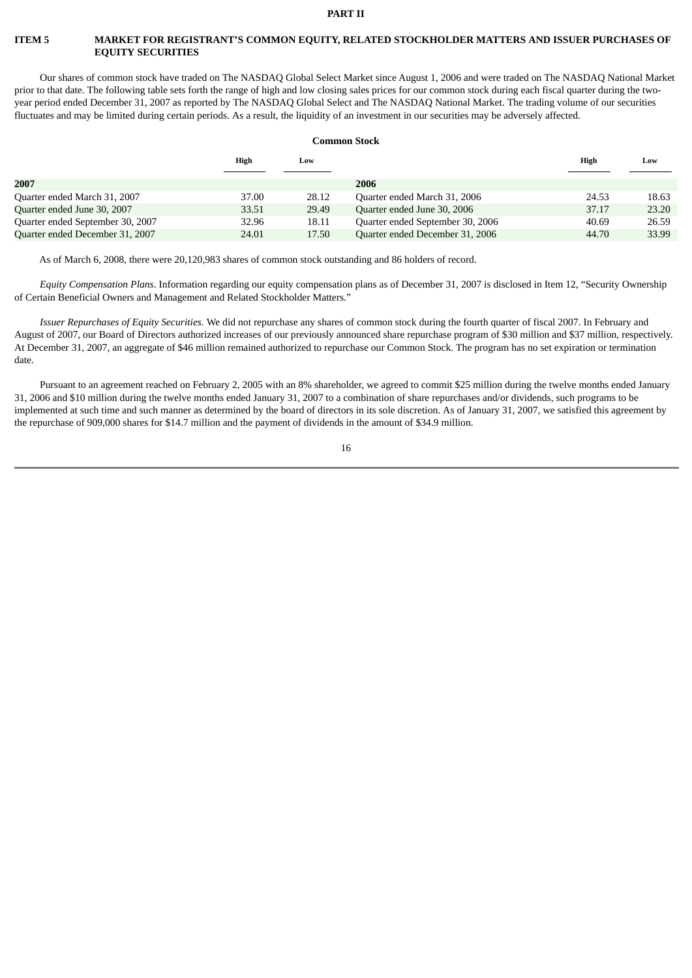#### **PART II**

#### <span id="page-17-1"></span><span id="page-17-0"></span>**ITEM 5 MARKET FOR REGISTRANT'S COMMON EQUITY, RELATED STOCKHOLDER MATTERS AND ISSUER PURCHASES OF EQUITY SECURITIES**

 Our shares of common stock have traded on The NASDAQ Global Select Market since August 1, 2006 and were traded on The NASDAQ National Market prior to that date. The following table sets forth the range of high and low closing sales prices for our common stock during each fiscal quarter during the twoyear period ended December 31, 2007 as reported by The NASDAQ Global Select and The NASDAQ National Market. The trading volume of our securities fluctuates and may be limited during certain periods. As a result, the liquidity of an investment in our securities may be adversely affected.

#### **Common Stock**

|                                  | High  | Low   |                                  | High  | Low   |
|----------------------------------|-------|-------|----------------------------------|-------|-------|
| 2007                             |       |       | 2006                             |       |       |
| Quarter ended March 31, 2007     | 37.00 | 28.12 | Quarter ended March 31, 2006     | 24.53 | 18.63 |
| Quarter ended June 30, 2007      | 33.51 | 29.49 | Quarter ended June 30, 2006      | 37.17 | 23.20 |
| Quarter ended September 30, 2007 | 32.96 | 18.11 | Quarter ended September 30, 2006 | 40.69 | 26.59 |
| Quarter ended December 31, 2007  | 24.01 | 17.50 | Quarter ended December 31, 2006  | 44.70 | 33.99 |

As of March 6, 2008, there were 20,120,983 shares of common stock outstanding and 86 holders of record.

 *Equity Compensation Plans*. Information regarding our equity compensation plans as of December 31, 2007 is disclosed in Item 12, "Security Ownership of Certain Beneficial Owners and Management and Related Stockholder Matters."

 *Issuer Repurchases of Equity Securities.* We did not repurchase any shares of common stock during the fourth quarter of fiscal 2007. In February and August of 2007, our Board of Directors authorized increases of our previously announced share repurchase program of \$30 million and \$37 million, respectively. At December 31, 2007, an aggregate of \$46 million remained authorized to repurchase our Common Stock. The program has no set expiration or termination date.

 Pursuant to an agreement reached on February 2, 2005 with an 8% shareholder, we agreed to commit \$25 million during the twelve months ended January 31, 2006 and \$10 million during the twelve months ended January 31, 2007 to a combination of share repurchases and/or dividends, such programs to be implemented at such time and such manner as determined by the board of directors in its sole discretion. As of January 31, 2007, we satisfied this agreement by the repurchase of 909,000 shares for \$14.7 million and the payment of dividends in the amount of \$34.9 million.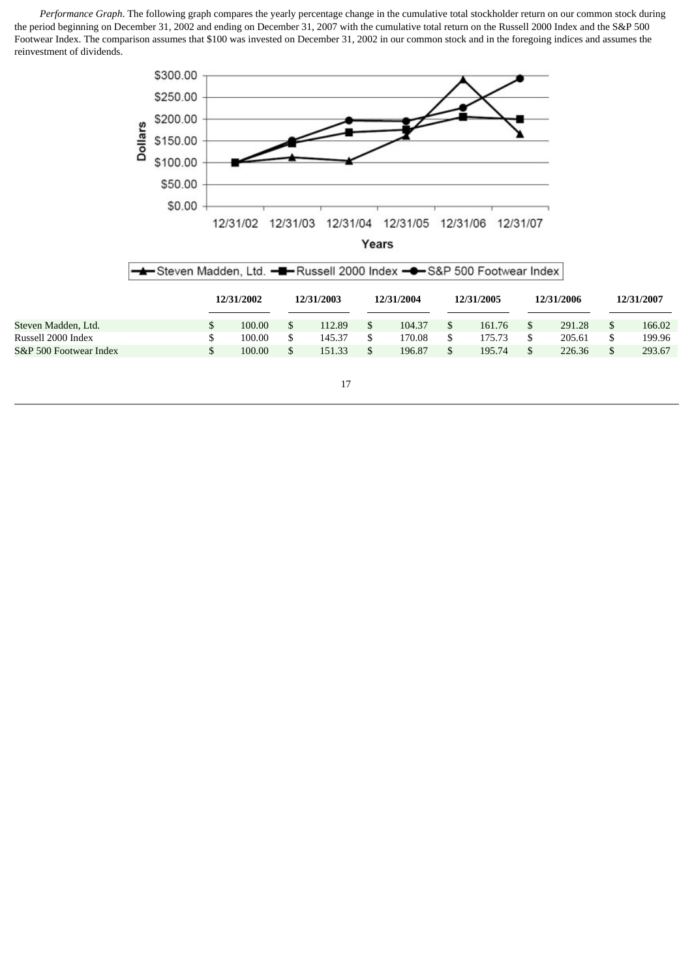*Performance Graph*. The following graph compares the yearly percentage change in the cumulative total stockholder return on our common stock during the period beginning on December 31, 2002 and ending on December 31, 2007 with the cumulative total return on the Russell 2000 Index and the S&P 500 Footwear Index. The comparison assumes that \$100 was invested on December 31, 2002 in our common stock and in the foregoing indices and assumes the reinvestment of dividends.



|                        | - Steven Madden, Ltd. - - Russell 2000 Index - - S&P 500 Footwear Index |    |            |  |            |    |            |  |            |     |            |    |            |  |
|------------------------|-------------------------------------------------------------------------|----|------------|--|------------|----|------------|--|------------|-----|------------|----|------------|--|
|                        |                                                                         |    | 12/31/2002 |  | 12/31/2003 |    | 12/31/2004 |  | 12/31/2005 |     | 12/31/2006 |    | 12/31/2007 |  |
| Steven Madden, Ltd.    |                                                                         |    | 100.00     |  | 112.89     | \$ | 104.37     |  | 161.76     | \$. | 291.28     |    | 166.02     |  |
| Russell 2000 Index     |                                                                         |    | 100.00     |  | 145.37     |    | 170.08     |  | 175.73     | \$  | 205.61     |    | 199.96     |  |
| S&P 500 Footwear Index |                                                                         | \$ | 100.00     |  | 151.33     | \$ | 196.87     |  | 195.74     | \$  | 226.36     | \$ | 293.67     |  |

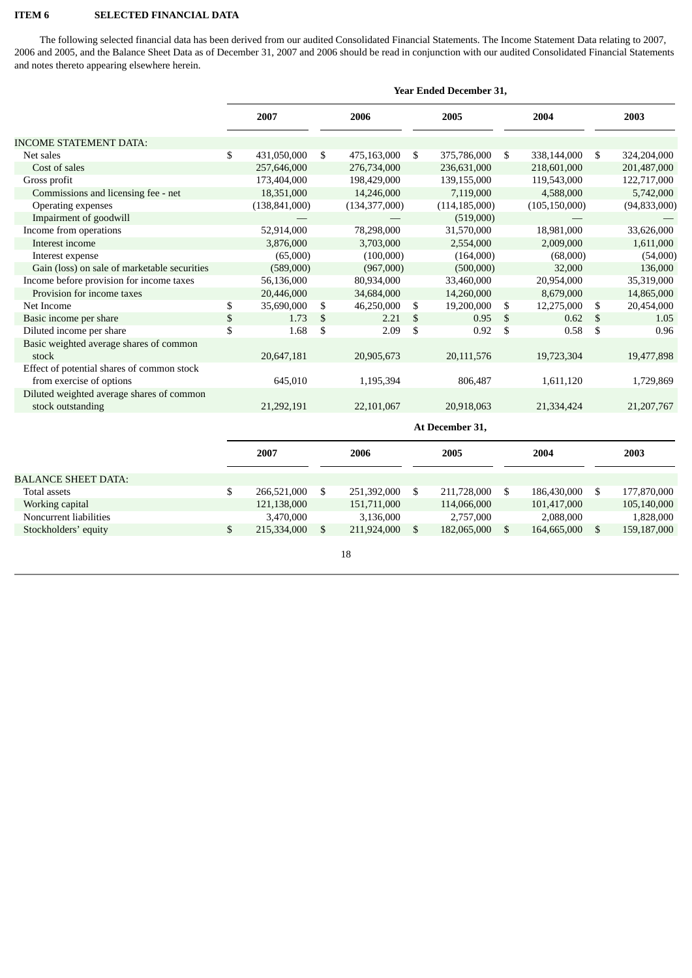## <span id="page-19-0"></span>**ITEM 6 SELECTED FINANCIAL DATA**

 The following selected financial data has been derived from our audited Consolidated Financial Statements. The Income Statement Data relating to 2007, 2006 and 2005, and the Balance Sheet Data as of December 31, 2007 and 2006 should be read in conjunction with our audited Consolidated Financial Statements and notes thereto appearing elsewhere herein.

|                                                                        |                   |              |                 | Year Ended December 31, |                   |                |                |
|------------------------------------------------------------------------|-------------------|--------------|-----------------|-------------------------|-------------------|----------------|----------------|
|                                                                        | 2007              |              | 2006            | 2005                    | 2004              |                | 2003           |
| <b>INCOME STATEMENT DATA:</b>                                          |                   |              |                 |                         |                   |                |                |
| Net sales                                                              | \$<br>431,050,000 | \$           | 475,163,000     | \$<br>375,786,000       | \$<br>338,144,000 | - \$           | 324,204,000    |
| Cost of sales                                                          | 257,646,000       |              | 276,734,000     | 236,631,000             | 218,601,000       |                | 201,487,000    |
| Gross profit                                                           | 173,404,000       |              | 198,429,000     | 139,155,000             | 119,543,000       |                | 122,717,000    |
| Commissions and licensing fee - net                                    | 18,351,000        |              | 14,246,000      | 7,119,000               | 4,588,000         |                | 5,742,000      |
| Operating expenses                                                     | (138, 841, 000)   |              | (134, 377, 000) | (114, 185, 000)         | (105, 150, 000)   |                | (94, 833, 000) |
| Impairment of goodwill                                                 |                   |              |                 | (519,000)               |                   |                |                |
| Income from operations                                                 | 52,914,000        |              | 78,298,000      | 31,570,000              | 18,981,000        |                | 33,626,000     |
| Interest income                                                        | 3,876,000         |              | 3,703,000       | 2,554,000               | 2,009,000         |                | 1,611,000      |
| Interest expense                                                       | (65,000)          |              | (100,000)       | (164,000)               | (68,000)          |                | (54,000)       |
| Gain (loss) on sale of marketable securities                           | (589,000)         |              | (967,000)       | (500,000)               | 32,000            |                | 136,000        |
| Income before provision for income taxes                               | 56,136,000        |              | 80,934,000      | 33,460,000              | 20,954,000        |                | 35,319,000     |
| Provision for income taxes                                             | 20,446,000        |              | 34,684,000      | 14,260,000              | 8,679,000         |                | 14,865,000     |
| Net Income                                                             | \$<br>35,690,000  | \$           | 46,250,000      | \$<br>19,200,000        | \$<br>12,275,000  | \$             | 20,454,000     |
| Basic income per share                                                 | \$<br>1.73        | $\mathbb{S}$ | 2.21            | \$<br>0.95              | \$<br>0.62        | $\mathfrak{S}$ | 1.05           |
| Diluted income per share                                               | \$<br>1.68        | \$           | 2.09            | \$<br>0.92              | \$<br>0.58        | \$             | 0.96           |
| Basic weighted average shares of common                                |                   |              |                 |                         |                   |                |                |
| stock                                                                  | 20,647,181        |              | 20,905,673      | 20,111,576              | 19,723,304        |                | 19,477,898     |
| Effect of potential shares of common stock<br>from exercise of options | 645,010           |              | 1,195,394       | 806,487                 | 1,611,120         |                | 1,729,869      |
| Diluted weighted average shares of common                              |                   |              |                 |                         |                   |                |                |
| stock outstanding                                                      | 21,292,191        |              | 22,101,067      | 20,918,063              | 21,334,424        |                | 21,207,767     |
|                                                                        |                   |              |                 | At December 31,         |                   |                |                |
|                                                                        | 2007              |              | 2006            | 2005                    | 2004              |                | 2003           |
| <b>BALANCE SHEET DATA:</b>                                             |                   |              |                 |                         |                   |                |                |
| <b>Total assets</b>                                                    | \$<br>266,521,000 | \$           | 251,392,000     | \$<br>211,728,000       | \$<br>186,430,000 | -\$            | 177,870,000    |
| Working capital                                                        | 121,138,000       |              | 151,711,000     | 114,066,000             | 101,417,000       |                | 105,140,000    |
| Noncurrent liabilities                                                 | 3,470,000         |              | 3,136,000       | 2,757,000               | 2,088,000         |                | 1,828,000      |
| Stockholders' equity                                                   | \$<br>215,334,000 | \$           | 211,924,000     | \$<br>182,065,000       | \$<br>164,665,000 | \$             | 159,187,000    |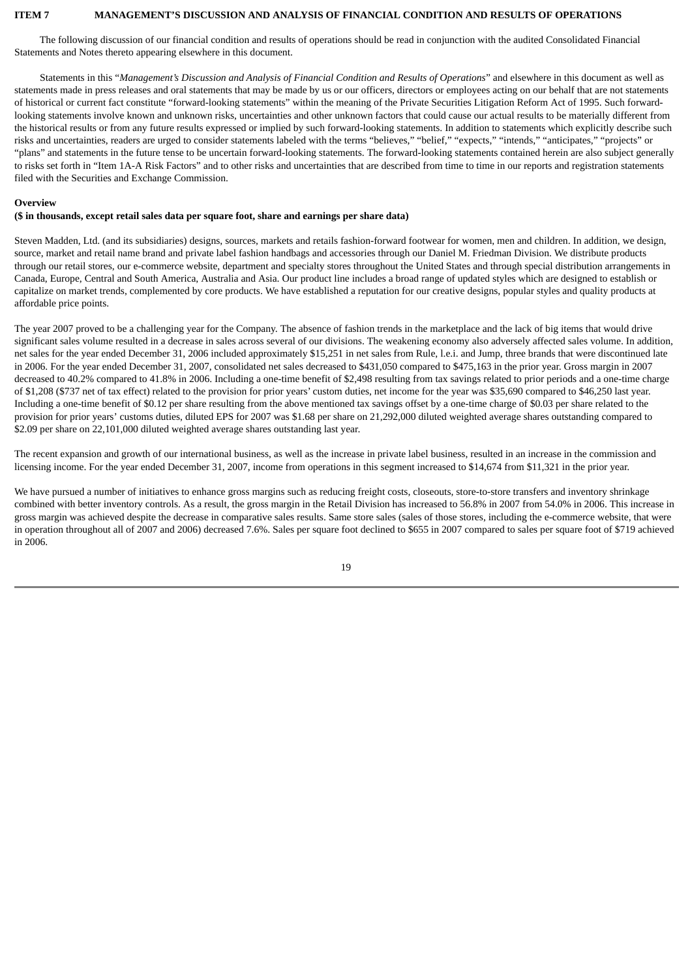#### <span id="page-20-0"></span>**ITEM 7 MANAGEMENT'S DISCUSSION AND ANALYSIS OF FINANCIAL CONDITION AND RESULTS OF OPERATIONS**

 The following discussion of our financial condition and results of operations should be read in conjunction with the audited Consolidated Financial Statements and Notes thereto appearing elsewhere in this document.

 Statements in this "*Management's Discussion and Analysis of Financial Condition and Results of Operations*" and elsewhere in this document as well as statements made in press releases and oral statements that may be made by us or our officers, directors or employees acting on our behalf that are not statements of historical or current fact constitute "forward-looking statements" within the meaning of the Private Securities Litigation Reform Act of 1995. Such forwardlooking statements involve known and unknown risks, uncertainties and other unknown factors that could cause our actual results to be materially different from the historical results or from any future results expressed or implied by such forward-looking statements. In addition to statements which explicitly describe such risks and uncertainties, readers are urged to consider statements labeled with the terms "believes," "belief," "expects," "intends," "anticipates," "projects" or "plans" and statements in the future tense to be uncertain forward-looking statements. The forward-looking statements contained herein are also subject generally to risks set forth in "Item 1A-A Risk Factors" and to other risks and uncertainties that are described from time to time in our reports and registration statements filed with the Securities and Exchange Commission.

#### **Overview**

#### **(\$ in thousands, except retail sales data per square foot, share and earnings per share data)**

Steven Madden, Ltd. (and its subsidiaries) designs, sources, markets and retails fashion-forward footwear for women, men and children. In addition, we design, source, market and retail name brand and private label fashion handbags and accessories through our Daniel M. Friedman Division. We distribute products through our retail stores, our e-commerce website, department and specialty stores throughout the United States and through special distribution arrangements in Canada, Europe, Central and South America, Australia and Asia. Our product line includes a broad range of updated styles which are designed to establish or capitalize on market trends, complemented by core products. We have established a reputation for our creative designs, popular styles and quality products at affordable price points.

The year 2007 proved to be a challenging year for the Company. The absence of fashion trends in the marketplace and the lack of big items that would drive significant sales volume resulted in a decrease in sales across several of our divisions. The weakening economy also adversely affected sales volume. In addition, net sales for the year ended December 31, 2006 included approximately \$15,251 in net sales from Rule, l.e.i. and Jump, three brands that were discontinued late in 2006. For the year ended December 31, 2007, consolidated net sales decreased to \$431,050 compared to \$475,163 in the prior year. Gross margin in 2007 decreased to 40.2% compared to 41.8% in 2006. Including a one-time benefit of \$2,498 resulting from tax savings related to prior periods and a one-time charge of \$1,208 (\$737 net of tax effect) related to the provision for prior years' custom duties, net income for the year was \$35,690 compared to \$46,250 last year. Including a one-time benefit of \$0.12 per share resulting from the above mentioned tax savings offset by a one-time charge of \$0.03 per share related to the provision for prior years' customs duties, diluted EPS for 2007 was \$1.68 per share on 21,292,000 diluted weighted average shares outstanding compared to \$2.09 per share on 22,101,000 diluted weighted average shares outstanding last year.

The recent expansion and growth of our international business, as well as the increase in private label business, resulted in an increase in the commission and licensing income. For the year ended December 31, 2007, income from operations in this segment increased to \$14,674 from \$11,321 in the prior year.

We have pursued a number of initiatives to enhance gross margins such as reducing freight costs, closeouts, store-to-store transfers and inventory shrinkage combined with better inventory controls. As a result, the gross margin in the Retail Division has increased to 56.8% in 2007 from 54.0% in 2006. This increase in gross margin was achieved despite the decrease in comparative sales results. Same store sales (sales of those stores, including the e-commerce website, that were in operation throughout all of 2007 and 2006) decreased 7.6%. Sales per square foot declined to \$655 in 2007 compared to sales per square foot of \$719 achieved in 2006.

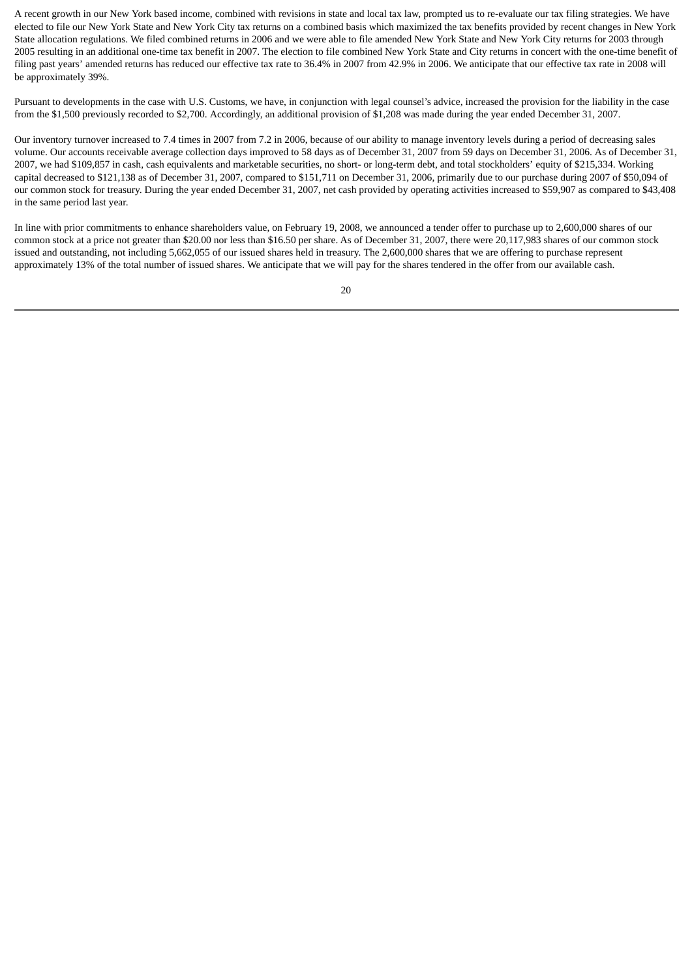A recent growth in our New York based income, combined with revisions in state and local tax law, prompted us to re-evaluate our tax filing strategies. We have elected to file our New York State and New York City tax returns on a combined basis which maximized the tax benefits provided by recent changes in New York State allocation regulations. We filed combined returns in 2006 and we were able to file amended New York State and New York City returns for 2003 through 2005 resulting in an additional one-time tax benefit in 2007. The election to file combined New York State and City returns in concert with the one-time benefit of filing past years' amended returns has reduced our effective tax rate to 36.4% in 2007 from 42.9% in 2006. We anticipate that our effective tax rate in 2008 will be approximately 39%.

Pursuant to developments in the case with U.S. Customs, we have, in conjunction with legal counsel's advice, increased the provision for the liability in the case from the \$1,500 previously recorded to \$2,700. Accordingly, an additional provision of \$1,208 was made during the year ended December 31, 2007.

Our inventory turnover increased to 7.4 times in 2007 from 7.2 in 2006, because of our ability to manage inventory levels during a period of decreasing sales volume. Our accounts receivable average collection days improved to 58 days as of December 31, 2007 from 59 days on December 31, 2006. As of December 31, 2007, we had \$109,857 in cash, cash equivalents and marketable securities, no short- or long-term debt, and total stockholders' equity of \$215,334. Working capital decreased to \$121,138 as of December 31, 2007, compared to \$151,711 on December 31, 2006, primarily due to our purchase during 2007 of \$50,094 of our common stock for treasury. During the year ended December 31, 2007, net cash provided by operating activities increased to \$59,907 as compared to \$43,408 in the same period last year.

In line with prior commitments to enhance shareholders value, on February 19, 2008, we announced a tender offer to purchase up to 2,600,000 shares of our common stock at a price not greater than \$20.00 nor less than \$16.50 per share. As of December 31, 2007, there were 20,117,983 shares of our common stock issued and outstanding, not including 5,662,055 of our issued shares held in treasury. The 2,600,000 shares that we are offering to purchase represent approximately 13% of the total number of issued shares. We anticipate that we will pay for the shares tendered in the offer from our available cash.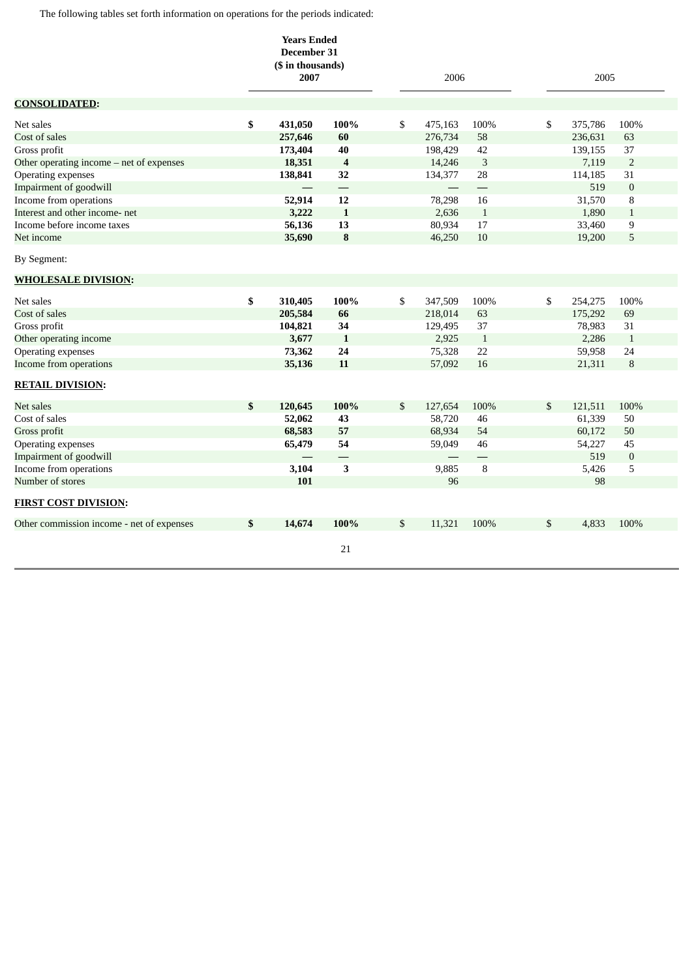The following tables set forth information on operations for the periods indicated:

## **Years Ended December 31**

|                                           | (\$ in thousands)<br>2007 |                  | 2006          |              | 2005          |                  |  |  |
|-------------------------------------------|---------------------------|------------------|---------------|--------------|---------------|------------------|--|--|
| <b>CONSOLIDATED:</b>                      |                           |                  |               |              |               |                  |  |  |
| Net sales                                 | \$<br>431,050             | 100%             | \$<br>475,163 | 100%         | \$<br>375,786 | 100%             |  |  |
| Cost of sales                             | 257,646                   | 60               | 276,734       | 58           | 236,631       | 63               |  |  |
| Gross profit                              | 173,404                   | 40               | 198,429       | 42           | 139,155       | 37               |  |  |
| Other operating income - net of expenses  | 18,351                    | $\boldsymbol{4}$ | 14,246        | 3            | 7,119         | $\overline{2}$   |  |  |
| Operating expenses                        | 138,841                   | 32               | 134,377       | 28           | 114,185       | 31               |  |  |
| Impairment of goodwill                    |                           | —                |               |              | 519           | $\boldsymbol{0}$ |  |  |
| Income from operations                    | 52,914                    | 12               | 78,298        | 16           | 31,570        | 8                |  |  |
| Interest and other income-net             | 3,222                     | 1                | 2,636         | $\mathbf{1}$ | 1,890         | $\mathbf{1}$     |  |  |
| Income before income taxes                | 56,136                    | 13               | 80,934        | 17           | 33,460        | 9                |  |  |
| Net income                                | 35,690                    | 8                | 46,250        | 10           | 19,200        | 5                |  |  |
| By Segment:                               |                           |                  |               |              |               |                  |  |  |
| <b>WHOLESALE DIVISION:</b>                |                           |                  |               |              |               |                  |  |  |
| Net sales                                 | \$<br>310,405             | 100%             | \$<br>347,509 | 100%         | \$<br>254,275 | 100%             |  |  |
| Cost of sales                             | 205,584                   | 66               | 218,014       | 63           | 175,292       | 69               |  |  |
| Gross profit                              | 104,821                   | 34               | 129,495       | 37           | 78,983        | 31               |  |  |
| Other operating income                    | 3,677                     | $\mathbf{1}$     | 2,925         | $\mathbf{1}$ | 2,286         | $\mathbf{1}$     |  |  |
| Operating expenses                        | 73,362                    | 24               | 75,328        | 22           | 59,958        | 24               |  |  |
| Income from operations                    | 35,136                    | 11               | 57,092        | 16           | 21,311        | 8                |  |  |
| <b>RETAIL DIVISION:</b>                   |                           |                  |               |              |               |                  |  |  |
| Net sales                                 | \$<br>120,645             | 100%             | \$<br>127,654 | 100%         | \$<br>121,511 | 100%             |  |  |
| Cost of sales                             | 52,062                    | 43               | 58,720        | 46           | 61,339        | 50               |  |  |
| Gross profit                              | 68,583                    | 57               | 68,934        | 54           | 60,172        | 50               |  |  |
| Operating expenses                        | 65,479                    | 54               | 59,049        | 46           | 54,227        | 45               |  |  |
| Impairment of goodwill                    |                           | —                |               | —            | 519           | $\boldsymbol{0}$ |  |  |
| Income from operations                    | 3,104                     | 3                | 9,885         | 8            | 5,426         | 5                |  |  |
| Number of stores                          | 101                       |                  | 96            |              | 98            |                  |  |  |
| <b>FIRST COST DIVISION:</b>               |                           |                  |               |              |               |                  |  |  |
| Other commission income - net of expenses | \$<br>14,674              | 100%             | \$<br>11,321  | 100%         | \$<br>4,833   | 100%             |  |  |
|                                           |                           | 21               |               |              |               |                  |  |  |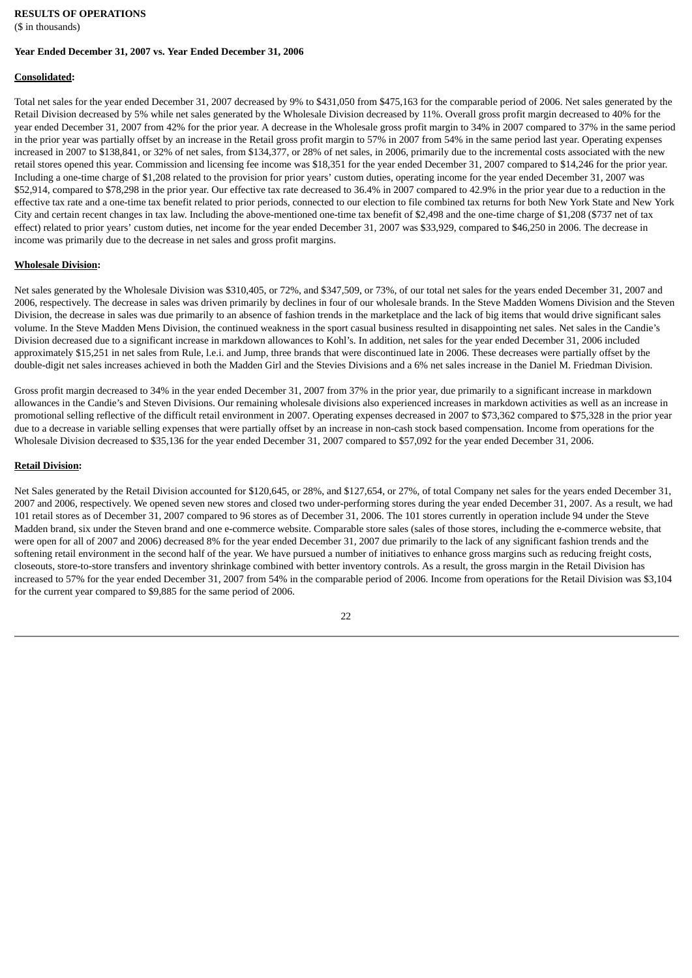## **RESULTS OF OPERATIONS**

(\$ in thousands)

## **Year Ended December 31, 2007 vs. Year Ended December 31, 2006**

## **Consolidated:**

Total net sales for the year ended December 31, 2007 decreased by 9% to \$431,050 from \$475,163 for the comparable period of 2006. Net sales generated by the Retail Division decreased by 5% while net sales generated by the Wholesale Division decreased by 11%. Overall gross profit margin decreased to 40% for the year ended December 31, 2007 from 42% for the prior year. A decrease in the Wholesale gross profit margin to 34% in 2007 compared to 37% in the same period in the prior year was partially offset by an increase in the Retail gross profit margin to 57% in 2007 from 54% in the same period last year. Operating expenses increased in 2007 to \$138,841, or 32% of net sales, from \$134,377, or 28% of net sales, in 2006, primarily due to the incremental costs associated with the new retail stores opened this year. Commission and licensing fee income was \$18,351 for the year ended December 31, 2007 compared to \$14,246 for the prior year. Including a one-time charge of \$1,208 related to the provision for prior years' custom duties, operating income for the year ended December 31, 2007 was \$52,914, compared to \$78,298 in the prior year. Our effective tax rate decreased to 36.4% in 2007 compared to 42.9% in the prior year due to a reduction in the effective tax rate and a one-time tax benefit related to prior periods, connected to our election to file combined tax returns for both New York State and New York City and certain recent changes in tax law. Including the above-mentioned one-time tax benefit of \$2,498 and the one-time charge of \$1,208 (\$737 net of tax effect) related to prior years' custom duties, net income for the year ended December 31, 2007 was \$33,929, compared to \$46,250 in 2006. The decrease in income was primarily due to the decrease in net sales and gross profit margins.

## **Wholesale Division:**

Net sales generated by the Wholesale Division was \$310,405, or 72%, and \$347,509, or 73%, of our total net sales for the years ended December 31, 2007 and 2006, respectively. The decrease in sales was driven primarily by declines in four of our wholesale brands. In the Steve Madden Womens Division and the Steven Division, the decrease in sales was due primarily to an absence of fashion trends in the marketplace and the lack of big items that would drive significant sales volume. In the Steve Madden Mens Division, the continued weakness in the sport casual business resulted in disappointing net sales. Net sales in the Candie's Division decreased due to a significant increase in markdown allowances to Kohl's. In addition, net sales for the year ended December 31, 2006 included approximately \$15,251 in net sales from Rule, l.e.i. and Jump, three brands that were discontinued late in 2006. These decreases were partially offset by the double-digit net sales increases achieved in both the Madden Girl and the Stevies Divisions and a 6% net sales increase in the Daniel M. Friedman Division.

Gross profit margin decreased to 34% in the year ended December 31, 2007 from 37% in the prior year, due primarily to a significant increase in markdown allowances in the Candie's and Steven Divisions. Our remaining wholesale divisions also experienced increases in markdown activities as well as an increase in promotional selling reflective of the difficult retail environment in 2007. Operating expenses decreased in 2007 to \$73,362 compared to \$75,328 in the prior year due to a decrease in variable selling expenses that were partially offset by an increase in non-cash stock based compensation. Income from operations for the Wholesale Division decreased to \$35,136 for the year ended December 31, 2007 compared to \$57,092 for the year ended December 31, 2006.

## **Retail Division:**

Net Sales generated by the Retail Division accounted for \$120,645, or 28%, and \$127,654, or 27%, of total Company net sales for the years ended December 31, 2007 and 2006, respectively. We opened seven new stores and closed two under-performing stores during the year ended December 31, 2007. As a result, we had 101 retail stores as of December 31, 2007 compared to 96 stores as of December 31, 2006. The 101 stores currently in operation include 94 under the Steve Madden brand, six under the Steven brand and one e-commerce website. Comparable store sales (sales of those stores, including the e-commerce website, that were open for all of 2007 and 2006) decreased 8% for the year ended December 31, 2007 due primarily to the lack of any significant fashion trends and the softening retail environment in the second half of the year. We have pursued a number of initiatives to enhance gross margins such as reducing freight costs, closeouts, store-to-store transfers and inventory shrinkage combined with better inventory controls. As a result, the gross margin in the Retail Division has increased to 57% for the year ended December 31, 2007 from 54% in the comparable period of 2006. Income from operations for the Retail Division was \$3,104 for the current year compared to \$9,885 for the same period of 2006.

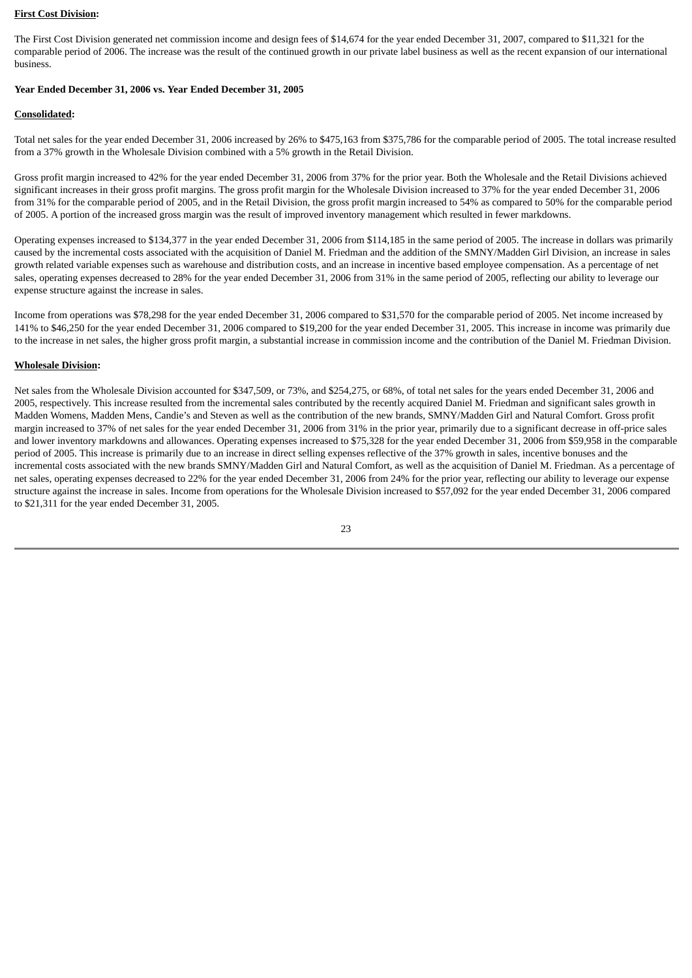## **First Cost Division:**

The First Cost Division generated net commission income and design fees of \$14,674 for the year ended December 31, 2007, compared to \$11,321 for the comparable period of 2006. The increase was the result of the continued growth in our private label business as well as the recent expansion of our international business.

## **Year Ended December 31, 2006 vs. Year Ended December 31, 2005**

## **Consolidated:**

Total net sales for the year ended December 31, 2006 increased by 26% to \$475,163 from \$375,786 for the comparable period of 2005. The total increase resulted from a 37% growth in the Wholesale Division combined with a 5% growth in the Retail Division.

Gross profit margin increased to 42% for the year ended December 31, 2006 from 37% for the prior year. Both the Wholesale and the Retail Divisions achieved significant increases in their gross profit margins. The gross profit margin for the Wholesale Division increased to 37% for the year ended December 31, 2006 from 31% for the comparable period of 2005, and in the Retail Division, the gross profit margin increased to 54% as compared to 50% for the comparable period of 2005. A portion of the increased gross margin was the result of improved inventory management which resulted in fewer markdowns.

Operating expenses increased to \$134,377 in the year ended December 31, 2006 from \$114,185 in the same period of 2005. The increase in dollars was primarily caused by the incremental costs associated with the acquisition of Daniel M. Friedman and the addition of the SMNY/Madden Girl Division, an increase in sales growth related variable expenses such as warehouse and distribution costs, and an increase in incentive based employee compensation. As a percentage of net sales, operating expenses decreased to 28% for the year ended December 31, 2006 from 31% in the same period of 2005, reflecting our ability to leverage our expense structure against the increase in sales.

Income from operations was \$78,298 for the year ended December 31, 2006 compared to \$31,570 for the comparable period of 2005. Net income increased by 141% to \$46,250 for the year ended December 31, 2006 compared to \$19,200 for the year ended December 31, 2005. This increase in income was primarily due to the increase in net sales, the higher gross profit margin, a substantial increase in commission income and the contribution of the Daniel M. Friedman Division.

## **Wholesale Division:**

Net sales from the Wholesale Division accounted for \$347,509, or 73%, and \$254,275, or 68%, of total net sales for the years ended December 31, 2006 and 2005, respectively. This increase resulted from the incremental sales contributed by the recently acquired Daniel M. Friedman and significant sales growth in Madden Womens, Madden Mens, Candie's and Steven as well as the contribution of the new brands, SMNY/Madden Girl and Natural Comfort. Gross profit margin increased to 37% of net sales for the year ended December 31, 2006 from 31% in the prior year, primarily due to a significant decrease in off-price sales and lower inventory markdowns and allowances. Operating expenses increased to \$75,328 for the year ended December 31, 2006 from \$59,958 in the comparable period of 2005. This increase is primarily due to an increase in direct selling expenses reflective of the 37% growth in sales, incentive bonuses and the incremental costs associated with the new brands SMNY/Madden Girl and Natural Comfort, as well as the acquisition of Daniel M. Friedman. As a percentage of net sales, operating expenses decreased to 22% for the year ended December 31, 2006 from 24% for the prior year, reflecting our ability to leverage our expense structure against the increase in sales. Income from operations for the Wholesale Division increased to \$57,092 for the year ended December 31, 2006 compared to \$21,311 for the year ended December 31, 2005.

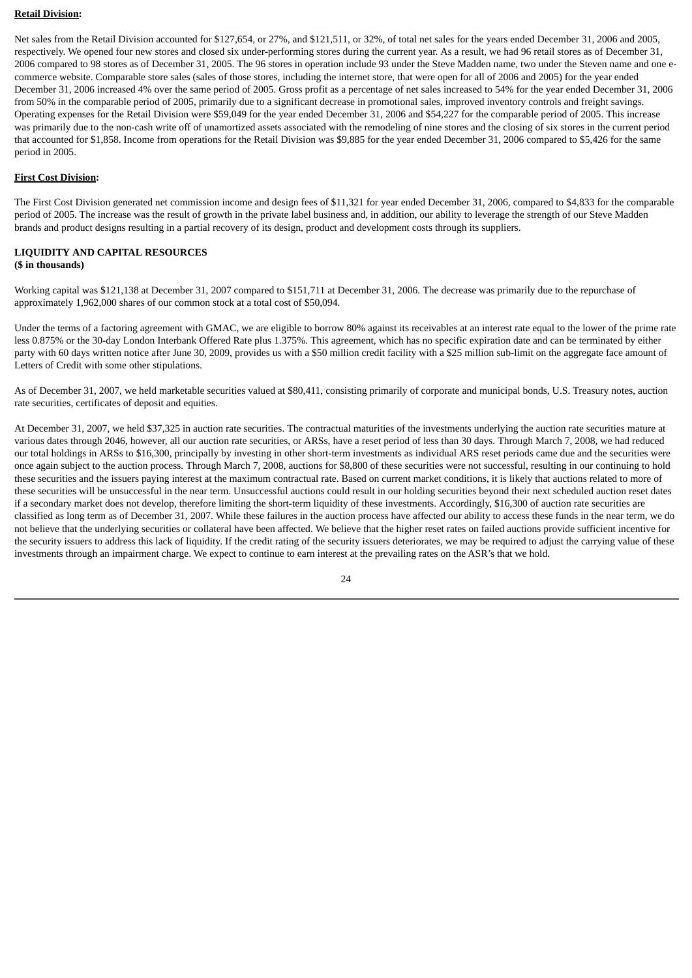## **Retail Division:**

Net sales from the Retail Division accounted for \$127,654, or 27%, and \$121,511, or 32%, of total net sales for the years ended December 31, 2006 and 2005, respectively. We opened four new stores and closed six under-performing stores during the current year. As a result, we had 96 retail stores as of December 31, 2006 compared to 98 stores as of December 31, 2005. The 96 stores in operation include 93 under the Steve Madden name, two under the Steven name and one ecommerce website. Comparable store sales (sales of those stores, including the internet store, that were open for all of 2006 and 2005) for the year ended December 31, 2006 increased 4% over the same period of 2005. Gross profit as a percentage of net sales increased to 54% for the year ended December 31, 2006 from 50% in the comparable period of 2005, primarily due to a significant decrease in promotional sales, improved inventory controls and freight savings. Operating expenses for the Retail Division were \$59,049 for the year ended December 31, 2006 and \$54,227 for the comparable period of 2005. This increase was primarily due to the non-cash write off of unamortized assets associated with the remodeling of nine stores and the closing of six stores in the current period that accounted for \$1,858. Income from operations for the Retail Division was \$9,885 for the year ended December 31, 2006 compared to \$5,426 for the same period in 2005.

### **First Cost Division:**

The First Cost Division generated net commission income and design fees of \$11,321 for year ended December 31, 2006, compared to \$4,833 for the comparable period of 2005. The increase was the result of growth in the private label business and, in addition, our ability to leverage the strength of our Steve Madden brands and product designs resulting in a partial recovery of its design, product and development costs through its suppliers.

#### **LIQUIDITY AND CAPITAL RESOURCES (\$ in thousands)**

Working capital was \$121,138 at December 31, 2007 compared to \$151,711 at December 31, 2006. The decrease was primarily due to the repurchase of approximately 1,962,000 shares of our common stock at a total cost of \$50,094.

Under the terms of a factoring agreement with GMAC, we are eligible to borrow 80% against its receivables at an interest rate equal to the lower of the prime rate less 0.875% or the 30-day London Interbank Offered Rate plus 1.375%. This agreement, which has no specific expiration date and can be terminated by either party with 60 days written notice after June 30, 2009, provides us with a \$50 million credit facility with a \$25 million sub-limit on the aggregate face amount of Letters of Credit with some other stipulations.

As of December 31, 2007, we held marketable securities valued at \$80,411, consisting primarily of corporate and municipal bonds, U.S. Treasury notes, auction rate securities, certificates of deposit and equities.

At December 31, 2007, we held \$37,325 in auction rate securities. The contractual maturities of the investments underlying the auction rate securities mature at various dates through 2046, however, all our auction rate securities, or ARSs, have a reset period of less than 30 days. Through March 7, 2008, we had reduced our total holdings in ARSs to \$16,300, principally by investing in other short-term investments as individual ARS reset periods came due and the securities were once again subject to the auction process. Through March 7, 2008, auctions for \$8,800 of these securities were not successful, resulting in our continuing to hold these securities and the issuers paying interest at the maximum contractual rate. Based on current market conditions, it is likely that auctions related to more of these securities will be unsuccessful in the near term. Unsuccessful auctions could result in our holding securities beyond their next scheduled auction reset dates if a secondary market does not develop, therefore limiting the short-term liquidity of these investments. Accordingly, \$16,300 of auction rate securities are classified as long term as of December 31, 2007. While these failures in the auction process have affected our ability to access these funds in the near term, we do not believe that the underlying securities or collateral have been affected. We believe that the higher reset rates on failed auctions provide sufficient incentive for the security issuers to address this lack of liquidity. If the credit rating of the security issuers deteriorates, we may be required to adjust the carrying value of these investments through an impairment charge. We expect to continue to earn interest at the prevailing rates on the ASR's that we hold.

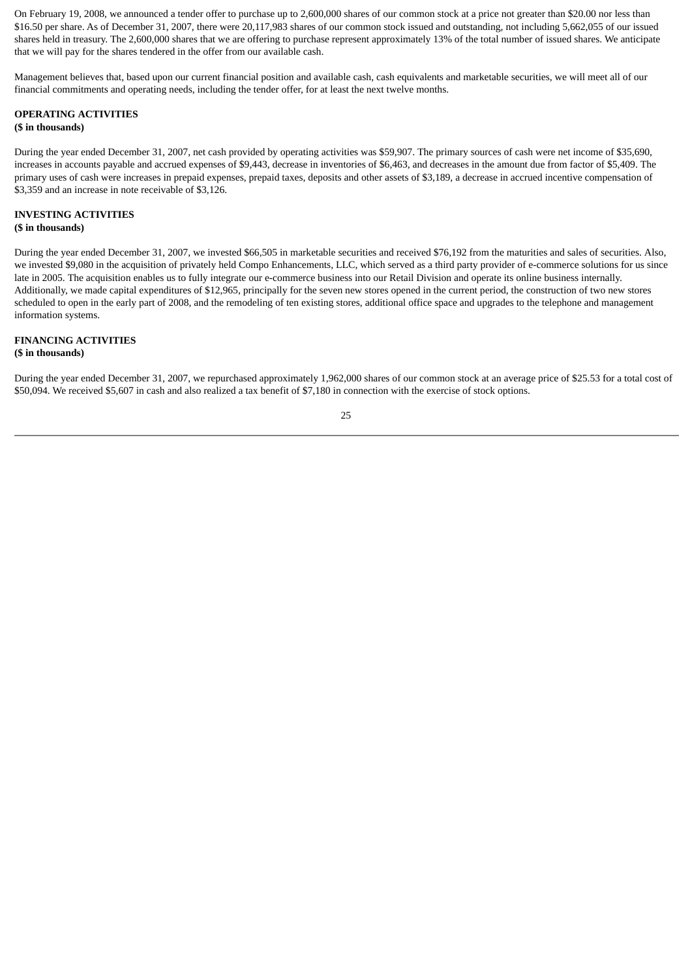On February 19, 2008, we announced a tender offer to purchase up to 2,600,000 shares of our common stock at a price not greater than \$20.00 nor less than \$16.50 per share. As of December 31, 2007, there were 20,117,983 shares of our common stock issued and outstanding, not including 5,662,055 of our issued shares held in treasury. The 2,600,000 shares that we are offering to purchase represent approximately 13% of the total number of issued shares. We anticipate that we will pay for the shares tendered in the offer from our available cash.

Management believes that, based upon our current financial position and available cash, cash equivalents and marketable securities, we will meet all of our financial commitments and operating needs, including the tender offer, for at least the next twelve months.

## **OPERATING ACTIVITIES (\$ in thousands)**

During the year ended December 31, 2007, net cash provided by operating activities was \$59,907. The primary sources of cash were net income of \$35,690, increases in accounts payable and accrued expenses of \$9,443, decrease in inventories of \$6,463, and decreases in the amount due from factor of \$5,409. The primary uses of cash were increases in prepaid expenses, prepaid taxes, deposits and other assets of \$3,189, a decrease in accrued incentive compensation of \$3,359 and an increase in note receivable of \$3,126.

## **INVESTING ACTIVITIES (\$ in thousands)**

During the year ended December 31, 2007, we invested \$66,505 in marketable securities and received \$76,192 from the maturities and sales of securities. Also, we invested \$9,080 in the acquisition of privately held Compo Enhancements, LLC, which served as a third party provider of e-commerce solutions for us since late in 2005. The acquisition enables us to fully integrate our e-commerce business into our Retail Division and operate its online business internally. Additionally, we made capital expenditures of \$12,965, principally for the seven new stores opened in the current period, the construction of two new stores scheduled to open in the early part of 2008, and the remodeling of ten existing stores, additional office space and upgrades to the telephone and management information systems.

#### **FINANCING ACTIVITIES (\$ in thousands)**

During the year ended December 31, 2007, we repurchased approximately 1,962,000 shares of our common stock at an average price of \$25.53 for a total cost of \$50,094. We received \$5,607 in cash and also realized a tax benefit of \$7,180 in connection with the exercise of stock options.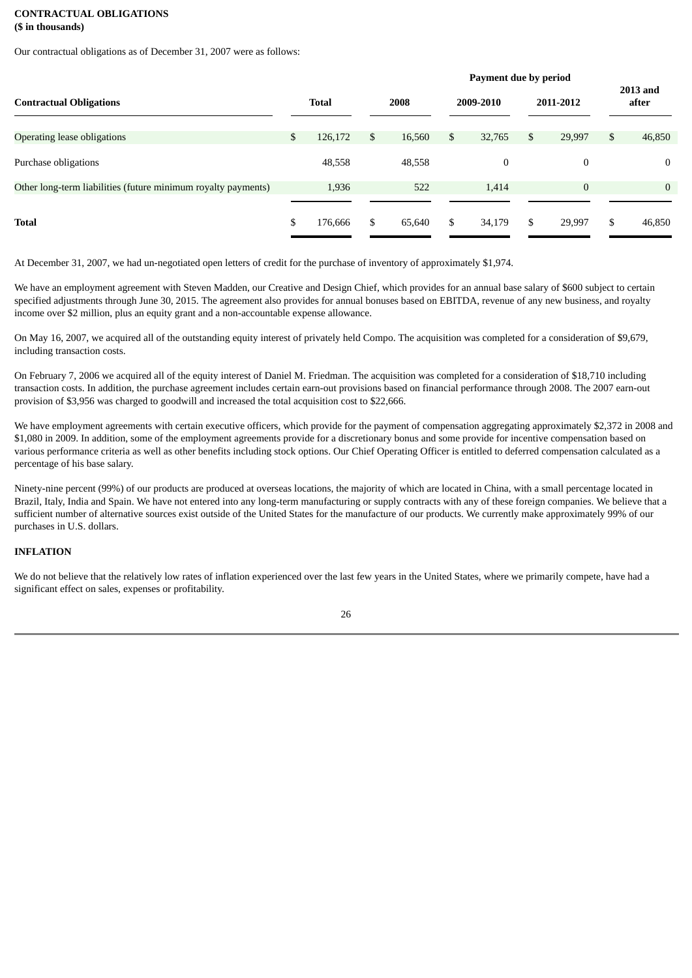#### **CONTRACTUAL OBLIGATIONS (\$ in thousands)**

Our contractual obligations as of December 31, 2007 were as follows:

|                                                               |    |              |    |        | Payment due by period |              |    |                |    |                          |  |  |  |  |  |
|---------------------------------------------------------------|----|--------------|----|--------|-----------------------|--------------|----|----------------|----|--------------------------|--|--|--|--|--|
| <b>Contractual Obligations</b>                                |    | <b>Total</b> |    | 2008   |                       | 2009-2010    |    | 2011-2012      |    | <b>2013 and</b><br>after |  |  |  |  |  |
| <b>Operating lease obligations</b>                            | \$ | 126,172      | \$ | 16,560 | \$                    | 32,765       | \$ | 29,997         | \$ | 46,850                   |  |  |  |  |  |
| Purchase obligations                                          |    | 48,558       |    | 48,558 |                       | $\mathbf{0}$ |    | $\mathbf{0}$   |    | $\overline{0}$           |  |  |  |  |  |
| Other long-term liabilities (future minimum royalty payments) |    | 1,936        |    | 522    |                       | 1,414        |    | $\overline{0}$ |    | $\overline{0}$           |  |  |  |  |  |
| <b>Total</b>                                                  | \$ | 176,666      | \$ | 65,640 | \$                    | 34,179       | \$ | 29,997         | \$ | 46,850                   |  |  |  |  |  |

At December 31, 2007, we had un-negotiated open letters of credit for the purchase of inventory of approximately \$1,974.

We have an employment agreement with Steven Madden, our Creative and Design Chief, which provides for an annual base salary of \$600 subject to certain specified adjustments through June 30, 2015. The agreement also provides for annual bonuses based on EBITDA, revenue of any new business, and royalty income over \$2 million, plus an equity grant and a non-accountable expense allowance.

On May 16, 2007, we acquired all of the outstanding equity interest of privately held Compo. The acquisition was completed for a consideration of \$9,679, including transaction costs.

On February 7, 2006 we acquired all of the equity interest of Daniel M. Friedman. The acquisition was completed for a consideration of \$18,710 including transaction costs. In addition, the purchase agreement includes certain earn-out provisions based on financial performance through 2008. The 2007 earn-out provision of \$3,956 was charged to goodwill and increased the total acquisition cost to \$22,666.

We have employment agreements with certain executive officers, which provide for the payment of compensation aggregating approximately \$2,372 in 2008 and \$1,080 in 2009. In addition, some of the employment agreements provide for a discretionary bonus and some provide for incentive compensation based on various performance criteria as well as other benefits including stock options. Our Chief Operating Officer is entitled to deferred compensation calculated as a percentage of his base salary.

Ninety-nine percent (99%) of our products are produced at overseas locations, the majority of which are located in China, with a small percentage located in Brazil, Italy, India and Spain. We have not entered into any long-term manufacturing or supply contracts with any of these foreign companies. We believe that a sufficient number of alternative sources exist outside of the United States for the manufacture of our products. We currently make approximately 99% of our purchases in U.S. dollars.

## **INFLATION**

We do not believe that the relatively low rates of inflation experienced over the last few years in the United States, where we primarily compete, have had a significant effect on sales, expenses or profitability.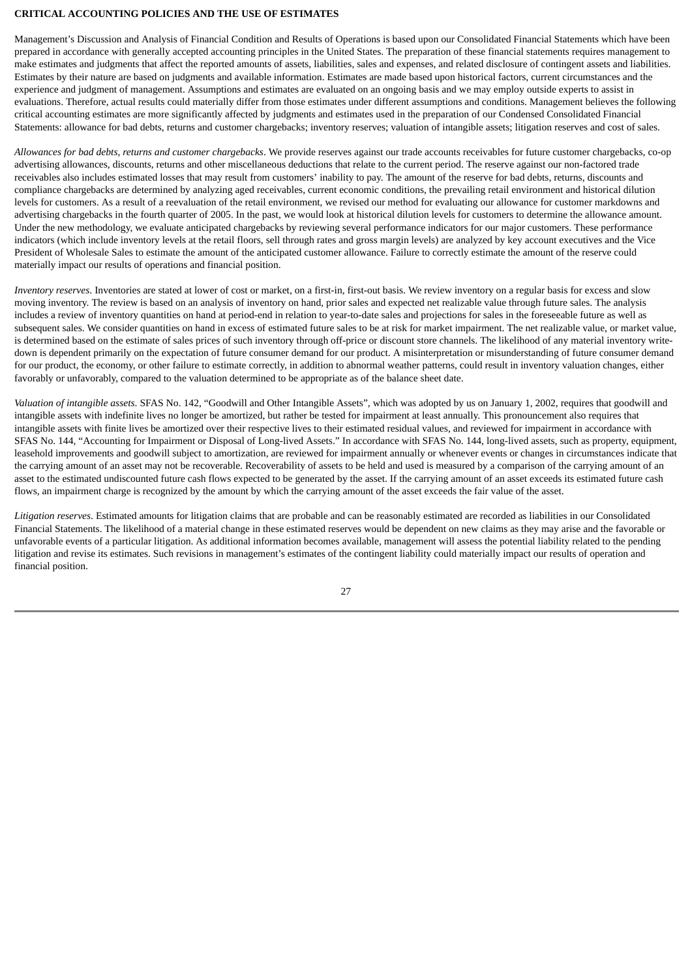## **CRITICAL ACCOUNTING POLICIES AND THE USE OF ESTIMATES**

Management's Discussion and Analysis of Financial Condition and Results of Operations is based upon our Consolidated Financial Statements which have been prepared in accordance with generally accepted accounting principles in the United States. The preparation of these financial statements requires management to make estimates and judgments that affect the reported amounts of assets, liabilities, sales and expenses, and related disclosure of contingent assets and liabilities. Estimates by their nature are based on judgments and available information. Estimates are made based upon historical factors, current circumstances and the experience and judgment of management. Assumptions and estimates are evaluated on an ongoing basis and we may employ outside experts to assist in evaluations. Therefore, actual results could materially differ from those estimates under different assumptions and conditions. Management believes the following critical accounting estimates are more significantly affected by judgments and estimates used in the preparation of our Condensed Consolidated Financial Statements: allowance for bad debts, returns and customer chargebacks; inventory reserves; valuation of intangible assets; litigation reserves and cost of sales.

*Allowances for bad debts, returns and customer chargebacks*. We provide reserves against our trade accounts receivables for future customer chargebacks, co-op advertising allowances, discounts, returns and other miscellaneous deductions that relate to the current period. The reserve against our non-factored trade receivables also includes estimated losses that may result from customers' inability to pay. The amount of the reserve for bad debts, returns, discounts and compliance chargebacks are determined by analyzing aged receivables, current economic conditions, the prevailing retail environment and historical dilution levels for customers. As a result of a reevaluation of the retail environment, we revised our method for evaluating our allowance for customer markdowns and advertising chargebacks in the fourth quarter of 2005. In the past, we would look at historical dilution levels for customers to determine the allowance amount. Under the new methodology, we evaluate anticipated chargebacks by reviewing several performance indicators for our major customers. These performance indicators (which include inventory levels at the retail floors, sell through rates and gross margin levels) are analyzed by key account executives and the Vice President of Wholesale Sales to estimate the amount of the anticipated customer allowance. Failure to correctly estimate the amount of the reserve could materially impact our results of operations and financial position.

*Inventory reserves*. Inventories are stated at lower of cost or market, on a first-in, first-out basis. We review inventory on a regular basis for excess and slow moving inventory. The review is based on an analysis of inventory on hand, prior sales and expected net realizable value through future sales. The analysis includes a review of inventory quantities on hand at period-end in relation to year-to-date sales and projections for sales in the foreseeable future as well as subsequent sales. We consider quantities on hand in excess of estimated future sales to be at risk for market impairment. The net realizable value, or market value, is determined based on the estimate of sales prices of such inventory through off-price or discount store channels. The likelihood of any material inventory writedown is dependent primarily on the expectation of future consumer demand for our product. A misinterpretation or misunderstanding of future consumer demand for our product, the economy, or other failure to estimate correctly, in addition to abnormal weather patterns, could result in inventory valuation changes, either favorably or unfavorably, compared to the valuation determined to be appropriate as of the balance sheet date.

*Valuation of intangible assets*. SFAS No. 142, "Goodwill and Other Intangible Assets", which was adopted by us on January 1, 2002, requires that goodwill and intangible assets with indefinite lives no longer be amortized, but rather be tested for impairment at least annually. This pronouncement also requires that intangible assets with finite lives be amortized over their respective lives to their estimated residual values, and reviewed for impairment in accordance with SFAS No. 144, "Accounting for Impairment or Disposal of Long-lived Assets." In accordance with SFAS No. 144, long-lived assets, such as property, equipment, leasehold improvements and goodwill subject to amortization, are reviewed for impairment annually or whenever events or changes in circumstances indicate that the carrying amount of an asset may not be recoverable. Recoverability of assets to be held and used is measured by a comparison of the carrying amount of an asset to the estimated undiscounted future cash flows expected to be generated by the asset. If the carrying amount of an asset exceeds its estimated future cash flows, an impairment charge is recognized by the amount by which the carrying amount of the asset exceeds the fair value of the asset.

*Litigation reserves*. Estimated amounts for litigation claims that are probable and can be reasonably estimated are recorded as liabilities in our Consolidated Financial Statements. The likelihood of a material change in these estimated reserves would be dependent on new claims as they may arise and the favorable or unfavorable events of a particular litigation. As additional information becomes available, management will assess the potential liability related to the pending litigation and revise its estimates. Such revisions in management's estimates of the contingent liability could materially impact our results of operation and financial position.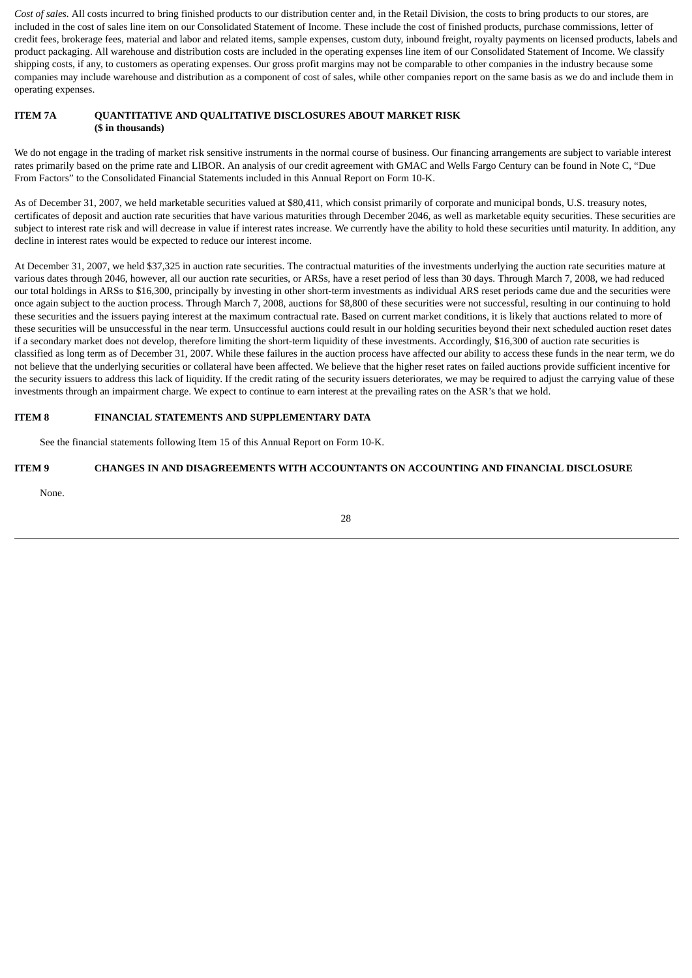*Cost of sales.* All costs incurred to bring finished products to our distribution center and, in the Retail Division, the costs to bring products to our stores, are included in the cost of sales line item on our Consolidated Statement of Income. These include the cost of finished products, purchase commissions, letter of credit fees, brokerage fees, material and labor and related items, sample expenses, custom duty, inbound freight, royalty payments on licensed products, labels and product packaging. All warehouse and distribution costs are included in the operating expenses line item of our Consolidated Statement of Income. We classify shipping costs, if any, to customers as operating expenses. Our gross profit margins may not be comparable to other companies in the industry because some companies may include warehouse and distribution as a component of cost of sales, while other companies report on the same basis as we do and include them in operating expenses.

## <span id="page-29-0"></span>**ITEM 7A QUANTITATIVE AND QUALITATIVE DISCLOSURES ABOUT MARKET RISK (\$ in thousands)**

We do not engage in the trading of market risk sensitive instruments in the normal course of business. Our financing arrangements are subject to variable interest rates primarily based on the prime rate and LIBOR. An analysis of our credit agreement with GMAC and Wells Fargo Century can be found in Note C, "Due From Factors" to the Consolidated Financial Statements included in this Annual Report on Form 10-K.

As of December 31, 2007, we held marketable securities valued at \$80,411, which consist primarily of corporate and municipal bonds, U.S. treasury notes, certificates of deposit and auction rate securities that have various maturities through December 2046, as well as marketable equity securities. These securities are subject to interest rate risk and will decrease in value if interest rates increase. We currently have the ability to hold these securities until maturity. In addition, any decline in interest rates would be expected to reduce our interest income.

At December 31, 2007, we held \$37,325 in auction rate securities. The contractual maturities of the investments underlying the auction rate securities mature at various dates through 2046, however, all our auction rate securities, or ARSs, have a reset period of less than 30 days. Through March 7, 2008, we had reduced our total holdings in ARSs to \$16,300, principally by investing in other short-term investments as individual ARS reset periods came due and the securities were once again subject to the auction process. Through March 7, 2008, auctions for \$8,800 of these securities were not successful, resulting in our continuing to hold these securities and the issuers paying interest at the maximum contractual rate. Based on current market conditions, it is likely that auctions related to more of these securities will be unsuccessful in the near term. Unsuccessful auctions could result in our holding securities beyond their next scheduled auction reset dates if a secondary market does not develop, therefore limiting the short-term liquidity of these investments. Accordingly, \$16,300 of auction rate securities is classified as long term as of December 31, 2007. While these failures in the auction process have affected our ability to access these funds in the near term, we do not believe that the underlying securities or collateral have been affected. We believe that the higher reset rates on failed auctions provide sufficient incentive for the security issuers to address this lack of liquidity. If the credit rating of the security issuers deteriorates, we may be required to adjust the carrying value of these investments through an impairment charge. We expect to continue to earn interest at the prevailing rates on the ASR's that we hold.

## **ITEM 8 FINANCIAL STATEMENTS AND SUPPLEMENTARY DATA**

<span id="page-29-2"></span><span id="page-29-1"></span>See the financial statements following Item 15 of this Annual Report on Form 10-K.

## **ITEM 9 CHANGES IN AND DISAGREEMENTS WITH ACCOUNTANTS ON ACCOUNTING AND FINANCIAL DISCLOSURE**

None.

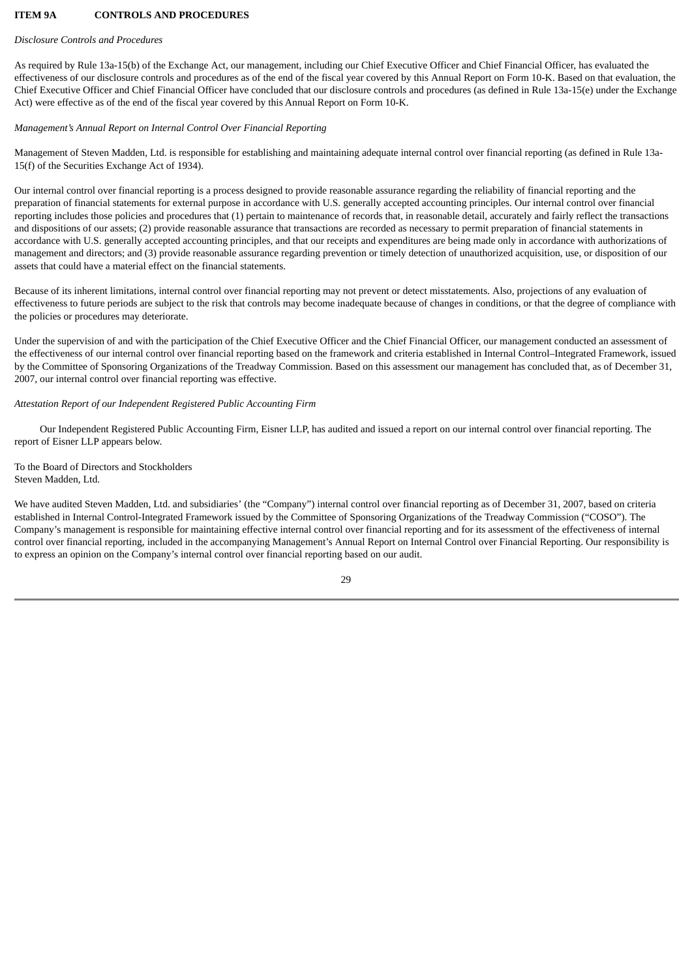## <span id="page-30-0"></span>**ITEM 9A CONTROLS AND PROCEDURES**

#### *Disclosure Controls and Procedures*

As required by Rule 13a-15(b) of the Exchange Act, our management, including our Chief Executive Officer and Chief Financial Officer, has evaluated the effectiveness of our disclosure controls and procedures as of the end of the fiscal year covered by this Annual Report on Form 10-K. Based on that evaluation, the Chief Executive Officer and Chief Financial Officer have concluded that our disclosure controls and procedures (as defined in Rule 13a-15(e) under the Exchange Act) were effective as of the end of the fiscal year covered by this Annual Report on Form 10-K.

#### *Management's Annual Report on Internal Control Over Financial Reporting*

Management of Steven Madden, Ltd. is responsible for establishing and maintaining adequate internal control over financial reporting (as defined in Rule 13a-15(f) of the Securities Exchange Act of 1934).

Our internal control over financial reporting is a process designed to provide reasonable assurance regarding the reliability of financial reporting and the preparation of financial statements for external purpose in accordance with U.S. generally accepted accounting principles. Our internal control over financial reporting includes those policies and procedures that (1) pertain to maintenance of records that, in reasonable detail, accurately and fairly reflect the transactions and dispositions of our assets; (2) provide reasonable assurance that transactions are recorded as necessary to permit preparation of financial statements in accordance with U.S. generally accepted accounting principles, and that our receipts and expenditures are being made only in accordance with authorizations of management and directors; and (3) provide reasonable assurance regarding prevention or timely detection of unauthorized acquisition, use, or disposition of our assets that could have a material effect on the financial statements.

Because of its inherent limitations, internal control over financial reporting may not prevent or detect misstatements. Also, projections of any evaluation of effectiveness to future periods are subject to the risk that controls may become inadequate because of changes in conditions, or that the degree of compliance with the policies or procedures may deteriorate.

Under the supervision of and with the participation of the Chief Executive Officer and the Chief Financial Officer, our management conducted an assessment of the effectiveness of our internal control over financial reporting based on the framework and criteria established in Internal Control–Integrated Framework, issued by the Committee of Sponsoring Organizations of the Treadway Commission. Based on this assessment our management has concluded that, as of December 31, 2007, our internal control over financial reporting was effective.

### *Attestation Report of our Independent Registered Public Accounting Firm*

 Our Independent Registered Public Accounting Firm, Eisner LLP, has audited and issued a report on our internal control over financial reporting. The report of Eisner LLP appears below.

To the Board of Directors and Stockholders Steven Madden, Ltd.

We have audited Steven Madden, Ltd. and subsidiaries' (the "Company") internal control over financial reporting as of December 31, 2007, based on criteria established in Internal Control-Integrated Framework issued by the Committee of Sponsoring Organizations of the Treadway Commission ("COSO"). The Company's management is responsible for maintaining effective internal control over financial reporting and for its assessment of the effectiveness of internal control over financial reporting, included in the accompanying Management's Annual Report on Internal Control over Financial Reporting. Our responsibility is to express an opinion on the Company's internal control over financial reporting based on our audit.

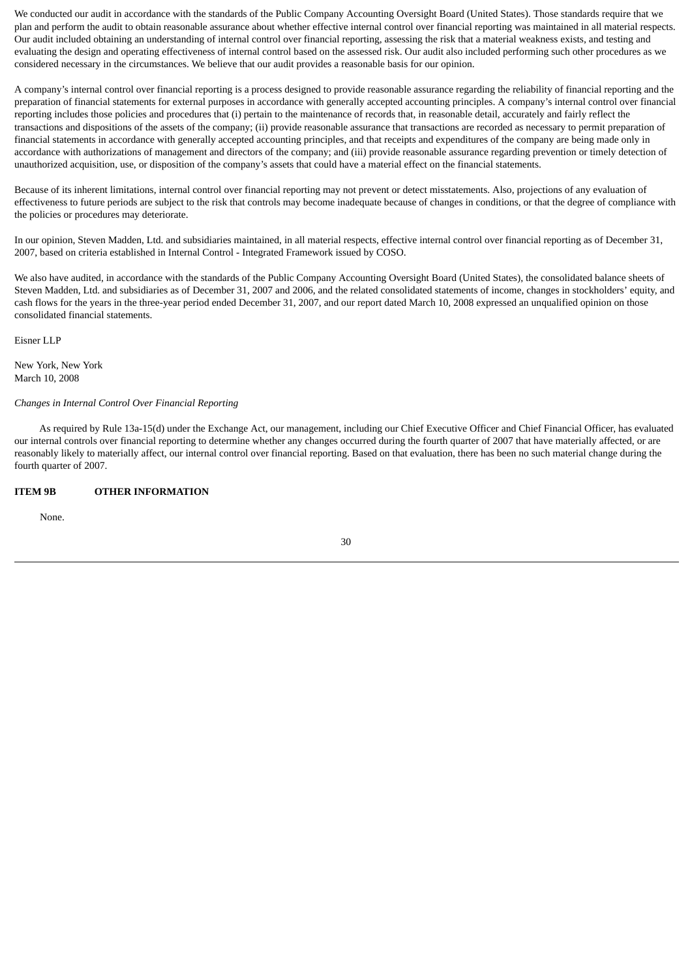We conducted our audit in accordance with the standards of the Public Company Accounting Oversight Board (United States). Those standards require that we plan and perform the audit to obtain reasonable assurance about whether effective internal control over financial reporting was maintained in all material respects. Our audit included obtaining an understanding of internal control over financial reporting, assessing the risk that a material weakness exists, and testing and evaluating the design and operating effectiveness of internal control based on the assessed risk. Our audit also included performing such other procedures as we considered necessary in the circumstances. We believe that our audit provides a reasonable basis for our opinion.

A company's internal control over financial reporting is a process designed to provide reasonable assurance regarding the reliability of financial reporting and the preparation of financial statements for external purposes in accordance with generally accepted accounting principles. A company's internal control over financial reporting includes those policies and procedures that (i) pertain to the maintenance of records that, in reasonable detail, accurately and fairly reflect the transactions and dispositions of the assets of the company; (ii) provide reasonable assurance that transactions are recorded as necessary to permit preparation of financial statements in accordance with generally accepted accounting principles, and that receipts and expenditures of the company are being made only in accordance with authorizations of management and directors of the company; and (iii) provide reasonable assurance regarding prevention or timely detection of unauthorized acquisition, use, or disposition of the company's assets that could have a material effect on the financial statements.

Because of its inherent limitations, internal control over financial reporting may not prevent or detect misstatements. Also, projections of any evaluation of effectiveness to future periods are subject to the risk that controls may become inadequate because of changes in conditions, or that the degree of compliance with the policies or procedures may deteriorate.

In our opinion, Steven Madden, Ltd. and subsidiaries maintained, in all material respects, effective internal control over financial reporting as of December 31, 2007, based on criteria established in Internal Control - Integrated Framework issued by COSO.

We also have audited, in accordance with the standards of the Public Company Accounting Oversight Board (United States), the consolidated balance sheets of Steven Madden, Ltd. and subsidiaries as of December 31, 2007 and 2006, and the related consolidated statements of income, changes in stockholders' equity, and cash flows for the years in the three-year period ended December 31, 2007, and our report dated March 10, 2008 expressed an unqualified opinion on those consolidated financial statements.

Eisner LLP

New York, New York March 10, 2008

#### *Changes in Internal Control Over Financial Reporting*

 As required by Rule 13a-15(d) under the Exchange Act, our management, including our Chief Executive Officer and Chief Financial Officer, has evaluated our internal controls over financial reporting to determine whether any changes occurred during the fourth quarter of 2007 that have materially affected, or are reasonably likely to materially affect, our internal control over financial reporting. Based on that evaluation, there has been no such material change during the fourth quarter of 2007.

#### **ITEM 9B OTHER INFORMATION**

<span id="page-31-0"></span>None.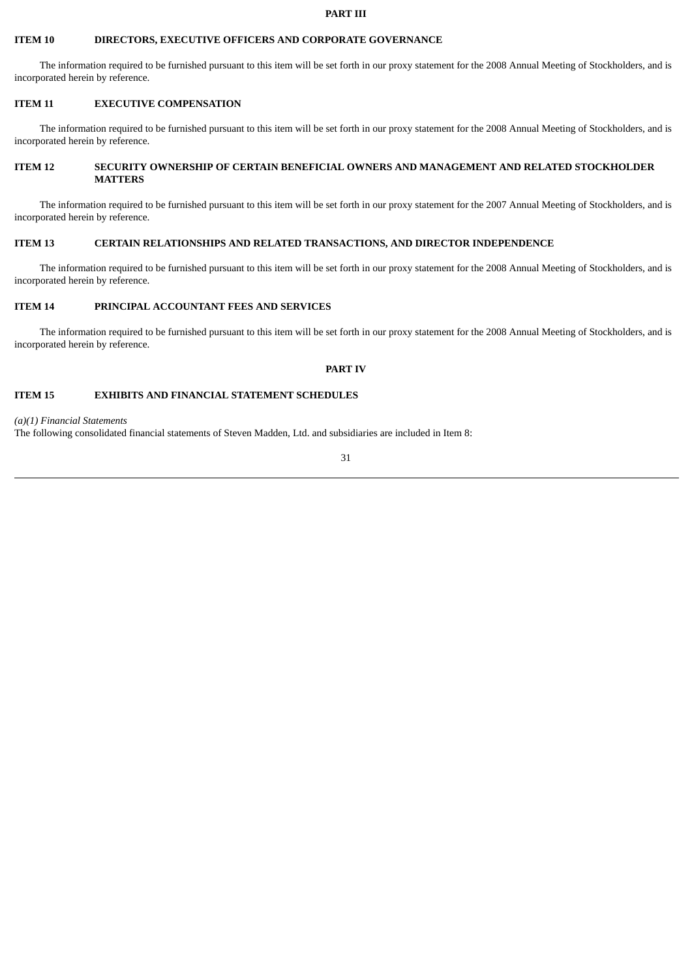#### **PART III**

#### <span id="page-32-1"></span><span id="page-32-0"></span>**ITEM 10 DIRECTORS, EXECUTIVE OFFICERS AND CORPORATE GOVERNANCE**

 The information required to be furnished pursuant to this item will be set forth in our proxy statement for the 2008 Annual Meeting of Stockholders, and is incorporated herein by reference.

#### <span id="page-32-2"></span>**ITEM 11 EXECUTIVE COMPENSATION**

 The information required to be furnished pursuant to this item will be set forth in our proxy statement for the 2008 Annual Meeting of Stockholders, and is incorporated herein by reference.

#### <span id="page-32-3"></span>**ITEM 12 SECURITY OWNERSHIP OF CERTAIN BENEFICIAL OWNERS AND MANAGEMENT AND RELATED STOCKHOLDER MATTERS**

 The information required to be furnished pursuant to this item will be set forth in our proxy statement for the 2007 Annual Meeting of Stockholders, and is incorporated herein by reference.

## <span id="page-32-4"></span>**ITEM 13 CERTAIN RELATIONSHIPS AND RELATED TRANSACTIONS, AND DIRECTOR INDEPENDENCE**

 The information required to be furnished pursuant to this item will be set forth in our proxy statement for the 2008 Annual Meeting of Stockholders, and is incorporated herein by reference.

#### <span id="page-32-5"></span>**ITEM 14 PRINCIPAL ACCOUNTANT FEES AND SERVICES**

 The information required to be furnished pursuant to this item will be set forth in our proxy statement for the 2008 Annual Meeting of Stockholders, and is incorporated herein by reference.

#### **PART IV**

## <span id="page-32-7"></span><span id="page-32-6"></span>**ITEM 15 EXHIBITS AND FINANCIAL STATEMENT SCHEDULES**

*(a)(1) Financial Statements*

The following consolidated financial statements of Steven Madden, Ltd. and subsidiaries are included in Item 8: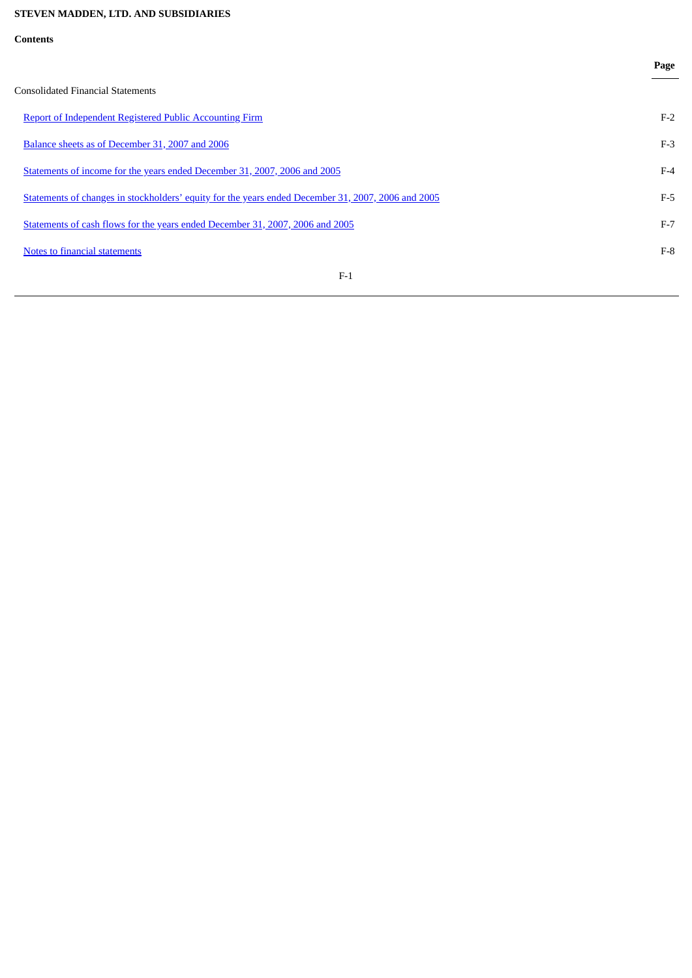## **STEVEN MADDEN, LTD. AND SUBSIDIARIES**

## **Contents**

|                                                                                                    | Page  |
|----------------------------------------------------------------------------------------------------|-------|
| Consolidated Financial Statements                                                                  |       |
| Report of Independent Registered Public Accounting Firm                                            | $F-2$ |
| Balance sheets as of December 31, 2007 and 2006                                                    | $F-3$ |
| Statements of income for the years ended December 31, 2007, 2006 and 2005                          | $F-4$ |
| Statements of changes in stockholders' equity for the years ended December 31, 2007, 2006 and 2005 | $F-5$ |
| Statements of cash flows for the years ended December 31, 2007, 2006 and 2005                      | $F-7$ |
| <b>Notes to financial statements</b>                                                               | $F-8$ |
| $F-1$                                                                                              |       |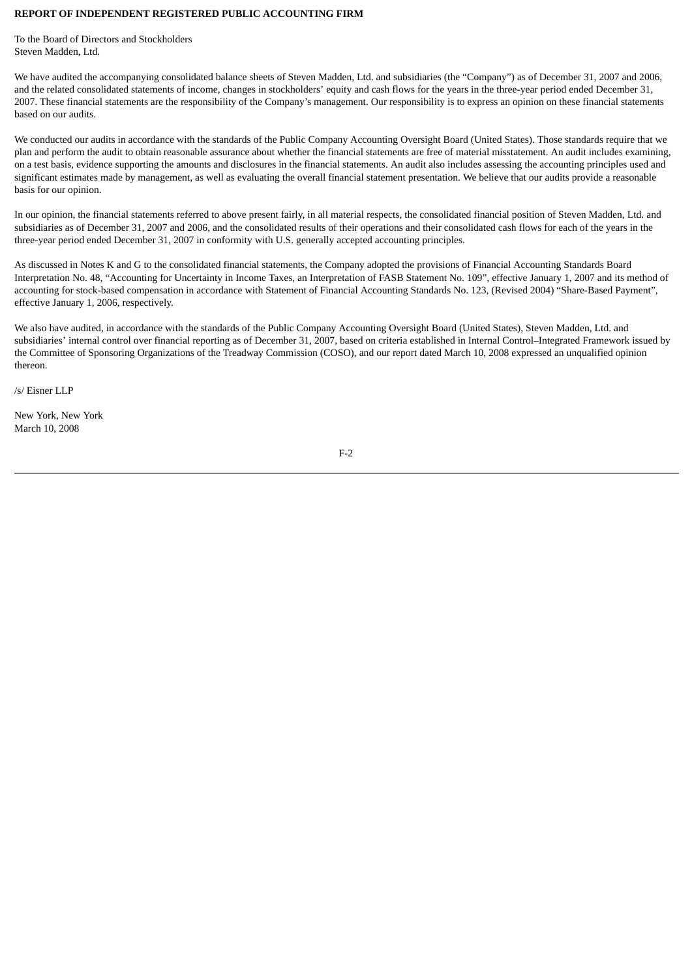## <span id="page-34-0"></span>**REPORT OF INDEPENDENT REGISTERED PUBLIC ACCOUNTING FIRM**

To the Board of Directors and Stockholders Steven Madden, Ltd.

We have audited the accompanying consolidated balance sheets of Steven Madden, Ltd. and subsidiaries (the "Company") as of December 31, 2007 and 2006, and the related consolidated statements of income, changes in stockholders' equity and cash flows for the years in the three-year period ended December 31, 2007. These financial statements are the responsibility of the Company's management. Our responsibility is to express an opinion on these financial statements based on our audits.

We conducted our audits in accordance with the standards of the Public Company Accounting Oversight Board (United States). Those standards require that we plan and perform the audit to obtain reasonable assurance about whether the financial statements are free of material misstatement. An audit includes examining, on a test basis, evidence supporting the amounts and disclosures in the financial statements. An audit also includes assessing the accounting principles used and significant estimates made by management, as well as evaluating the overall financial statement presentation. We believe that our audits provide a reasonable basis for our opinion.

In our opinion, the financial statements referred to above present fairly, in all material respects, the consolidated financial position of Steven Madden, Ltd. and subsidiaries as of December 31, 2007 and 2006, and the consolidated results of their operations and their consolidated cash flows for each of the years in the three-year period ended December 31, 2007 in conformity with U.S. generally accepted accounting principles.

As discussed in Notes K and G to the consolidated financial statements, the Company adopted the provisions of Financial Accounting Standards Board Interpretation No. 48, "Accounting for Uncertainty in Income Taxes, an Interpretation of FASB Statement No. 109", effective January 1, 2007 and its method of accounting for stock-based compensation in accordance with Statement of Financial Accounting Standards No. 123, (Revised 2004) "Share-Based Payment", effective January 1, 2006, respectively.

We also have audited, in accordance with the standards of the Public Company Accounting Oversight Board (United States), Steven Madden, Ltd. and subsidiaries' internal control over financial reporting as of December 31, 2007, based on criteria established in Internal Control–Integrated Framework issued by the Committee of Sponsoring Organizations of the Treadway Commission (COSO), and our report dated March 10, 2008 expressed an unqualified opinion thereon.

/s/ Eisner LLP

New York, New York March 10, 2008

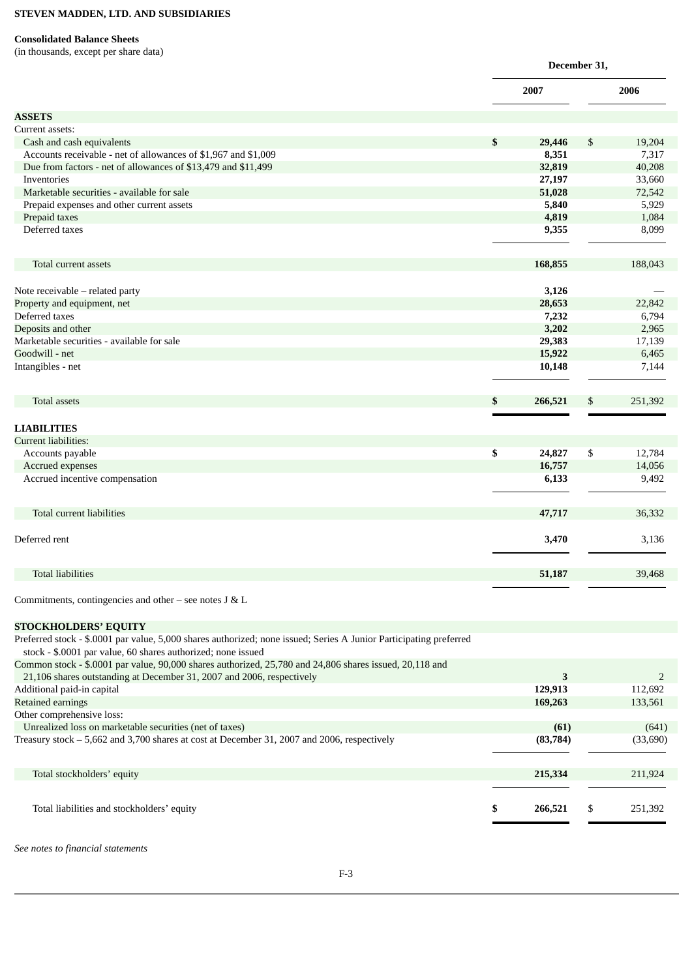## **STEVEN MADDEN, LTD. AND SUBSIDIARIES**

## <span id="page-35-0"></span>**Consolidated Balance Sheets**

(in thousands, except per share data)

|                                                                                                                                                                                    |               | December 31, |          |
|------------------------------------------------------------------------------------------------------------------------------------------------------------------------------------|---------------|--------------|----------|
|                                                                                                                                                                                    | 2007          |              | 2006     |
| <b>ASSETS</b>                                                                                                                                                                      |               |              |          |
| Current assets:                                                                                                                                                                    |               |              |          |
| Cash and cash equivalents                                                                                                                                                          | \$<br>29,446  | \$           | 19,204   |
| Accounts receivable - net of allowances of \$1,967 and \$1,009                                                                                                                     | 8,351         |              | 7,317    |
| Due from factors - net of allowances of \$13,479 and \$11,499                                                                                                                      | 32,819        |              | 40,208   |
| Inventories                                                                                                                                                                        | 27,197        |              | 33,660   |
| Marketable securities - available for sale                                                                                                                                         | 51,028        |              | 72,542   |
| Prepaid expenses and other current assets                                                                                                                                          | 5,840         |              | 5,929    |
| Prepaid taxes                                                                                                                                                                      | 4,819         |              | 1,084    |
| Deferred taxes                                                                                                                                                                     | 9,355         |              | 8,099    |
| Total current assets                                                                                                                                                               | 168,855       |              | 188,043  |
|                                                                                                                                                                                    |               |              |          |
| Note receivable - related party                                                                                                                                                    | 3,126         |              |          |
| Property and equipment, net                                                                                                                                                        | 28,653        |              | 22,842   |
| Deferred taxes                                                                                                                                                                     | 7,232         |              | 6,794    |
| Deposits and other                                                                                                                                                                 | 3,202         |              | 2,965    |
| Marketable securities - available for sale<br>Goodwill - net                                                                                                                       | 29,383        |              | 17,139   |
|                                                                                                                                                                                    | 15,922        |              | 6,465    |
| Intangibles - net                                                                                                                                                                  | 10,148        |              | 7,144    |
| <b>Total assets</b>                                                                                                                                                                | \$<br>266,521 | \$           | 251,392  |
| <b>LIABILITIES</b>                                                                                                                                                                 |               |              |          |
| <b>Current liabilities:</b>                                                                                                                                                        |               |              |          |
| Accounts payable                                                                                                                                                                   | \$<br>24,827  | \$           | 12,784   |
| Accrued expenses                                                                                                                                                                   | 16,757        |              | 14,056   |
| Accrued incentive compensation                                                                                                                                                     | 6,133         |              | 9,492    |
|                                                                                                                                                                                    |               |              |          |
| Total current liabilities                                                                                                                                                          | 47,717        |              | 36,332   |
| Deferred rent                                                                                                                                                                      | 3,470         |              | 3,136    |
| <b>Total liabilities</b>                                                                                                                                                           | 51,187        |              | 39,468   |
| Commitments, contingencies and other $-$ see notes J & L                                                                                                                           |               |              |          |
|                                                                                                                                                                                    |               |              |          |
| <b>STOCKHOLDERS' EQUITY</b>                                                                                                                                                        |               |              |          |
| Preferred stock - \$.0001 par value, 5,000 shares authorized; none issued; Series A Junior Participating preferred<br>stock - \$.0001 par value, 60 shares authorized; none issued |               |              |          |
| Common stock - \$.0001 par value, 90,000 shares authorized, 25,780 and 24,806 shares issued, 20,118 and<br>21,106 shares outstanding at December 31, 2007 and 2006, respectively   | 3             |              | 2        |
| Additional paid-in capital                                                                                                                                                         | 129,913       |              | 112,692  |
| Retained earnings                                                                                                                                                                  | 169,263       |              | 133,561  |
| Other comprehensive loss:                                                                                                                                                          |               |              |          |
| Unrealized loss on marketable securities (net of taxes)                                                                                                                            | (61)          |              | (641)    |
| Treasury stock - 5,662 and 3,700 shares at cost at December 31, 2007 and 2006, respectively                                                                                        | (83,784)      |              | (33,690) |
| Total stockholders' equity                                                                                                                                                         | 215,334       |              | 211,924  |
|                                                                                                                                                                                    |               |              |          |
| Total liabilities and stockholders' equity                                                                                                                                         | \$<br>266,521 | \$           | 251,392  |

*See notes to financial statements*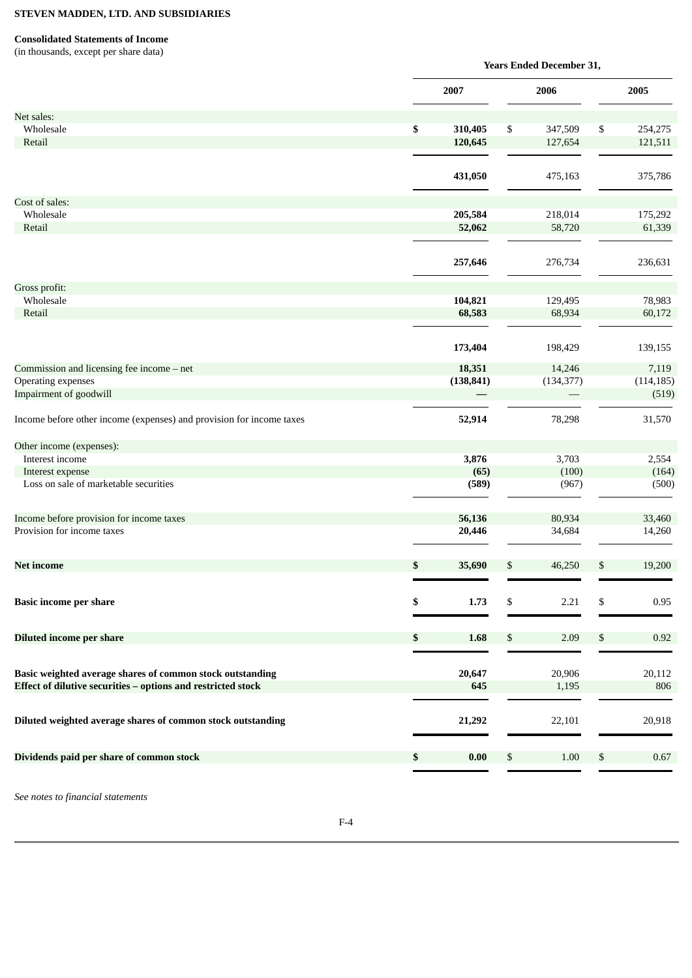# **Consolidated Statements of Income**

(in thousands, except per share data)

|                                                                      | <b>Years Ended December 31,</b> |    |            |    |            |
|----------------------------------------------------------------------|---------------------------------|----|------------|----|------------|
|                                                                      | 2007                            |    | 2006       |    | 2005       |
| Net sales:                                                           |                                 |    |            |    |            |
| Wholesale                                                            | \$<br>310,405                   | \$ | 347,509    | \$ | 254,275    |
| Retail                                                               | 120,645                         |    | 127,654    |    | 121,511    |
|                                                                      |                                 |    |            |    |            |
|                                                                      | 431,050                         |    | 475,163    |    | 375,786    |
|                                                                      |                                 |    |            |    |            |
| Cost of sales:<br>Wholesale                                          |                                 |    |            |    |            |
|                                                                      | 205,584                         |    | 218,014    |    | 175,292    |
| Retail                                                               | 52,062                          |    | 58,720     |    | 61,339     |
|                                                                      | 257,646                         |    | 276,734    |    | 236,631    |
| Gross profit:                                                        |                                 |    |            |    |            |
| Wholesale                                                            | 104,821                         |    | 129,495    |    | 78,983     |
| Retail                                                               | 68,583                          |    | 68,934     |    | 60,172     |
|                                                                      | 173,404                         |    | 198,429    |    | 139,155    |
|                                                                      |                                 |    |            |    |            |
| Commission and licensing fee income - net                            | 18,351                          |    | 14,246     |    | 7,119      |
| Operating expenses                                                   | (138, 841)                      |    | (134, 377) |    | (114, 185) |
| Impairment of goodwill                                               |                                 |    |            |    | (519)      |
| Income before other income (expenses) and provision for income taxes | 52,914                          |    | 78,298     |    | 31,570     |
| Other income (expenses):                                             |                                 |    |            |    |            |
| Interest income                                                      | 3,876                           |    | 3,703      |    | 2,554      |
| Interest expense                                                     | (65)                            |    | (100)      |    | (164)      |
| Loss on sale of marketable securities                                | (589)                           |    | (967)      |    | (500)      |
| Income before provision for income taxes                             | 56,136                          |    | 80,934     |    | 33,460     |
| Provision for income taxes                                           | 20,446                          |    | 34,684     |    | 14,260     |
|                                                                      |                                 |    |            |    |            |
| <b>Net income</b>                                                    | \$<br>35,690                    | \$ | 46,250     | \$ | 19,200     |
| <b>Basic income per share</b>                                        | \$<br>1.73                      | \$ | 2.21       | \$ | 0.95       |
|                                                                      |                                 |    |            |    |            |
| <b>Diluted income per share</b>                                      | \$<br>1.68                      | \$ | 2.09       | \$ | 0.92       |
|                                                                      |                                 |    |            |    |            |
| Basic weighted average shares of common stock outstanding            | 20,647                          |    | 20,906     |    | 20,112     |
| Effect of dilutive securities - options and restricted stock         | 645                             |    | 1,195      |    | 806        |
| Diluted weighted average shares of common stock outstanding          | 21,292                          |    | 22,101     |    | 20,918     |
|                                                                      |                                 |    |            |    |            |
| Dividends paid per share of common stock                             | \$<br>0.00                      | \$ | 1.00       | \$ | 0.67       |
|                                                                      |                                 |    |            |    |            |

*See notes to financial statements*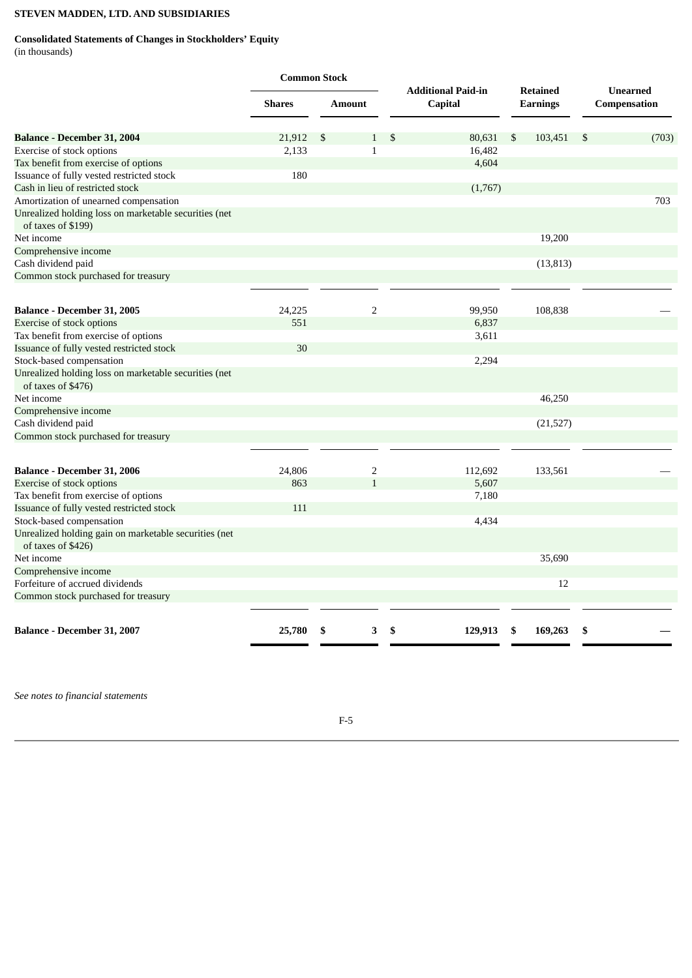# **Consolidated Statements of Changes in Stockholders' Equity**

(in thousands)

|                                                                              | <b>Common Stock</b> |                    |               |                                      | <b>Retained</b> |                 | <b>Unearned</b> |              |
|------------------------------------------------------------------------------|---------------------|--------------------|---------------|--------------------------------------|-----------------|-----------------|-----------------|--------------|
|                                                                              | <b>Shares</b>       | Amount             |               | <b>Additional Paid-in</b><br>Capital |                 | <b>Earnings</b> |                 | Compensation |
| <b>Balance - December 31, 2004</b>                                           | 21,912              | \$<br>$\mathbf{1}$ | $\mathcal{S}$ | 80,631                               | \$              | 103,451         | \$              | (703)        |
| Exercise of stock options                                                    | 2,133               | $\mathbf{1}$       |               | 16,482                               |                 |                 |                 |              |
| Tax benefit from exercise of options                                         |                     |                    |               | 4,604                                |                 |                 |                 |              |
| Issuance of fully vested restricted stock                                    | 180                 |                    |               |                                      |                 |                 |                 |              |
| Cash in lieu of restricted stock                                             |                     |                    |               | (1,767)                              |                 |                 |                 |              |
| Amortization of unearned compensation                                        |                     |                    |               |                                      |                 |                 |                 | 703          |
| Unrealized holding loss on marketable securities (net<br>of taxes of \$199)  |                     |                    |               |                                      |                 |                 |                 |              |
| Net income                                                                   |                     |                    |               |                                      |                 | 19,200          |                 |              |
| Comprehensive income                                                         |                     |                    |               |                                      |                 |                 |                 |              |
| Cash dividend paid                                                           |                     |                    |               |                                      |                 | (13, 813)       |                 |              |
| Common stock purchased for treasury                                          |                     |                    |               |                                      |                 |                 |                 |              |
|                                                                              |                     |                    |               |                                      |                 |                 |                 |              |
| Balance - December 31, 2005                                                  | 24,225              | $\overline{2}$     |               | 99,950                               |                 | 108,838         |                 |              |
| <b>Exercise of stock options</b>                                             | 551                 |                    |               | 6,837                                |                 |                 |                 |              |
| Tax benefit from exercise of options                                         |                     |                    |               | 3,611                                |                 |                 |                 |              |
| Issuance of fully vested restricted stock                                    | 30                  |                    |               |                                      |                 |                 |                 |              |
| Stock-based compensation                                                     |                     |                    |               | 2,294                                |                 |                 |                 |              |
| Unrealized holding loss on marketable securities (net<br>of taxes of $$476)$ |                     |                    |               |                                      |                 |                 |                 |              |
| Net income                                                                   |                     |                    |               |                                      |                 | 46,250          |                 |              |
| Comprehensive income                                                         |                     |                    |               |                                      |                 |                 |                 |              |
| Cash dividend paid                                                           |                     |                    |               |                                      |                 | (21,527)        |                 |              |
| Common stock purchased for treasury                                          |                     |                    |               |                                      |                 |                 |                 |              |
|                                                                              |                     |                    |               |                                      |                 |                 |                 |              |
| Balance - December 31, 2006                                                  | 24,806              | $\overline{2}$     |               | 112,692                              |                 | 133,561         |                 |              |
| <b>Exercise of stock options</b>                                             | 863                 | $\mathbf{1}$       |               | 5,607                                |                 |                 |                 |              |
| Tax benefit from exercise of options                                         |                     |                    |               | 7,180                                |                 |                 |                 |              |
| Issuance of fully vested restricted stock                                    | 111                 |                    |               |                                      |                 |                 |                 |              |
| Stock-based compensation                                                     |                     |                    |               | 4,434                                |                 |                 |                 |              |
| Unrealized holding gain on marketable securities (net<br>of taxes of \$426)  |                     |                    |               |                                      |                 |                 |                 |              |
| Net income                                                                   |                     |                    |               |                                      |                 | 35,690          |                 |              |
| Comprehensive income                                                         |                     |                    |               |                                      |                 |                 |                 |              |
| Forfeiture of accrued dividends                                              |                     |                    |               |                                      |                 | 12              |                 |              |
| Common stock purchased for treasury                                          |                     |                    |               |                                      |                 |                 |                 |              |
|                                                                              |                     |                    |               |                                      |                 |                 |                 |              |
| <b>Balance - December 31, 2007</b>                                           | 25,780              | \$<br>3            | \$            | 129,913                              | \$              | 169,263         | S               |              |

*See notes to financial statements*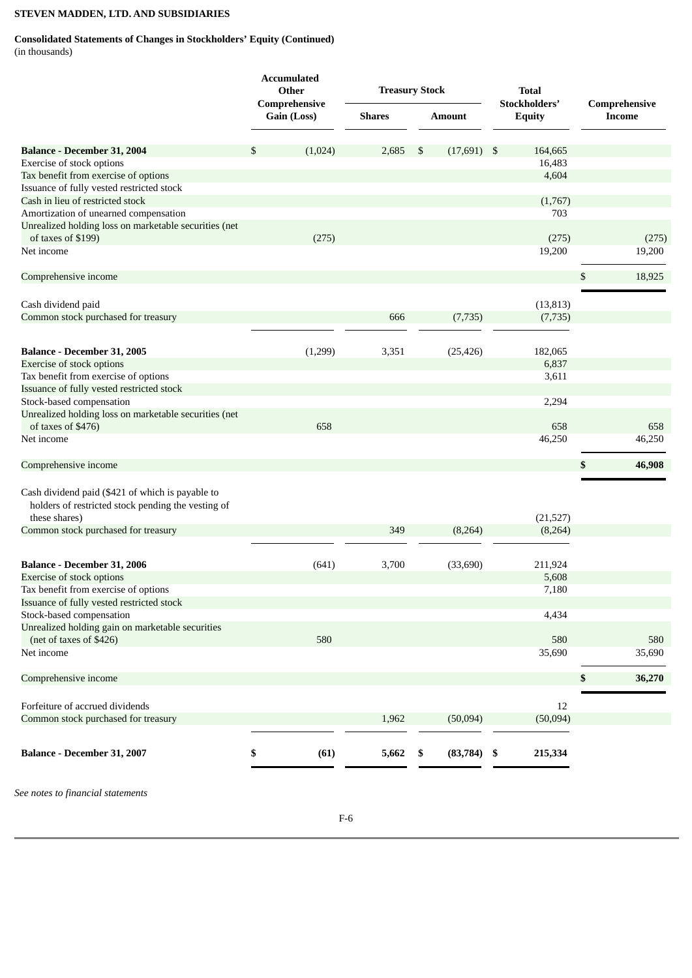# **Consolidated Statements of Changes in Stockholders' Equity (Continued)**

(in thousands)

|                                                                                                        | <b>Accumulated</b><br>Other<br>Comprehensive | <b>Treasury Stock</b> |                     |    | <b>Total</b>  |    | Stockholders' |  | Comprehensive |
|--------------------------------------------------------------------------------------------------------|----------------------------------------------|-----------------------|---------------------|----|---------------|----|---------------|--|---------------|
|                                                                                                        | Gain (Loss)                                  | <b>Shares</b>         | <b>Amount</b>       |    | <b>Equity</b> |    | <b>Income</b> |  |               |
| Balance - December 31, 2004                                                                            | \$<br>(1,024)                                | 2,685                 | \$<br>$(17,691)$ \$ |    | 164,665       |    |               |  |               |
| Exercise of stock options                                                                              |                                              |                       |                     |    | 16,483        |    |               |  |               |
| Tax benefit from exercise of options                                                                   |                                              |                       |                     |    | 4,604         |    |               |  |               |
| Issuance of fully vested restricted stock                                                              |                                              |                       |                     |    |               |    |               |  |               |
| Cash in lieu of restricted stock                                                                       |                                              |                       |                     |    | (1,767)       |    |               |  |               |
| Amortization of unearned compensation                                                                  |                                              |                       |                     |    | 703           |    |               |  |               |
| Unrealized holding loss on marketable securities (net                                                  |                                              |                       |                     |    |               |    |               |  |               |
| of taxes of \$199)                                                                                     | (275)                                        |                       |                     |    | (275)         |    | (275)         |  |               |
| Net income                                                                                             |                                              |                       |                     |    | 19,200        |    | 19,200        |  |               |
|                                                                                                        |                                              |                       |                     |    |               |    |               |  |               |
| Comprehensive income                                                                                   |                                              |                       |                     |    |               | \$ | 18,925        |  |               |
| Cash dividend paid                                                                                     |                                              |                       |                     |    | (13, 813)     |    |               |  |               |
| Common stock purchased for treasury                                                                    |                                              | 666                   | (7, 735)            |    | (7, 735)      |    |               |  |               |
|                                                                                                        |                                              |                       |                     |    |               |    |               |  |               |
| Balance - December 31, 2005                                                                            | (1,299)                                      | 3,351                 | (25, 426)           |    | 182,065       |    |               |  |               |
| <b>Exercise of stock options</b>                                                                       |                                              |                       |                     |    | 6,837         |    |               |  |               |
| Tax benefit from exercise of options                                                                   |                                              |                       |                     |    | 3,611         |    |               |  |               |
| Issuance of fully vested restricted stock                                                              |                                              |                       |                     |    |               |    |               |  |               |
| Stock-based compensation                                                                               |                                              |                       |                     |    | 2,294         |    |               |  |               |
| Unrealized holding loss on marketable securities (net                                                  |                                              |                       |                     |    |               |    |               |  |               |
| of taxes of \$476)                                                                                     | 658                                          |                       |                     |    | 658           |    | 658           |  |               |
| Net income                                                                                             |                                              |                       |                     |    | 46,250        |    | 46,250        |  |               |
| Comprehensive income                                                                                   |                                              |                       |                     |    |               | \$ | 46,908        |  |               |
| Cash dividend paid (\$421 of which is payable to<br>holders of restricted stock pending the vesting of |                                              |                       |                     |    |               |    |               |  |               |
| these shares)                                                                                          |                                              |                       |                     |    | (21,527)      |    |               |  |               |
| Common stock purchased for treasury                                                                    |                                              | 349                   | (8, 264)            |    | (8,264)       |    |               |  |               |
|                                                                                                        |                                              |                       |                     |    |               |    |               |  |               |
| Balance - December 31, 2006                                                                            | (641)                                        | 3,700                 | (33,690)            |    | 211,924       |    |               |  |               |
| <b>Exercise of stock options</b>                                                                       |                                              |                       |                     |    | 5,608         |    |               |  |               |
| Tax benefit from exercise of options                                                                   |                                              |                       |                     |    | 7,180         |    |               |  |               |
| Issuance of fully vested restricted stock                                                              |                                              |                       |                     |    |               |    |               |  |               |
| Stock-based compensation                                                                               |                                              |                       |                     |    | 4,434         |    |               |  |               |
| Unrealized holding gain on marketable securities                                                       |                                              |                       |                     |    |               |    |               |  |               |
| (net of taxes of \$426)                                                                                | 580                                          |                       |                     |    | 580           |    | 580           |  |               |
| Net income                                                                                             |                                              |                       |                     |    | 35,690        |    | 35,690        |  |               |
| Comprehensive income                                                                                   |                                              |                       |                     |    |               | \$ | 36,270        |  |               |
| Forfeiture of accrued dividends                                                                        |                                              |                       |                     |    | 12            |    |               |  |               |
| Common stock purchased for treasury                                                                    |                                              | 1,962                 | (50,094)            |    | (50,094)      |    |               |  |               |
|                                                                                                        |                                              |                       |                     |    |               |    |               |  |               |
|                                                                                                        | \$<br>(61)                                   | 5,662                 | \$<br>(83, 784)     | \$ | 215,334       |    |               |  |               |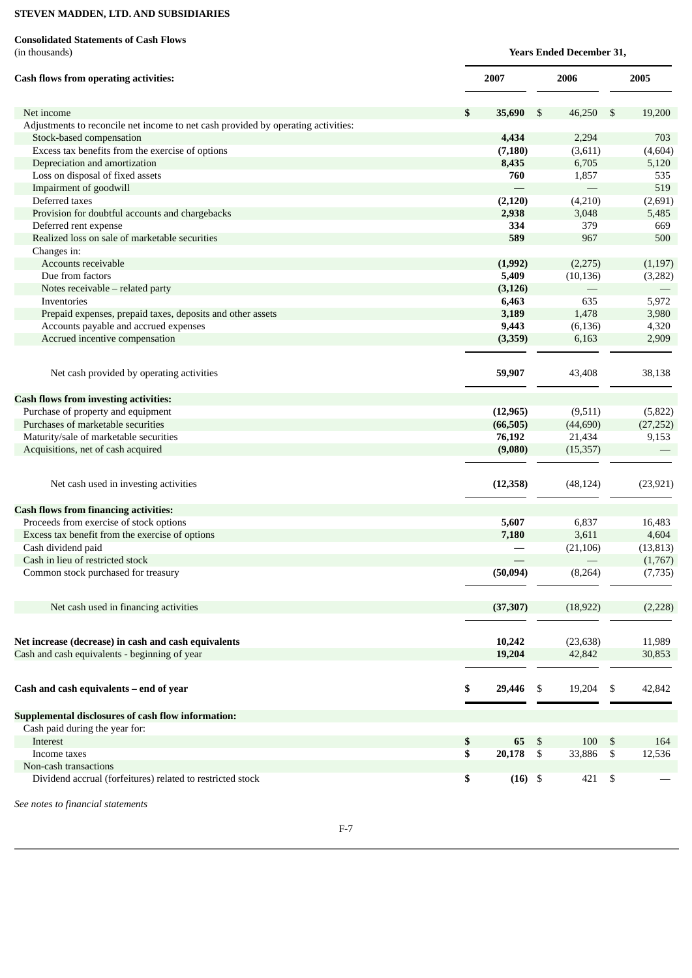# **Consolidated Statements of Cash Flows**

```
Years Ended December 31,
```

| <b>Cash flows from operating activities:</b>                                      | 2007 |           | 2006          |                 | 2005               |           |
|-----------------------------------------------------------------------------------|------|-----------|---------------|-----------------|--------------------|-----------|
| Net income                                                                        | \$   | 35,690    | <sup>\$</sup> | 46,250          | <sup>\$</sup>      | 19,200    |
| Adjustments to reconcile net income to net cash provided by operating activities: |      |           |               |                 |                    |           |
|                                                                                   |      |           |               |                 |                    |           |
| Stock-based compensation                                                          |      | 4,434     |               | 2,294           |                    | 703       |
| Excess tax benefits from the exercise of options                                  |      | (7, 180)  |               | (3,611)         |                    | (4,604)   |
| Depreciation and amortization                                                     |      | 8,435     |               | 6,705           |                    | 5,120     |
| Loss on disposal of fixed assets                                                  |      | 760       |               | 1,857           |                    | 535       |
| Impairment of goodwill                                                            |      |           |               | $\qquad \qquad$ |                    | 519       |
| Deferred taxes                                                                    |      | (2, 120)  |               | (4,210)         |                    | (2,691)   |
| Provision for doubtful accounts and chargebacks                                   |      | 2,938     |               | 3,048           |                    | 5,485     |
| Deferred rent expense                                                             |      | 334       |               | 379             |                    | 669       |
| Realized loss on sale of marketable securities                                    |      | 589       |               | 967             |                    | 500       |
| Changes in:                                                                       |      |           |               |                 |                    |           |
| Accounts receivable                                                               |      | (1,992)   |               | (2,275)         |                    | (1,197)   |
| Due from factors                                                                  |      | 5,409     |               | (10, 136)       |                    | (3,282)   |
| Notes receivable - related party                                                  |      | (3, 126)  |               |                 |                    |           |
| Inventories                                                                       |      | 6,463     |               | 635             |                    | 5,972     |
| Prepaid expenses, prepaid taxes, deposits and other assets                        |      | 3,189     |               | 1,478           |                    | 3,980     |
| Accounts payable and accrued expenses                                             |      | 9,443     |               | (6, 136)        |                    | 4,320     |
|                                                                                   |      |           |               |                 |                    |           |
| Accrued incentive compensation                                                    |      | (3,359)   |               | 6,163           |                    | 2,909     |
| Net cash provided by operating activities                                         |      | 59,907    |               | 43,408          |                    | 38,138    |
| <b>Cash flows from investing activities:</b>                                      |      |           |               |                 |                    |           |
| Purchase of property and equipment                                                |      | (12, 965) |               | (9,511)         |                    | (5,822)   |
| Purchases of marketable securities                                                |      | (66, 505) |               | (44,690)        |                    | (27, 252) |
| Maturity/sale of marketable securities                                            |      | 76,192    |               | 21,434          |                    | 9,153     |
| Acquisitions, net of cash acquired                                                |      | (9,080)   |               | (15, 357)       |                    |           |
| Net cash used in investing activities                                             |      | (12, 358) |               | (48, 124)       |                    | (23, 921) |
| <b>Cash flows from financing activities:</b>                                      |      |           |               |                 |                    |           |
| Proceeds from exercise of stock options                                           |      | 5,607     |               | 6,837           |                    | 16,483    |
| Excess tax benefit from the exercise of options                                   |      | 7,180     |               | 3,611           |                    | 4,604     |
| Cash dividend paid                                                                |      |           |               | (21, 106)       |                    | (13, 813) |
| Cash in lieu of restricted stock                                                  |      |           |               |                 |                    | (1,767)   |
|                                                                                   |      |           |               |                 |                    |           |
| Common stock purchased for treasury                                               |      | (50, 094) |               | (8, 264)        |                    | (7, 735)  |
| Net cash used in financing activities                                             |      | (37, 307) |               | (18, 922)       |                    | (2,228)   |
|                                                                                   |      |           |               |                 |                    |           |
| Net increase (decrease) in cash and cash equivalents                              |      | 10,242    |               | (23, 638)       |                    | 11,989    |
| Cash and cash equivalents - beginning of year                                     |      | 19,204    |               | 42,842          |                    | 30,853    |
| Cash and cash equivalents - end of year                                           | \$   | 29,446    | \$            | 19,204          | \$                 | 42,842    |
| <b>Supplemental disclosures of cash flow information:</b>                         |      |           |               |                 |                    |           |
| Cash paid during the year for:                                                    |      |           |               |                 |                    |           |
| Interest                                                                          | \$   | 65        | \$            | 100             | \$                 | 164       |
| Income taxes                                                                      | \$   | 20,178    | \$            | 33,886          | $\mathbf{\hat{S}}$ | 12,536    |
| Non-cash transactions                                                             |      |           |               |                 |                    |           |
| Dividend accrual (forfeitures) related to restricted stock                        | \$   | $(16)$ \$ |               | 421             | \$                 |           |

*See notes to financial statements*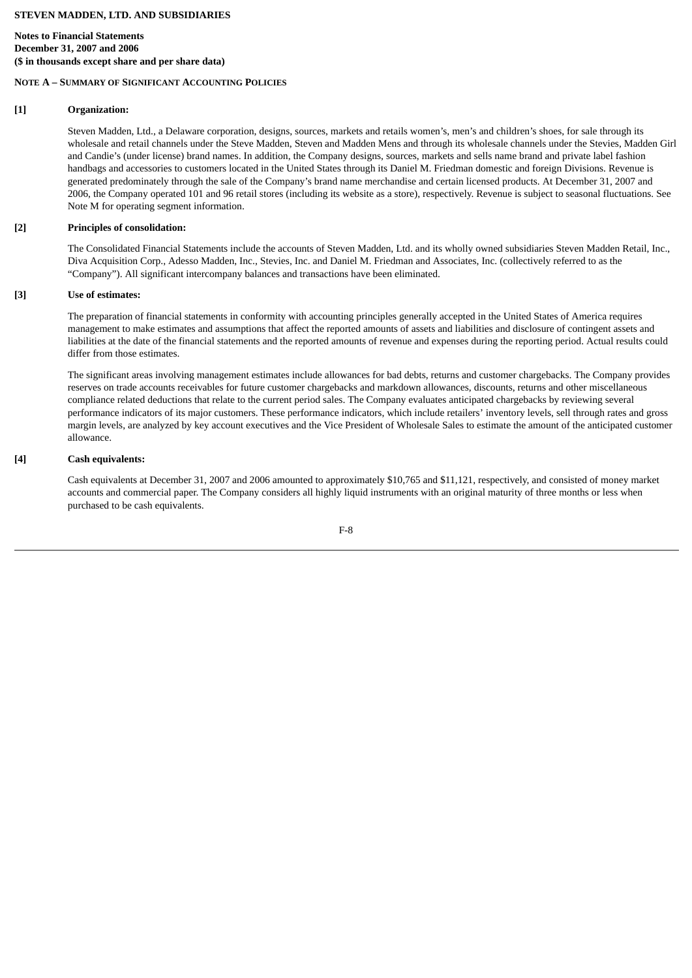**Notes to Financial Statements December 31, 2007 and 2006 (\$ in thousands except share and per share data)**

## **NOTE A – SUMMARY OF SIGNIFICANT ACCOUNTING POLICIES**

#### **[1] Organization:**

Steven Madden, Ltd., a Delaware corporation, designs, sources, markets and retails women's, men's and children's shoes, for sale through its wholesale and retail channels under the Steve Madden, Steven and Madden Mens and through its wholesale channels under the Stevies, Madden Girl and Candie's (under license) brand names. In addition, the Company designs, sources, markets and sells name brand and private label fashion handbags and accessories to customers located in the United States through its Daniel M. Friedman domestic and foreign Divisions. Revenue is generated predominately through the sale of the Company's brand name merchandise and certain licensed products. At December 31, 2007 and 2006, the Company operated 101 and 96 retail stores (including its website as a store), respectively. Revenue is subject to seasonal fluctuations. See Note M for operating segment information.

## **[2] Principles of consolidation:**

The Consolidated Financial Statements include the accounts of Steven Madden, Ltd. and its wholly owned subsidiaries Steven Madden Retail, Inc., Diva Acquisition Corp., Adesso Madden, Inc., Stevies, Inc. and Daniel M. Friedman and Associates, Inc. (collectively referred to as the "Company"). All significant intercompany balances and transactions have been eliminated.

### **[3] Use of estimates:**

The preparation of financial statements in conformity with accounting principles generally accepted in the United States of America requires management to make estimates and assumptions that affect the reported amounts of assets and liabilities and disclosure of contingent assets and liabilities at the date of the financial statements and the reported amounts of revenue and expenses during the reporting period. Actual results could differ from those estimates.

The significant areas involving management estimates include allowances for bad debts, returns and customer chargebacks. The Company provides reserves on trade accounts receivables for future customer chargebacks and markdown allowances, discounts, returns and other miscellaneous compliance related deductions that relate to the current period sales. The Company evaluates anticipated chargebacks by reviewing several performance indicators of its major customers. These performance indicators, which include retailers' inventory levels, sell through rates and gross margin levels, are analyzed by key account executives and the Vice President of Wholesale Sales to estimate the amount of the anticipated customer allowance.

### **[4] Cash equivalents:**

Cash equivalents at December 31, 2007 and 2006 amounted to approximately \$10,765 and \$11,121, respectively, and consisted of money market accounts and commercial paper. The Company considers all highly liquid instruments with an original maturity of three months or less when purchased to be cash equivalents.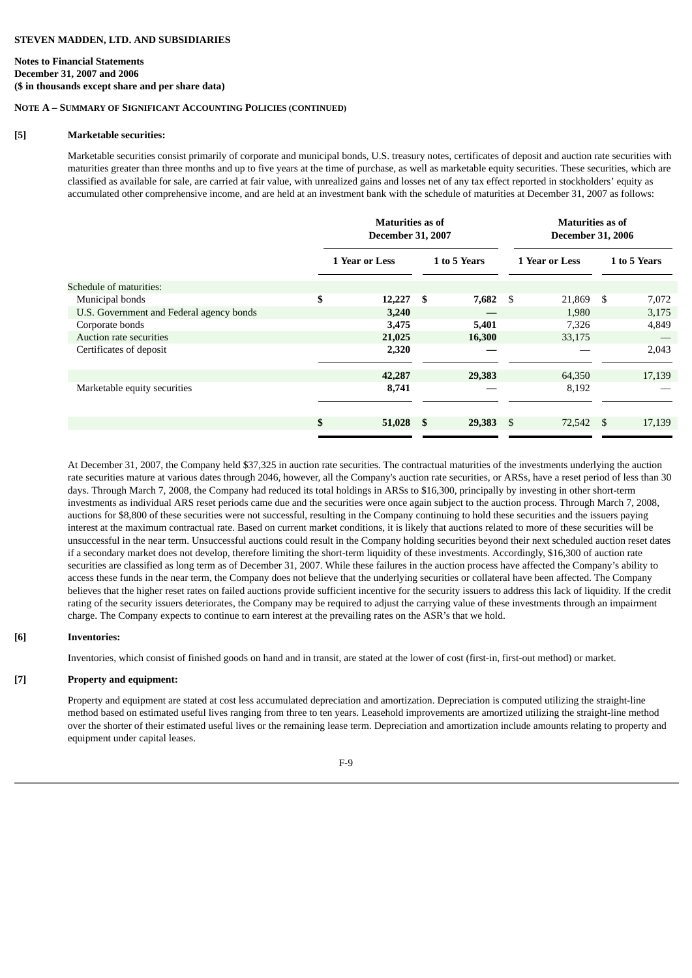## **Notes to Financial Statements December 31, 2007 and 2006 (\$ in thousands except share and per share data)**

#### **NOTE A – SUMMARY OF SIGNIFICANT ACCOUNTING POLICIES (CONTINUED)**

## **[5] Marketable securities:**

Marketable securities consist primarily of corporate and municipal bonds, U.S. treasury notes, certificates of deposit and auction rate securities with maturities greater than three months and up to five years at the time of purchase, as well as marketable equity securities. These securities, which are classified as available for sale, are carried at fair value, with unrealized gains and losses net of any tax effect reported in stockholders' equity as accumulated other comprehensive income, and are held at an investment bank with the schedule of maturities at December 31, 2007 as follows:

|                                          | <b>Maturities as of</b><br><b>December 31, 2007</b> |      |              |      |                |    | <b>Maturities as of</b><br><b>December 31, 2006</b> |  |  |
|------------------------------------------|-----------------------------------------------------|------|--------------|------|----------------|----|-----------------------------------------------------|--|--|
|                                          | 1 Year or Less                                      |      | 1 to 5 Years |      | 1 Year or Less |    | 1 to 5 Years                                        |  |  |
| Schedule of maturities:                  |                                                     |      |              |      |                |    |                                                     |  |  |
| Municipal bonds                          | \$<br>12,227                                        | - \$ | 7,682        | - \$ | 21,869         | \$ | 7,072                                               |  |  |
| U.S. Government and Federal agency bonds | 3,240                                               |      |              |      | 1,980          |    | 3,175                                               |  |  |
| Corporate bonds                          | 3,475                                               |      | 5,401        |      | 7,326          |    | 4,849                                               |  |  |
| Auction rate securities                  | 21,025                                              |      | 16,300       |      | 33,175         |    |                                                     |  |  |
| Certificates of deposit                  | 2,320                                               |      |              |      |                |    | 2,043                                               |  |  |
|                                          | 42,287                                              |      | 29,383       |      | 64,350         |    | 17,139                                              |  |  |
| Marketable equity securities             | 8,741                                               |      |              |      | 8,192          |    |                                                     |  |  |
|                                          | \$<br>51,028                                        | - S  | 29,383       | - \$ | 72,542 \$      |    | 17,139                                              |  |  |
|                                          |                                                     |      |              |      |                |    |                                                     |  |  |

At December 31, 2007, the Company held \$37,325 in auction rate securities. The contractual maturities of the investments underlying the auction rate securities mature at various dates through 2046, however, all the Company's auction rate securities, or ARSs, have a reset period of less than 30 days. Through March 7, 2008, the Company had reduced its total holdings in ARSs to \$16,300, principally by investing in other short-term investments as individual ARS reset periods came due and the securities were once again subject to the auction process. Through March 7, 2008, auctions for \$8,800 of these securities were not successful, resulting in the Company continuing to hold these securities and the issuers paying interest at the maximum contractual rate. Based on current market conditions, it is likely that auctions related to more of these securities will be unsuccessful in the near term. Unsuccessful auctions could result in the Company holding securities beyond their next scheduled auction reset dates if a secondary market does not develop, therefore limiting the short-term liquidity of these investments. Accordingly, \$16,300 of auction rate securities are classified as long term as of December 31, 2007. While these failures in the auction process have affected the Company's ability to access these funds in the near term, the Company does not believe that the underlying securities or collateral have been affected. The Company believes that the higher reset rates on failed auctions provide sufficient incentive for the security issuers to address this lack of liquidity. If the credit rating of the security issuers deteriorates, the Company may be required to adjust the carrying value of these investments through an impairment charge. The Company expects to continue to earn interest at the prevailing rates on the ASR's that we hold.

## **[6] Inventories:**

Inventories, which consist of finished goods on hand and in transit, are stated at the lower of cost (first-in, first-out method) or market.

## **[7] Property and equipment:**

Property and equipment are stated at cost less accumulated depreciation and amortization. Depreciation is computed utilizing the straight-line method based on estimated useful lives ranging from three to ten years. Leasehold improvements are amortized utilizing the straight-line method over the shorter of their estimated useful lives or the remaining lease term. Depreciation and amortization include amounts relating to property and equipment under capital leases.

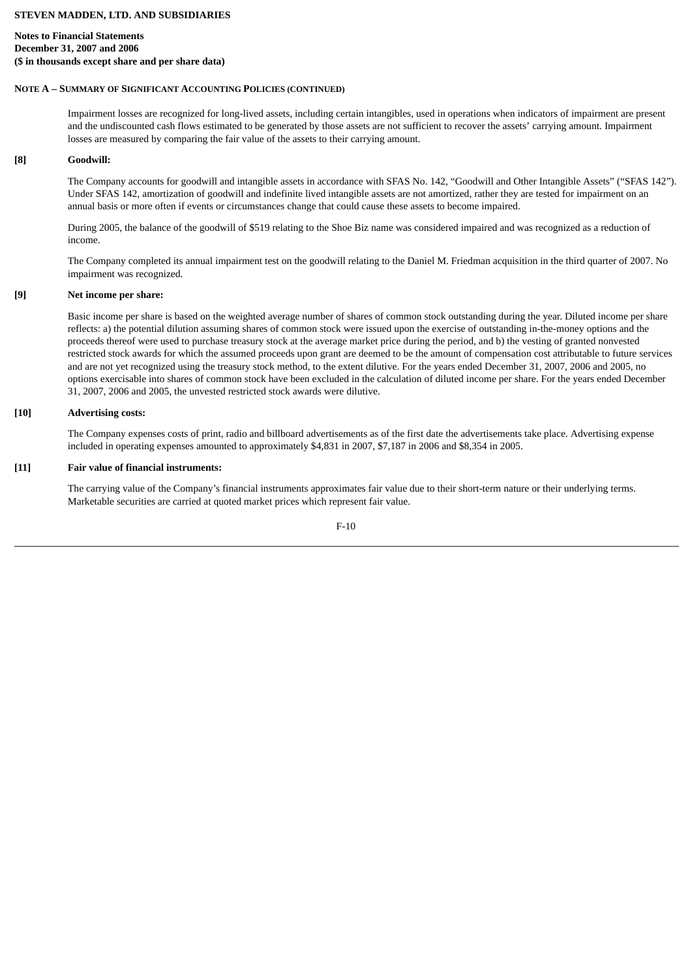## **Notes to Financial Statements December 31, 2007 and 2006 (\$ in thousands except share and per share data)**

#### **NOTE A – SUMMARY OF SIGNIFICANT ACCOUNTING POLICIES (CONTINUED)**

Impairment losses are recognized for long-lived assets, including certain intangibles, used in operations when indicators of impairment are present and the undiscounted cash flows estimated to be generated by those assets are not sufficient to recover the assets' carrying amount. Impairment losses are measured by comparing the fair value of the assets to their carrying amount.

#### **[8] Goodwill:**

The Company accounts for goodwill and intangible assets in accordance with SFAS No. 142, "Goodwill and Other Intangible Assets" ("SFAS 142"). Under SFAS 142, amortization of goodwill and indefinite lived intangible assets are not amortized, rather they are tested for impairment on an annual basis or more often if events or circumstances change that could cause these assets to become impaired.

During 2005, the balance of the goodwill of \$519 relating to the Shoe Biz name was considered impaired and was recognized as a reduction of income.

The Company completed its annual impairment test on the goodwill relating to the Daniel M. Friedman acquisition in the third quarter of 2007. No impairment was recognized.

#### **[9] Net income per share:**

Basic income per share is based on the weighted average number of shares of common stock outstanding during the year. Diluted income per share reflects: a) the potential dilution assuming shares of common stock were issued upon the exercise of outstanding in-the-money options and the proceeds thereof were used to purchase treasury stock at the average market price during the period, and b) the vesting of granted nonvested restricted stock awards for which the assumed proceeds upon grant are deemed to be the amount of compensation cost attributable to future services and are not yet recognized using the treasury stock method, to the extent dilutive. For the years ended December 31, 2007, 2006 and 2005, no options exercisable into shares of common stock have been excluded in the calculation of diluted income per share. For the years ended December 31, 2007, 2006 and 2005, the unvested restricted stock awards were dilutive.

## **[10] Advertising costs:**

The Company expenses costs of print, radio and billboard advertisements as of the first date the advertisements take place. Advertising expense included in operating expenses amounted to approximately \$4,831 in 2007, \$7,187 in 2006 and \$8,354 in 2005.

#### **[11] Fair value of financial instruments:**

The carrying value of the Company's financial instruments approximates fair value due to their short-term nature or their underlying terms. Marketable securities are carried at quoted market prices which represent fair value.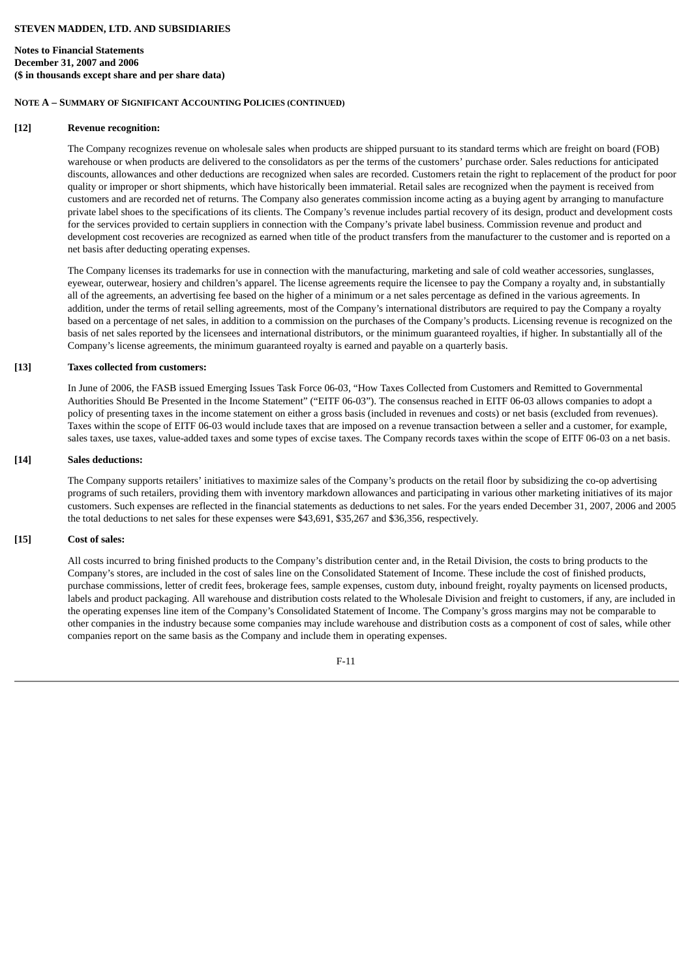#### **Notes to Financial Statements December 31, 2007 and 2006 (\$ in thousands except share and per share data)**

#### **NOTE A – SUMMARY OF SIGNIFICANT ACCOUNTING POLICIES (CONTINUED)**

#### **[12] Revenue recognition:**

The Company recognizes revenue on wholesale sales when products are shipped pursuant to its standard terms which are freight on board (FOB) warehouse or when products are delivered to the consolidators as per the terms of the customers' purchase order. Sales reductions for anticipated discounts, allowances and other deductions are recognized when sales are recorded. Customers retain the right to replacement of the product for poor quality or improper or short shipments, which have historically been immaterial. Retail sales are recognized when the payment is received from customers and are recorded net of returns. The Company also generates commission income acting as a buying agent by arranging to manufacture private label shoes to the specifications of its clients. The Company's revenue includes partial recovery of its design, product and development costs for the services provided to certain suppliers in connection with the Company's private label business. Commission revenue and product and development cost recoveries are recognized as earned when title of the product transfers from the manufacturer to the customer and is reported on a net basis after deducting operating expenses.

The Company licenses its trademarks for use in connection with the manufacturing, marketing and sale of cold weather accessories, sunglasses, eyewear, outerwear, hosiery and children's apparel. The license agreements require the licensee to pay the Company a royalty and, in substantially all of the agreements, an advertising fee based on the higher of a minimum or a net sales percentage as defined in the various agreements. In addition, under the terms of retail selling agreements, most of the Company's international distributors are required to pay the Company a royalty based on a percentage of net sales, in addition to a commission on the purchases of the Company's products. Licensing revenue is recognized on the basis of net sales reported by the licensees and international distributors, or the minimum guaranteed royalties, if higher. In substantially all of the Company's license agreements, the minimum guaranteed royalty is earned and payable on a quarterly basis.

#### **[13] Taxes collected from customers:**

In June of 2006, the FASB issued Emerging Issues Task Force 06-03, "How Taxes Collected from Customers and Remitted to Governmental Authorities Should Be Presented in the Income Statement" ("EITF 06-03"). The consensus reached in EITF 06-03 allows companies to adopt a policy of presenting taxes in the income statement on either a gross basis (included in revenues and costs) or net basis (excluded from revenues). Taxes within the scope of EITF 06-03 would include taxes that are imposed on a revenue transaction between a seller and a customer, for example, sales taxes, use taxes, value-added taxes and some types of excise taxes. The Company records taxes within the scope of EITF 06-03 on a net basis.

#### **[14] Sales deductions:**

The Company supports retailers' initiatives to maximize sales of the Company's products on the retail floor by subsidizing the co-op advertising programs of such retailers, providing them with inventory markdown allowances and participating in various other marketing initiatives of its major customers. Such expenses are reflected in the financial statements as deductions to net sales. For the years ended December 31, 2007, 2006 and 2005 the total deductions to net sales for these expenses were \$43,691, \$35,267 and \$36,356, respectively.

## **[15] Cost of sales:**

All costs incurred to bring finished products to the Company's distribution center and, in the Retail Division, the costs to bring products to the Company's stores, are included in the cost of sales line on the Consolidated Statement of Income. These include the cost of finished products, purchase commissions, letter of credit fees, brokerage fees, sample expenses, custom duty, inbound freight, royalty payments on licensed products, labels and product packaging. All warehouse and distribution costs related to the Wholesale Division and freight to customers, if any, are included in the operating expenses line item of the Company's Consolidated Statement of Income. The Company's gross margins may not be comparable to other companies in the industry because some companies may include warehouse and distribution costs as a component of cost of sales, while other companies report on the same basis as the Company and include them in operating expenses.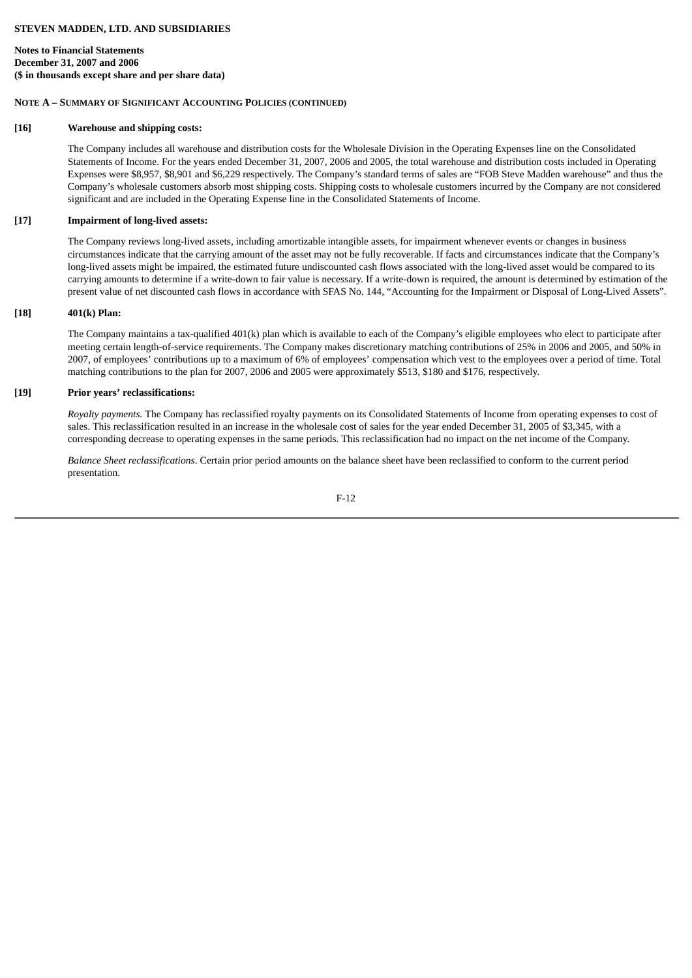#### **Notes to Financial Statements December 31, 2007 and 2006 (\$ in thousands except share and per share data)**

#### **NOTE A – SUMMARY OF SIGNIFICANT ACCOUNTING POLICIES (CONTINUED)**

#### **[16] Warehouse and shipping costs:**

The Company includes all warehouse and distribution costs for the Wholesale Division in the Operating Expenses line on the Consolidated Statements of Income. For the years ended December 31, 2007, 2006 and 2005, the total warehouse and distribution costs included in Operating Expenses were \$8,957, \$8,901 and \$6,229 respectively. The Company's standard terms of sales are "FOB Steve Madden warehouse" and thus the Company's wholesale customers absorb most shipping costs. Shipping costs to wholesale customers incurred by the Company are not considered significant and are included in the Operating Expense line in the Consolidated Statements of Income.

#### **[17] Impairment of long-lived assets:**

The Company reviews long-lived assets, including amortizable intangible assets, for impairment whenever events or changes in business circumstances indicate that the carrying amount of the asset may not be fully recoverable. If facts and circumstances indicate that the Company's long-lived assets might be impaired, the estimated future undiscounted cash flows associated with the long-lived asset would be compared to its carrying amounts to determine if a write-down to fair value is necessary. If a write-down is required, the amount is determined by estimation of the present value of net discounted cash flows in accordance with SFAS No. 144, "Accounting for the Impairment or Disposal of Long-Lived Assets".

## **[18] 401(k) Plan:**

The Company maintains a tax-qualified 401(k) plan which is available to each of the Company's eligible employees who elect to participate after meeting certain length-of-service requirements. The Company makes discretionary matching contributions of 25% in 2006 and 2005, and 50% in 2007, of employees' contributions up to a maximum of 6% of employees' compensation which vest to the employees over a period of time. Total matching contributions to the plan for 2007, 2006 and 2005 were approximately \$513, \$180 and \$176, respectively.

## **[19] Prior years' reclassifications:**

*Royalty payments.* The Company has reclassified royalty payments on its Consolidated Statements of Income from operating expenses to cost of sales. This reclassification resulted in an increase in the wholesale cost of sales for the year ended December 31, 2005 of \$3,345, with a corresponding decrease to operating expenses in the same periods. This reclassification had no impact on the net income of the Company.

*Balance Sheet reclassifications*. Certain prior period amounts on the balance sheet have been reclassified to conform to the current period presentation.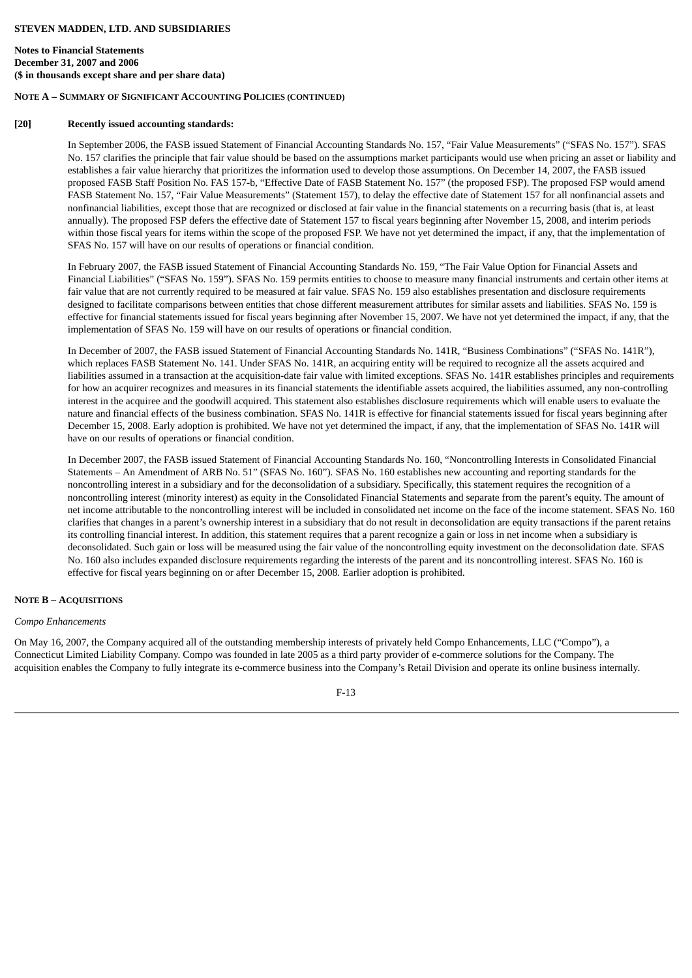#### **Notes to Financial Statements December 31, 2007 and 2006 (\$ in thousands except share and per share data)**

#### **NOTE A – SUMMARY OF SIGNIFICANT ACCOUNTING POLICIES (CONTINUED)**

## **[20] Recently issued accounting standards:**

In September 2006, the FASB issued Statement of Financial Accounting Standards No. 157, "Fair Value Measurements" ("SFAS No. 157"). SFAS No. 157 clarifies the principle that fair value should be based on the assumptions market participants would use when pricing an asset or liability and establishes a fair value hierarchy that prioritizes the information used to develop those assumptions. On December 14, 2007, the FASB issued proposed FASB Staff Position No. FAS 157-b, "Effective Date of FASB Statement No. 157" (the proposed FSP). The proposed FSP would amend FASB Statement No. 157, "Fair Value Measurements" (Statement 157), to delay the effective date of Statement 157 for all nonfinancial assets and nonfinancial liabilities, except those that are recognized or disclosed at fair value in the financial statements on a recurring basis (that is, at least annually). The proposed FSP defers the effective date of Statement 157 to fiscal years beginning after November 15, 2008, and interim periods within those fiscal years for items within the scope of the proposed FSP. We have not yet determined the impact, if any, that the implementation of SFAS No. 157 will have on our results of operations or financial condition.

In February 2007, the FASB issued Statement of Financial Accounting Standards No. 159, "The Fair Value Option for Financial Assets and Financial Liabilities" ("SFAS No. 159"). SFAS No. 159 permits entities to choose to measure many financial instruments and certain other items at fair value that are not currently required to be measured at fair value. SFAS No. 159 also establishes presentation and disclosure requirements designed to facilitate comparisons between entities that chose different measurement attributes for similar assets and liabilities. SFAS No. 159 is effective for financial statements issued for fiscal years beginning after November 15, 2007. We have not yet determined the impact, if any, that the implementation of SFAS No. 159 will have on our results of operations or financial condition.

In December of 2007, the FASB issued Statement of Financial Accounting Standards No. 141R, "Business Combinations" ("SFAS No. 141R"), which replaces FASB Statement No. 141. Under SFAS No. 141R, an acquiring entity will be required to recognize all the assets acquired and liabilities assumed in a transaction at the acquisition-date fair value with limited exceptions. SFAS No. 141R establishes principles and requirements for how an acquirer recognizes and measures in its financial statements the identifiable assets acquired, the liabilities assumed, any non-controlling interest in the acquiree and the goodwill acquired. This statement also establishes disclosure requirements which will enable users to evaluate the nature and financial effects of the business combination. SFAS No. 141R is effective for financial statements issued for fiscal years beginning after December 15, 2008. Early adoption is prohibited. We have not yet determined the impact, if any, that the implementation of SFAS No. 141R will have on our results of operations or financial condition.

In December 2007, the FASB issued Statement of Financial Accounting Standards No. 160, "Noncontrolling Interests in Consolidated Financial Statements – An Amendment of ARB No. 51" (SFAS No. 160"). SFAS No. 160 establishes new accounting and reporting standards for the noncontrolling interest in a subsidiary and for the deconsolidation of a subsidiary. Specifically, this statement requires the recognition of a noncontrolling interest (minority interest) as equity in the Consolidated Financial Statements and separate from the parent's equity. The amount of net income attributable to the noncontrolling interest will be included in consolidated net income on the face of the income statement. SFAS No. 160 clarifies that changes in a parent's ownership interest in a subsidiary that do not result in deconsolidation are equity transactions if the parent retains its controlling financial interest. In addition, this statement requires that a parent recognize a gain or loss in net income when a subsidiary is deconsolidated. Such gain or loss will be measured using the fair value of the noncontrolling equity investment on the deconsolidation date. SFAS No. 160 also includes expanded disclosure requirements regarding the interests of the parent and its noncontrolling interest. SFAS No. 160 is effective for fiscal years beginning on or after December 15, 2008. Earlier adoption is prohibited.

#### **NOTE B – ACQUISITIONS**

## *Compo Enhancements*

On May 16, 2007, the Company acquired all of the outstanding membership interests of privately held Compo Enhancements, LLC ("Compo"), a Connecticut Limited Liability Company. Compo was founded in late 2005 as a third party provider of e-commerce solutions for the Company. The acquisition enables the Company to fully integrate its e-commerce business into the Company's Retail Division and operate its online business internally.

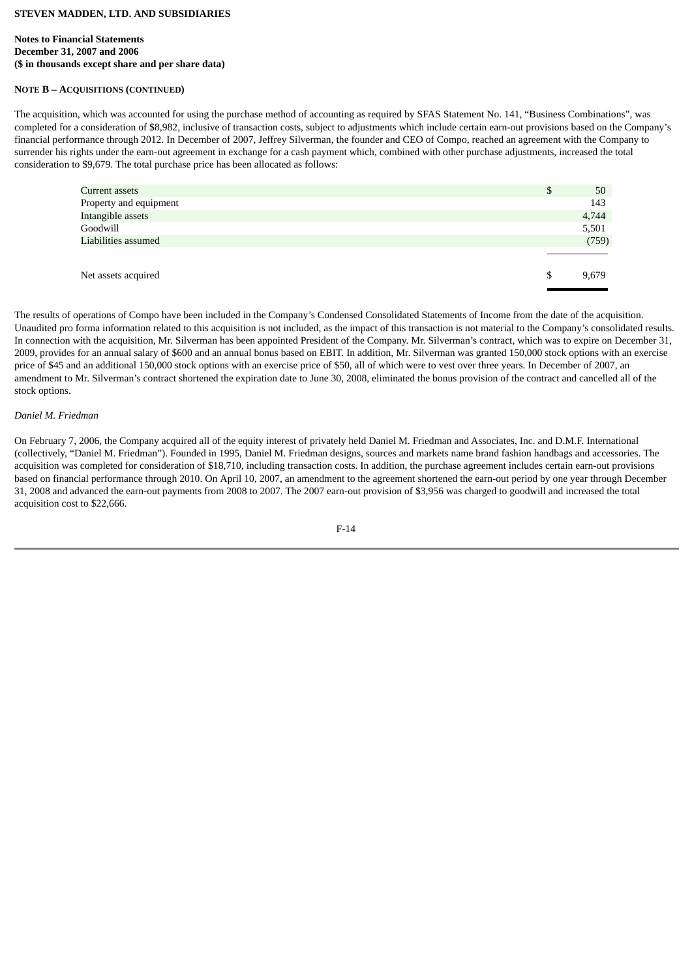## **Notes to Financial Statements December 31, 2007 and 2006 (\$ in thousands except share and per share data)**

## **NOTE B – ACQUISITIONS (CONTINUED)**

The acquisition, which was accounted for using the purchase method of accounting as required by SFAS Statement No. 141, "Business Combinations", was completed for a consideration of \$8,982, inclusive of transaction costs, subject to adjustments which include certain earn-out provisions based on the Company's financial performance through 2012. In December of 2007, Jeffrey Silverman, the founder and CEO of Compo, reached an agreement with the Company to surrender his rights under the earn-out agreement in exchange for a cash payment which, combined with other purchase adjustments, increased the total consideration to \$9,679. The total purchase price has been allocated as follows:

| Current assets         | \$<br>50    |
|------------------------|-------------|
| Property and equipment | 143         |
| Intangible assets      | 4,744       |
| Goodwill               | 5,501       |
| Liabilities assumed    | (759)       |
|                        |             |
| Net assets acquired    | \$<br>9,679 |
|                        |             |

The results of operations of Compo have been included in the Company's Condensed Consolidated Statements of Income from the date of the acquisition. Unaudited pro forma information related to this acquisition is not included, as the impact of this transaction is not material to the Company's consolidated results. In connection with the acquisition, Mr. Silverman has been appointed President of the Company. Mr. Silverman's contract, which was to expire on December 31, 2009, provides for an annual salary of \$600 and an annual bonus based on EBIT. In addition, Mr. Silverman was granted 150,000 stock options with an exercise price of \$45 and an additional 150,000 stock options with an exercise price of \$50, all of which were to vest over three years. In December of 2007, an amendment to Mr. Silverman's contract shortened the expiration date to June 30, 2008, eliminated the bonus provision of the contract and cancelled all of the stock options.

#### *Daniel M. Friedman*

On February 7, 2006, the Company acquired all of the equity interest of privately held Daniel M. Friedman and Associates, Inc. and D.M.F. International (collectively, "Daniel M. Friedman"). Founded in 1995, Daniel M. Friedman designs, sources and markets name brand fashion handbags and accessories. The acquisition was completed for consideration of \$18,710, including transaction costs. In addition, the purchase agreement includes certain earn-out provisions based on financial performance through 2010. On April 10, 2007, an amendment to the agreement shortened the earn-out period by one year through December 31, 2008 and advanced the earn-out payments from 2008 to 2007. The 2007 earn-out provision of \$3,956 was charged to goodwill and increased the total acquisition cost to \$22,666.

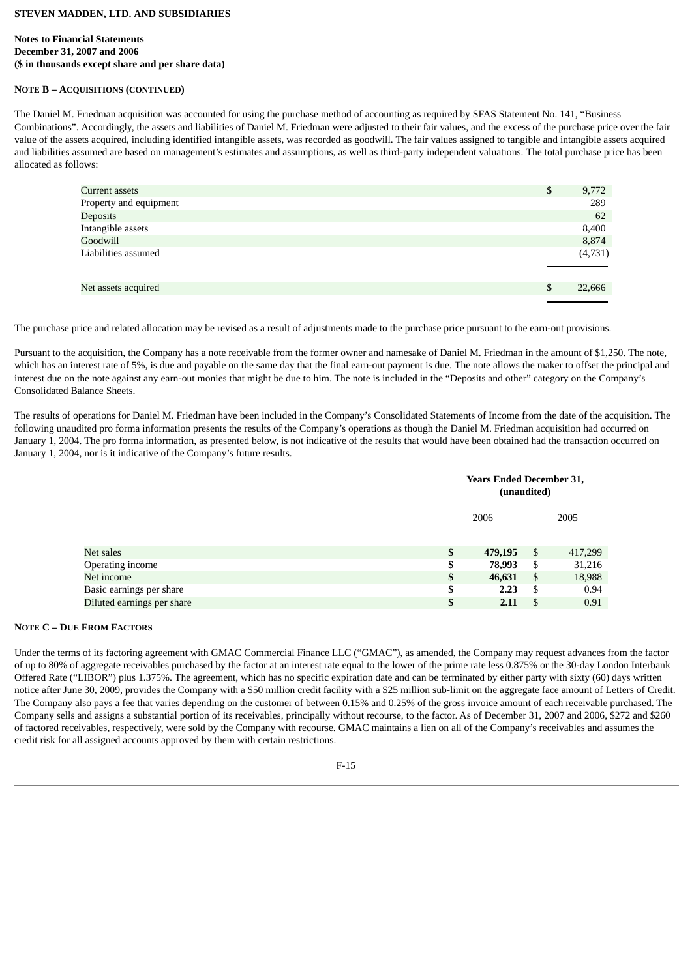## **Notes to Financial Statements December 31, 2007 and 2006 (\$ in thousands except share and per share data)**

## **NOTE B – ACQUISITIONS (CONTINUED)**

The Daniel M. Friedman acquisition was accounted for using the purchase method of accounting as required by SFAS Statement No. 141, "Business Combinations". Accordingly, the assets and liabilities of Daniel M. Friedman were adjusted to their fair values, and the excess of the purchase price over the fair value of the assets acquired, including identified intangible assets, was recorded as goodwill. The fair values assigned to tangible and intangible assets acquired and liabilities assumed are based on management's estimates and assumptions, as well as third-party independent valuations. The total purchase price has been allocated as follows:

| <b>Current assets</b>  | \$<br>9,772  |
|------------------------|--------------|
| Property and equipment | 289          |
| Deposits               | 62           |
| Intangible assets      | 8,400        |
| Goodwill               | 8,874        |
| Liabilities assumed    | (4, 731)     |
|                        |              |
| Net assets acquired    | \$<br>22,666 |
|                        |              |

The purchase price and related allocation may be revised as a result of adjustments made to the purchase price pursuant to the earn-out provisions.

Pursuant to the acquisition, the Company has a note receivable from the former owner and namesake of Daniel M. Friedman in the amount of \$1,250. The note, which has an interest rate of 5%, is due and payable on the same day that the final earn-out payment is due. The note allows the maker to offset the principal and interest due on the note against any earn-out monies that might be due to him. The note is included in the "Deposits and other" category on the Company's Consolidated Balance Sheets.

The results of operations for Daniel M. Friedman have been included in the Company's Consolidated Statements of Income from the date of the acquisition. The following unaudited pro forma information presents the results of the Company's operations as though the Daniel M. Friedman acquisition had occurred on January 1, 2004. The pro forma information, as presented below, is not indicative of the results that would have been obtained had the transaction occurred on January 1, 2004, nor is it indicative of the Company's future results.

|                            | <b>Years Ended December 31,</b><br>(unaudited) |    |         |
|----------------------------|------------------------------------------------|----|---------|
|                            | 2006                                           |    | 2005    |
|                            |                                                |    |         |
| Net sales                  | \$<br>479,195                                  | \$ | 417,299 |
| Operating income           | \$<br>78,993                                   | \$ | 31,216  |
| Net income                 | \$<br>46,631                                   | \$ | 18,988  |
| Basic earnings per share   | \$<br>2.23                                     | \$ | 0.94    |
| Diluted earnings per share | \$<br>\$<br>2.11                               |    |         |

#### **NOTE C – DUE FROM FACTORS**

Under the terms of its factoring agreement with GMAC Commercial Finance LLC ("GMAC"), as amended, the Company may request advances from the factor of up to 80% of aggregate receivables purchased by the factor at an interest rate equal to the lower of the prime rate less 0.875% or the 30-day London Interbank Offered Rate ("LIBOR") plus 1.375%. The agreement, which has no specific expiration date and can be terminated by either party with sixty (60) days written notice after June 30, 2009, provides the Company with a \$50 million credit facility with a \$25 million sub-limit on the aggregate face amount of Letters of Credit. The Company also pays a fee that varies depending on the customer of between 0.15% and 0.25% of the gross invoice amount of each receivable purchased. The Company sells and assigns a substantial portion of its receivables, principally without recourse, to the factor. As of December 31, 2007 and 2006, \$272 and \$260 of factored receivables, respectively, were sold by the Company with recourse. GMAC maintains a lien on all of the Company's receivables and assumes the credit risk for all assigned accounts approved by them with certain restrictions.

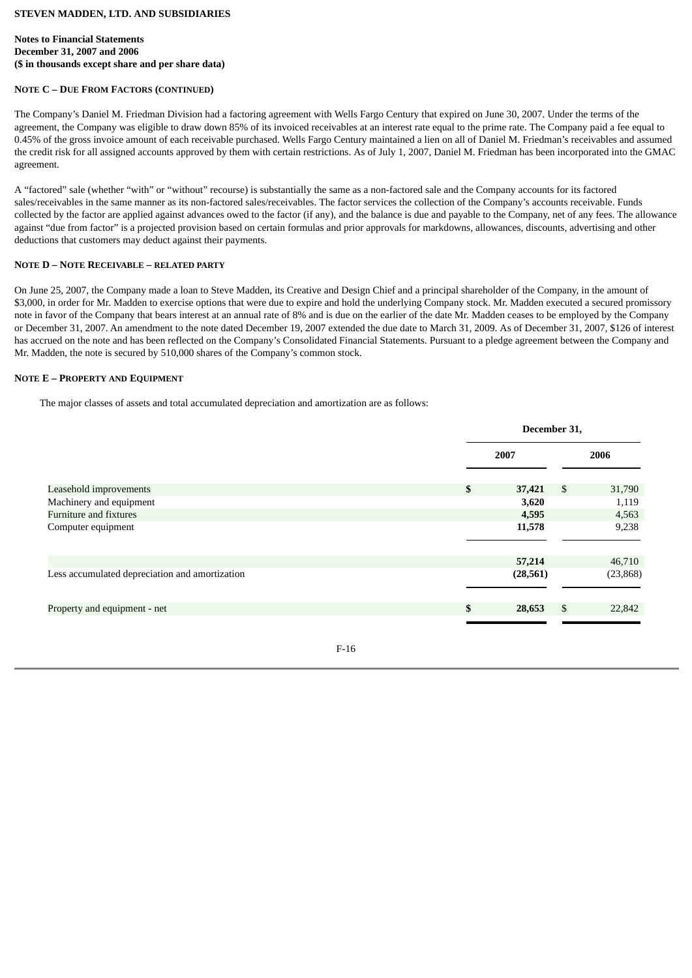## **Notes to Financial Statements December 31, 2007 and 2006 (\$ in thousands except share and per share data)**

#### **NOTE C – DUE FROM FACTORS (CONTINUED)**

The Company's Daniel M. Friedman Division had a factoring agreement with Wells Fargo Century that expired on June 30, 2007. Under the terms of the agreement, the Company was eligible to draw down 85% of its invoiced receivables at an interest rate equal to the prime rate. The Company paid a fee equal to 0.45% of the gross invoice amount of each receivable purchased. Wells Fargo Century maintained a lien on all of Daniel M. Friedman's receivables and assumed the credit risk for all assigned accounts approved by them with certain restrictions. As of July 1, 2007, Daniel M. Friedman has been incorporated into the GMAC agreement.

A "factored" sale (whether "with" or "without" recourse) is substantially the same as a non-factored sale and the Company accounts for its factored sales/receivables in the same manner as its non-factored sales/receivables. The factor services the collection of the Company's accounts receivable. Funds collected by the factor are applied against advances owed to the factor (if any), and the balance is due and payable to the Company, net of any fees. The allowance against "due from factor" is a projected provision based on certain formulas and prior approvals for markdowns, allowances, discounts, advertising and other deductions that customers may deduct against their payments.

## **NOTE D – NOTE RECEIVABLE – RELATED PARTY**

On June 25, 2007, the Company made a loan to Steve Madden, its Creative and Design Chief and a principal shareholder of the Company, in the amount of \$3,000, in order for Mr. Madden to exercise options that were due to expire and hold the underlying Company stock. Mr. Madden executed a secured promissory note in favor of the Company that bears interest at an annual rate of 8% and is due on the earlier of the date Mr. Madden ceases to be employed by the Company or December 31, 2007. An amendment to the note dated December 19, 2007 extended the due date to March 31, 2009. As of December 31, 2007, \$126 of interest has accrued on the note and has been reflected on the Company's Consolidated Financial Statements. Pursuant to a pledge agreement between the Company and Mr. Madden, the note is secured by 510,000 shares of the Company's common stock.

### **NOTE E – PROPERTY AND EQUIPMENT**

The major classes of assets and total accumulated depreciation and amortization are as follows:

|                                                | December 31,<br>2007<br>2006<br>$\mathbb{S}$<br>37,421 |    |           |  |  |
|------------------------------------------------|--------------------------------------------------------|----|-----------|--|--|
|                                                |                                                        |    |           |  |  |
| Leasehold improvements                         | \$                                                     |    | 31,790    |  |  |
| Machinery and equipment                        | 3,620                                                  |    | 1,119     |  |  |
| <b>Furniture and fixtures</b>                  | 4,595                                                  |    | 4,563     |  |  |
| Computer equipment                             | 11,578                                                 |    | 9,238     |  |  |
|                                                | 57,214                                                 |    | 46,710    |  |  |
| Less accumulated depreciation and amortization | (28, 561)                                              |    | (23, 868) |  |  |
| Property and equipment - net                   | \$<br>28,653                                           | \$ | 22,842    |  |  |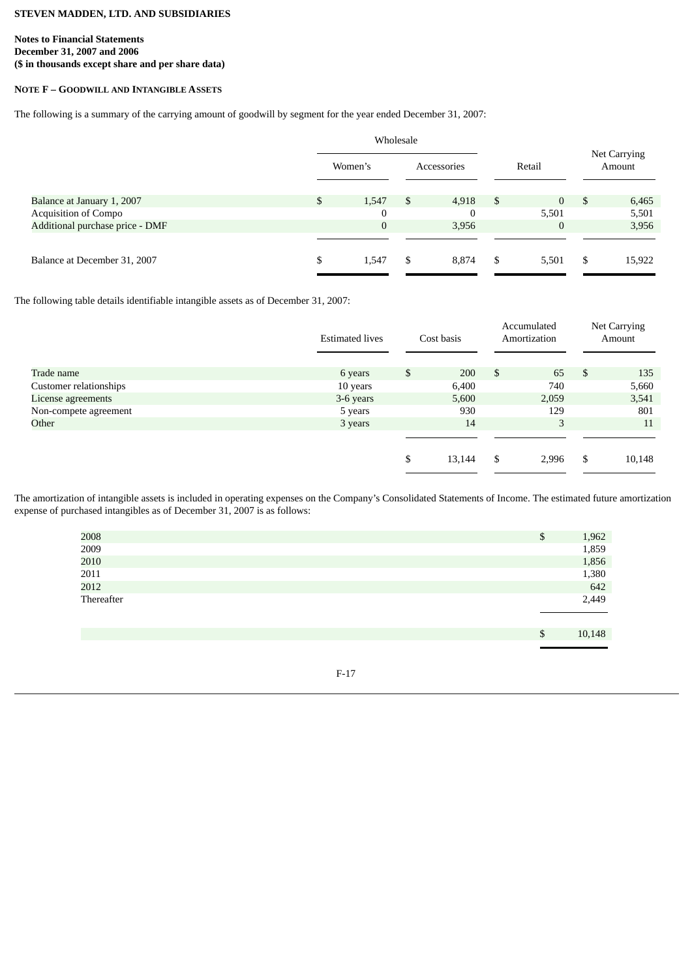## **Notes to Financial Statements December 31, 2007 and 2006 (\$ in thousands except share and per share data)**

## **NOTE F – GOODWILL AND INTANGIBLE ASSETS**

The following is a summary of the carrying amount of goodwill by segment for the year ended December 31, 2007:

|                                 | Wholesale        |    |             |     |                |                        |
|---------------------------------|------------------|----|-------------|-----|----------------|------------------------|
|                                 | Women's          |    | Accessories |     | Retail         | Net Carrying<br>Amount |
| Balance at January 1, 2007      | \$<br>1,547      | \$ | 4,918       | -\$ | $\overline{0}$ | \$<br>6,465            |
| <b>Acquisition of Compo</b>     | $\boldsymbol{0}$ |    | $\Omega$    |     | 5,501          | 5,501                  |
| Additional purchase price - DMF | $\mathbf{0}$     |    | 3,956       |     | $\overline{0}$ | 3,956                  |
|                                 |                  |    |             |     |                |                        |
| Balance at December 31, 2007    | \$<br>1,547      | S  | 8,874       | \$  | 5,501          | \$<br>15,922           |

The following table details identifiable intangible assets as of December 31, 2007:

|                        | <b>Estimated lives</b> | Cost basis   | Accumulated<br>Amortization |     | <b>Net Carrying</b><br>Amount |
|------------------------|------------------------|--------------|-----------------------------|-----|-------------------------------|
| Trade name             | 6 years                | \$<br>200    | \$<br>65                    | -\$ | 135                           |
| Customer relationships | 10 years               | 6,400        | 740                         |     | 5,660                         |
| License agreements     | 3-6 years              | 5,600        | 2,059                       |     | 3,541                         |
| Non-compete agreement  | 5 years                | 930          | 129                         |     | 801                           |
| Other                  | 3 years                | 14           | 3                           |     | 11                            |
|                        |                        |              |                             |     |                               |
|                        |                        | \$<br>13,144 | \$<br>2,996                 | \$  | 10,148                        |

The amortization of intangible assets is included in operating expenses on the Company's Consolidated Statements of Income. The estimated future amortization expense of purchased intangibles as of December 31, 2007 is as follows:

| 2008         | \$<br>1,962  |
|--------------|--------------|
| 2009<br>2010 | 1,859        |
|              | 1,856        |
| $2011\,$     | 1,380        |
| 2012         | 642          |
| Thereafter   | 2,449        |
|              |              |
|              |              |
|              | \$<br>10,148 |
|              |              |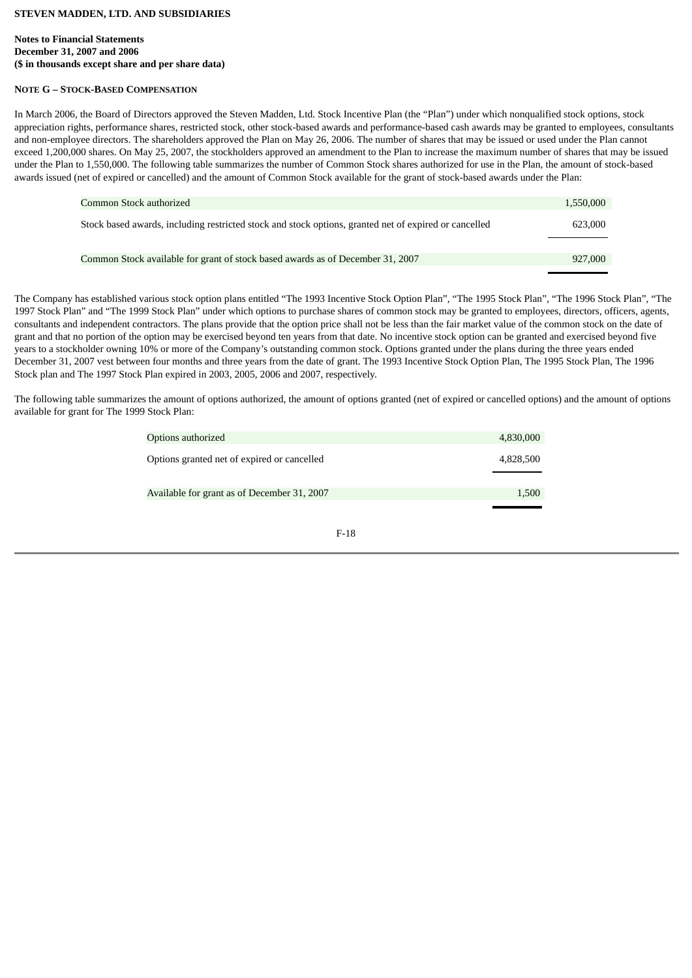## **Notes to Financial Statements December 31, 2007 and 2006 (\$ in thousands except share and per share data)**

#### **NOTE G – STOCK-BASED COMPENSATION**

In March 2006, the Board of Directors approved the Steven Madden, Ltd. Stock Incentive Plan (the "Plan") under which nonqualified stock options, stock appreciation rights, performance shares, restricted stock, other stock-based awards and performance-based cash awards may be granted to employees, consultants and non-employee directors. The shareholders approved the Plan on May 26, 2006. The number of shares that may be issued or used under the Plan cannot exceed 1,200,000 shares. On May 25, 2007, the stockholders approved an amendment to the Plan to increase the maximum number of shares that may be issued under the Plan to 1,550,000. The following table summarizes the number of Common Stock shares authorized for use in the Plan, the amount of stock-based awards issued (net of expired or cancelled) and the amount of Common Stock available for the grant of stock-based awards under the Plan:

| Common Stock authorized                                                                               | 1,550,000 |
|-------------------------------------------------------------------------------------------------------|-----------|
| Stock based awards, including restricted stock and stock options, granted net of expired or cancelled | 623,000   |
| Common Stock available for grant of stock based awards as of December 31, 2007                        | 927,000   |

The Company has established various stock option plans entitled "The 1993 Incentive Stock Option Plan", "The 1995 Stock Plan", "The 1996 Stock Plan", "The 1997 Stock Plan" and "The 1999 Stock Plan" under which options to purchase shares of common stock may be granted to employees, directors, officers, agents, consultants and independent contractors. The plans provide that the option price shall not be less than the fair market value of the common stock on the date of grant and that no portion of the option may be exercised beyond ten years from that date. No incentive stock option can be granted and exercised beyond five years to a stockholder owning 10% or more of the Company's outstanding common stock. Options granted under the plans during the three years ended December 31, 2007 vest between four months and three years from the date of grant. The 1993 Incentive Stock Option Plan, The 1995 Stock Plan, The 1996 Stock plan and The 1997 Stock Plan expired in 2003, 2005, 2006 and 2007, respectively.

The following table summarizes the amount of options authorized, the amount of options granted (net of expired or cancelled options) and the amount of options available for grant for The 1999 Stock Plan:

| Options authorized                          | 4,830,000 |
|---------------------------------------------|-----------|
| Options granted net of expired or cancelled | 4,828,500 |
|                                             |           |
| Available for grant as of December 31, 2007 | 1,500     |
|                                             |           |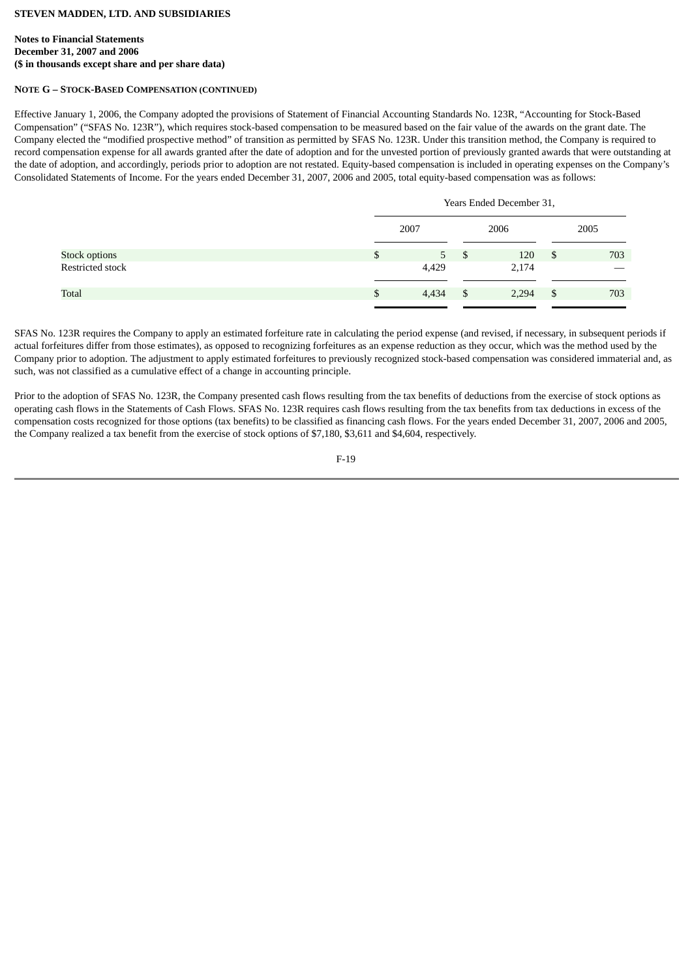## **Notes to Financial Statements December 31, 2007 and 2006 (\$ in thousands except share and per share data)**

### **NOTE G – STOCK-BASED COMPENSATION (CONTINUED)**

Effective January 1, 2006, the Company adopted the provisions of Statement of Financial Accounting Standards No. 123R, "Accounting for Stock-Based Compensation" ("SFAS No. 123R"), which requires stock-based compensation to be measured based on the fair value of the awards on the grant date. The Company elected the "modified prospective method" of transition as permitted by SFAS No. 123R. Under this transition method, the Company is required to record compensation expense for all awards granted after the date of adoption and for the unvested portion of previously granted awards that were outstanding at the date of adoption, and accordingly, periods prior to adoption are not restated. Equity-based compensation is included in operating expenses on the Company's Consolidated Statements of Income. For the years ended December 31, 2007, 2006 and 2005, total equity-based compensation was as follows:

|                      | Years Ended December 31, |     |       |     |      |  |  |
|----------------------|--------------------------|-----|-------|-----|------|--|--|
|                      | 2007                     |     | 2006  |     | 2005 |  |  |
| <b>Stock options</b> | \$<br>5                  | -\$ | 120   | -\$ | 703  |  |  |
| Restricted stock     | 4,429                    |     | 2,174 |     |      |  |  |
| <b>Total</b>         | \$<br>4,434              | \$  | 2,294 | \$  | 703  |  |  |
|                      |                          |     |       |     |      |  |  |

SFAS No. 123R requires the Company to apply an estimated forfeiture rate in calculating the period expense (and revised, if necessary, in subsequent periods if actual forfeitures differ from those estimates), as opposed to recognizing forfeitures as an expense reduction as they occur, which was the method used by the Company prior to adoption. The adjustment to apply estimated forfeitures to previously recognized stock-based compensation was considered immaterial and, as such, was not classified as a cumulative effect of a change in accounting principle.

Prior to the adoption of SFAS No. 123R, the Company presented cash flows resulting from the tax benefits of deductions from the exercise of stock options as operating cash flows in the Statements of Cash Flows. SFAS No. 123R requires cash flows resulting from the tax benefits from tax deductions in excess of the compensation costs recognized for those options (tax benefits) to be classified as financing cash flows. For the years ended December 31, 2007, 2006 and 2005, the Company realized a tax benefit from the exercise of stock options of \$7,180, \$3,611 and \$4,604, respectively.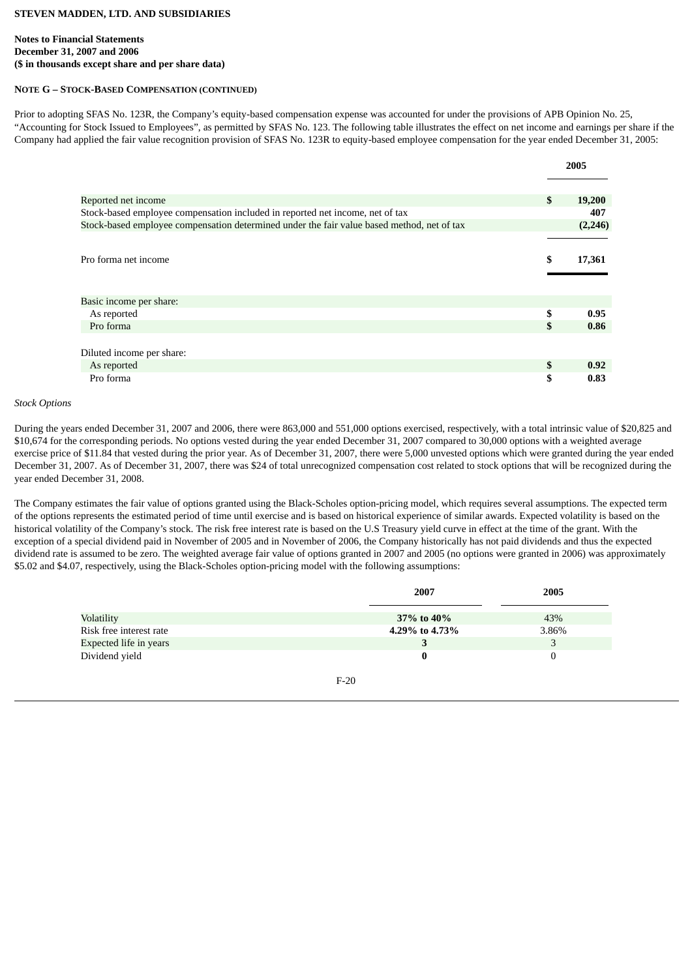## **Notes to Financial Statements December 31, 2007 and 2006 (\$ in thousands except share and per share data)**

#### **NOTE G – STOCK-BASED COMPENSATION (CONTINUED)**

Prior to adopting SFAS No. 123R, the Company's equity-based compensation expense was accounted for under the provisions of APB Opinion No. 25, "Accounting for Stock Issued to Employees", as permitted by SFAS No. 123. The following table illustrates the effect on net income and earnings per share if the Company had applied the fair value recognition provision of SFAS No. 123R to equity-based employee compensation for the year ended December 31, 2005:

|                                                                                            | 2005         |
|--------------------------------------------------------------------------------------------|--------------|
|                                                                                            |              |
| Reported net income                                                                        | \$<br>19,200 |
| Stock-based employee compensation included in reported net income, net of tax              | 407          |
| Stock-based employee compensation determined under the fair value based method, net of tax | (2,246)      |
|                                                                                            |              |
| Pro forma net income                                                                       | \$<br>17,361 |
|                                                                                            |              |
| Basic income per share:                                                                    |              |
| As reported                                                                                | \$<br>0.95   |
| Pro forma                                                                                  | \$<br>0.86   |
|                                                                                            |              |
| Diluted income per share:                                                                  |              |
| As reported                                                                                | \$<br>0.92   |
| Pro forma                                                                                  | \$<br>0.83   |

#### *Stock Options*

During the years ended December 31, 2007 and 2006, there were 863,000 and 551,000 options exercised, respectively, with a total intrinsic value of \$20,825 and \$10,674 for the corresponding periods. No options vested during the year ended December 31, 2007 compared to 30,000 options with a weighted average exercise price of \$11.84 that vested during the prior year. As of December 31, 2007, there were 5,000 unvested options which were granted during the year ended December 31, 2007. As of December 31, 2007, there was \$24 of total unrecognized compensation cost related to stock options that will be recognized during the year ended December 31, 2008.

The Company estimates the fair value of options granted using the Black-Scholes option-pricing model, which requires several assumptions. The expected term of the options represents the estimated period of time until exercise and is based on historical experience of similar awards. Expected volatility is based on the historical volatility of the Company's stock. The risk free interest rate is based on the U.S Treasury yield curve in effect at the time of the grant. With the exception of a special dividend paid in November of 2005 and in November of 2006, the Company historically has not paid dividends and thus the expected dividend rate is assumed to be zero. The weighted average fair value of options granted in 2007 and 2005 (no options were granted in 2006) was approximately \$5.02 and \$4.07, respectively, using the Black-Scholes option-pricing model with the following assumptions:

|                         | 2007           | 2005  |
|-------------------------|----------------|-------|
| Volatility              | 37% to 40%     | 43%   |
| Risk free interest rate | 4.29% to 4.73% | 3.86% |
| Expected life in years  | З              |       |
| Dividend yield          |                |       |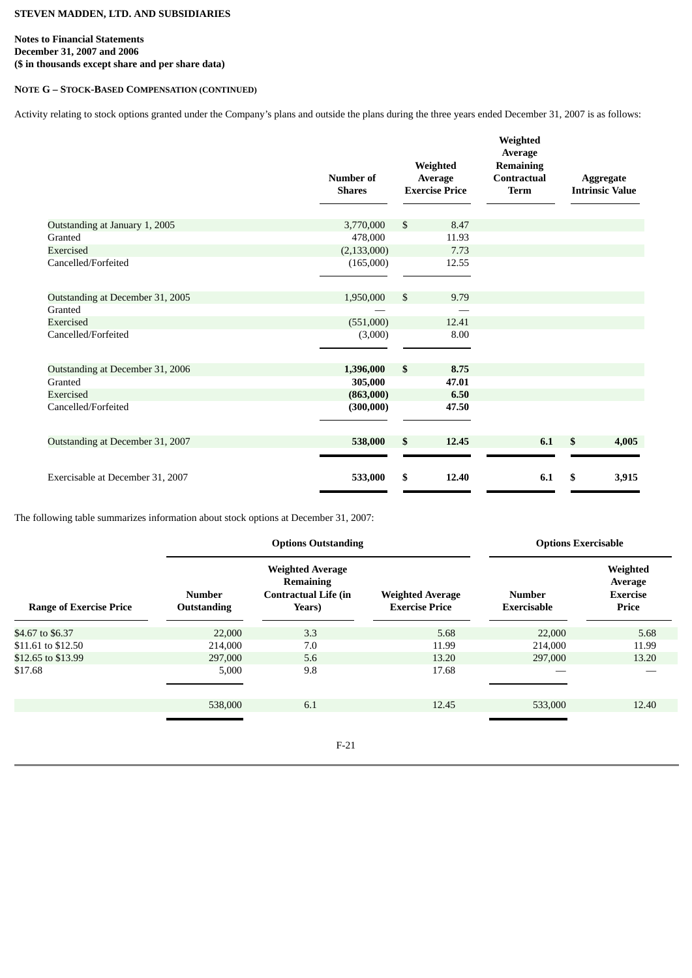## **Notes to Financial Statements December 31, 2007 and 2006 (\$ in thousands except share and per share data)**

## **NOTE G – STOCK-BASED COMPENSATION (CONTINUED)**

Activity relating to stock options granted under the Company's plans and outside the plans during the three years ended December 31, 2007 is as follows:

|                                  | Number of<br><b>Shares</b> | Weighted<br>Average<br><b>Exercise Price</b> |       |     |             | Weighted<br>Average<br><b>Remaining</b><br><b>Contractual</b><br><b>Term</b> | <b>Aggregate</b><br><b>Intrinsic Value</b> |
|----------------------------------|----------------------------|----------------------------------------------|-------|-----|-------------|------------------------------------------------------------------------------|--------------------------------------------|
| Outstanding at January 1, 2005   | 3,770,000                  | $\mathbb{S}$                                 | 8.47  |     |             |                                                                              |                                            |
| Granted                          | 478,000                    |                                              | 11.93 |     |             |                                                                              |                                            |
| <b>Exercised</b>                 | (2, 133, 000)              |                                              | 7.73  |     |             |                                                                              |                                            |
| Cancelled/Forfeited              | (165,000)                  |                                              | 12.55 |     |             |                                                                              |                                            |
| Outstanding at December 31, 2005 | 1,950,000                  | \$                                           | 9.79  |     |             |                                                                              |                                            |
| Granted                          |                            |                                              |       |     |             |                                                                              |                                            |
| <b>Exercised</b>                 | (551,000)                  |                                              | 12.41 |     |             |                                                                              |                                            |
| Cancelled/Forfeited              | (3,000)                    |                                              | 8.00  |     |             |                                                                              |                                            |
| Outstanding at December 31, 2006 | 1,396,000                  | $\mathbf{s}$                                 | 8.75  |     |             |                                                                              |                                            |
| Granted                          | 305,000                    |                                              | 47.01 |     |             |                                                                              |                                            |
| <b>Exercised</b>                 | (863,000)                  |                                              | 6.50  |     |             |                                                                              |                                            |
| Cancelled/Forfeited              | (300,000)                  |                                              | 47.50 |     |             |                                                                              |                                            |
| Outstanding at December 31, 2007 | 538,000                    | \$                                           | 12.45 | 6.1 | \$<br>4,005 |                                                                              |                                            |
| Exercisable at December 31, 2007 | 533,000                    | S                                            | 12.40 | 6.1 | \$<br>3,915 |                                                                              |                                            |

The following table summarizes information about stock options at December 31, 2007:

|                                |                              | <b>Options Outstanding</b>                                                           | <b>Options Exercisable</b>                       |                              |                                                 |
|--------------------------------|------------------------------|--------------------------------------------------------------------------------------|--------------------------------------------------|------------------------------|-------------------------------------------------|
| <b>Range of Exercise Price</b> | <b>Number</b><br>Outstanding | <b>Weighted Average</b><br><b>Remaining</b><br><b>Contractual Life (in</b><br>Years) | <b>Weighted Average</b><br><b>Exercise Price</b> | <b>Number</b><br>Exercisable | Weighted<br>Average<br><b>Exercise</b><br>Price |
| \$4.67 to \$6.37               | 22,000                       | 3.3                                                                                  | 5.68                                             | 22,000                       | 5.68                                            |
| \$11.61 to \$12.50             | 214,000                      | 7.0                                                                                  | 11.99                                            | 214,000                      | 11.99                                           |
| \$12.65 to \$13.99             | 297,000                      | 5.6                                                                                  | 13.20                                            | 297,000                      | 13.20                                           |
| \$17.68                        | 5,000                        | 9.8                                                                                  | 17.68                                            |                              |                                                 |
|                                | 538,000                      | 6.1                                                                                  | 12.45                                            | 533,000                      | 12.40                                           |
|                                |                              |                                                                                      |                                                  |                              |                                                 |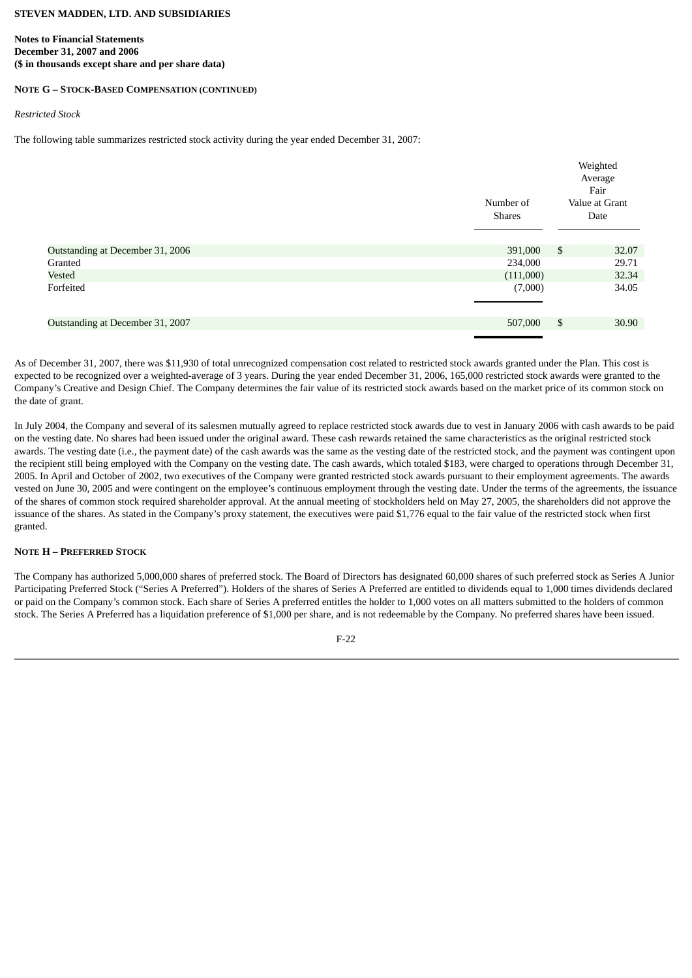## **Notes to Financial Statements December 31, 2007 and 2006 (\$ in thousands except share and per share data)**

### **NOTE G – STOCK-BASED COMPENSATION (CONTINUED)**

*Restricted Stock*

The following table summarizes restricted stock activity during the year ended December 31, 2007:

|                                  | Number of<br><b>Shares</b> | Weighted<br>Average<br>Fair<br>Value at Grant<br>Date |
|----------------------------------|----------------------------|-------------------------------------------------------|
| Outstanding at December 31, 2006 | 391,000                    | \$<br>32.07                                           |
| Granted                          | 234,000                    | 29.71                                                 |
| <b>Vested</b>                    | (111,000)                  | 32.34                                                 |
| Forfeited                        | (7,000)                    | 34.05                                                 |
| Outstanding at December 31, 2007 | 507,000                    | \$<br>30.90                                           |
|                                  |                            |                                                       |

As of December 31, 2007, there was \$11,930 of total unrecognized compensation cost related to restricted stock awards granted under the Plan. This cost is expected to be recognized over a weighted-average of 3 years. During the year ended December 31, 2006, 165,000 restricted stock awards were granted to the Company's Creative and Design Chief. The Company determines the fair value of its restricted stock awards based on the market price of its common stock on the date of grant.

In July 2004, the Company and several of its salesmen mutually agreed to replace restricted stock awards due to vest in January 2006 with cash awards to be paid on the vesting date. No shares had been issued under the original award. These cash rewards retained the same characteristics as the original restricted stock awards. The vesting date (i.e., the payment date) of the cash awards was the same as the vesting date of the restricted stock, and the payment was contingent upon the recipient still being employed with the Company on the vesting date. The cash awards, which totaled \$183, were charged to operations through December 31, 2005. In April and October of 2002, two executives of the Company were granted restricted stock awards pursuant to their employment agreements. The awards vested on June 30, 2005 and were contingent on the employee's continuous employment through the vesting date. Under the terms of the agreements, the issuance of the shares of common stock required shareholder approval. At the annual meeting of stockholders held on May 27, 2005, the shareholders did not approve the issuance of the shares. As stated in the Company's proxy statement, the executives were paid \$1,776 equal to the fair value of the restricted stock when first granted.

## **NOTE H – PREFERRED STOCK**

The Company has authorized 5,000,000 shares of preferred stock. The Board of Directors has designated 60,000 shares of such preferred stock as Series A Junior Participating Preferred Stock ("Series A Preferred"). Holders of the shares of Series A Preferred are entitled to dividends equal to 1,000 times dividends declared or paid on the Company's common stock. Each share of Series A preferred entitles the holder to 1,000 votes on all matters submitted to the holders of common stock. The Series A Preferred has a liquidation preference of \$1,000 per share, and is not redeemable by the Company. No preferred shares have been issued.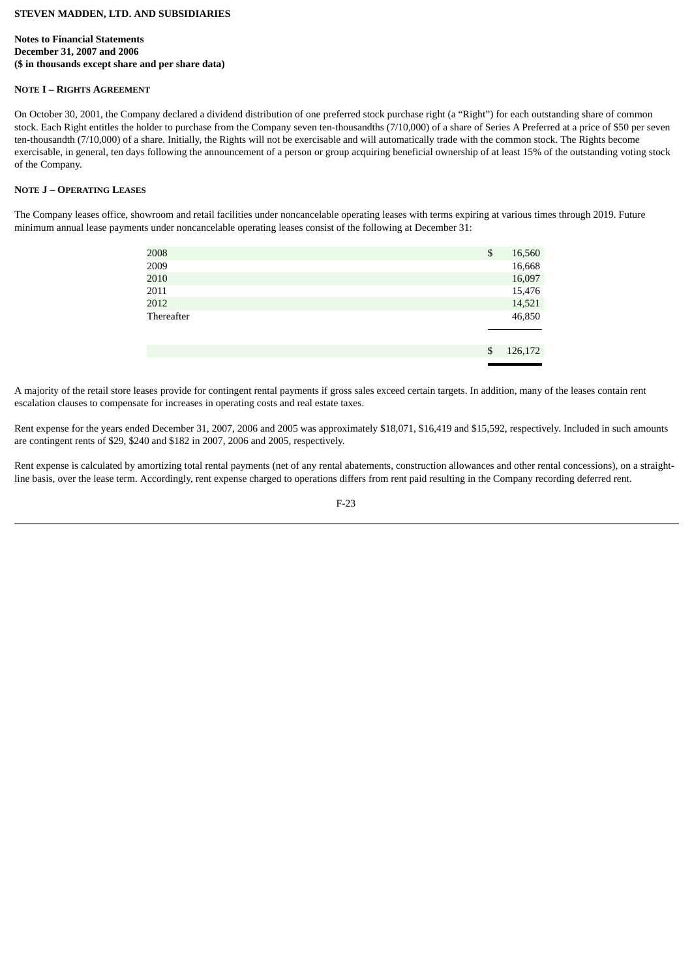## **Notes to Financial Statements December 31, 2007 and 2006 (\$ in thousands except share and per share data)**

#### **NOTE I – RIGHTS AGREEMENT**

On October 30, 2001, the Company declared a dividend distribution of one preferred stock purchase right (a "Right") for each outstanding share of common stock. Each Right entitles the holder to purchase from the Company seven ten-thousandths (7/10,000) of a share of Series A Preferred at a price of \$50 per seven ten-thousandth (7/10,000) of a share. Initially, the Rights will not be exercisable and will automatically trade with the common stock. The Rights become exercisable, in general, ten days following the announcement of a person or group acquiring beneficial ownership of at least 15% of the outstanding voting stock of the Company.

## **NOTE J – OPERATING LEASES**

The Company leases office, showroom and retail facilities under noncancelable operating leases with terms expiring at various times through 2019. Future minimum annual lease payments under noncancelable operating leases consist of the following at December 31:

| 2008       | \$<br>16,560  |
|------------|---------------|
| 2009       | 16,668        |
| 2010       | 16,097        |
| 2011       | 15,476        |
| 2012       | 14,521        |
| Thereafter | 46,850        |
|            |               |
|            |               |
|            | \$<br>126,172 |

A majority of the retail store leases provide for contingent rental payments if gross sales exceed certain targets. In addition, many of the leases contain rent escalation clauses to compensate for increases in operating costs and real estate taxes.

Rent expense for the years ended December 31, 2007, 2006 and 2005 was approximately \$18,071, \$16,419 and \$15,592, respectively. Included in such amounts are contingent rents of \$29, \$240 and \$182 in 2007, 2006 and 2005, respectively.

Rent expense is calculated by amortizing total rental payments (net of any rental abatements, construction allowances and other rental concessions), on a straightline basis, over the lease term. Accordingly, rent expense charged to operations differs from rent paid resulting in the Company recording deferred rent.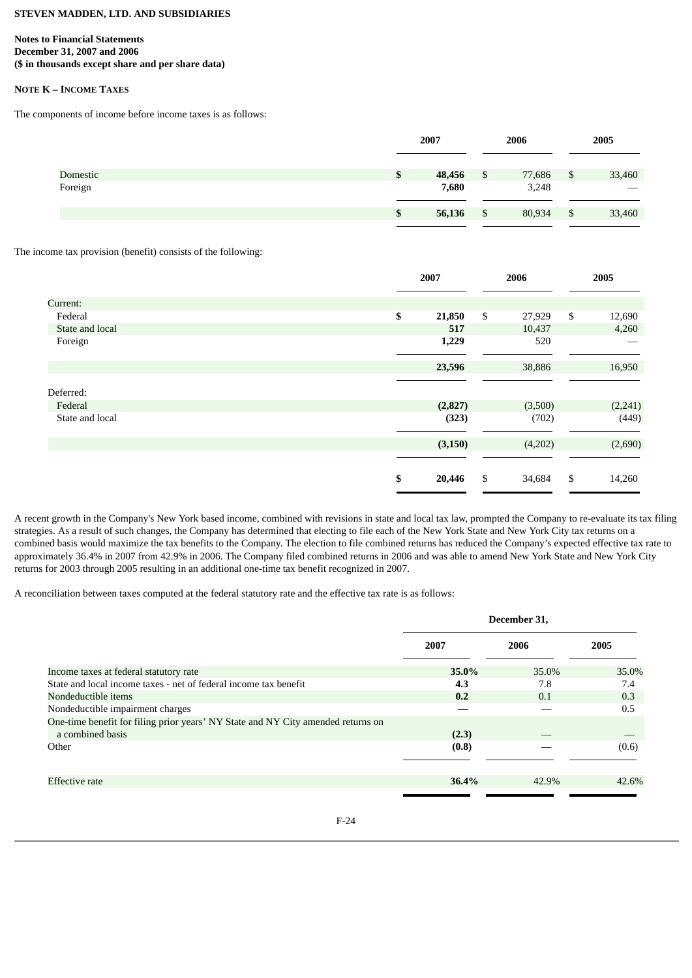## **Notes to Financial Statements December 31, 2007 and 2006 (\$ in thousands except share and per share data)**

### **NOTE K – INCOME TAXES**

The components of income before income taxes is as follows:

|          | 2007         | 2006         |              | 2005              |
|----------|--------------|--------------|--------------|-------------------|
| Domestic | \$<br>48,456 | \$<br>77,686 | $\mathbb{S}$ | 33,460            |
| Foreign  | 7,680        | 3,248        |              | $\hspace{0.05cm}$ |
|          |              |              |              |                   |
|          | \$<br>56,136 | \$<br>80,934 | \$           | 33,460            |
|          |              |              |              |                   |

The income tax provision (benefit) consists of the following:

|                 | 2007         |    | 2006    |    | 2005    |
|-----------------|--------------|----|---------|----|---------|
| Current:        |              |    |         |    |         |
| Federal         | \$<br>21,850 | \$ | 27,929  | \$ | 12,690  |
| State and local | 517          |    | 10,437  |    | 4,260   |
| Foreign         | 1,229        |    | 520     |    |         |
|                 | 23,596       |    | 38,886  |    | 16,950  |
| Deferred:       |              |    |         |    |         |
| Federal         | (2,827)      |    | (3,500) |    | (2,241) |
| State and local | (323)        |    | (702)   |    | (449)   |
|                 | (3, 150)     |    | (4,202) |    | (2,690) |
|                 |              |    |         |    |         |
|                 | \$<br>20,446 | \$ | 34,684  | \$ | 14,260  |
|                 |              |    |         |    |         |

A recent growth in the Company's New York based income, combined with revisions in state and local tax law, prompted the Company to re-evaluate its tax filing strategies. As a result of such changes, the Company has determined that electing to file each of the New York State and New York City tax returns on a combined basis would maximize the tax benefits to the Company. The election to file combined returns has reduced the Company's expected effective tax rate to approximately 36.4% in 2007 from 42.9% in 2006. The Company filed combined returns in 2006 and was able to amend New York State and New York City returns for 2003 through 2005 resulting in an additional one-time tax benefit recognized in 2007.

A reconciliation between taxes computed at the federal statutory rate and the effective tax rate is as follows:

|                                                                                  | December 31. |       |       |  |  |
|----------------------------------------------------------------------------------|--------------|-------|-------|--|--|
|                                                                                  | 2007         | 2006  | 2005  |  |  |
| Income taxes at federal statutory rate                                           | 35.0%        | 35.0% | 35.0% |  |  |
| State and local income taxes - net of federal income tax benefit                 | 4.3          | 7.8   | 7.4   |  |  |
| Nondeductible items                                                              | 0.2          | 0.1   | 0.3   |  |  |
| Nondeductible impairment charges                                                 |              |       | 0.5   |  |  |
| One-time benefit for filing prior years' NY State and NY City amended returns on |              |       |       |  |  |
| a combined basis                                                                 | (2.3)        |       |       |  |  |
| Other                                                                            | (0.8)        |       | (0.6) |  |  |
|                                                                                  |              |       |       |  |  |
| <b>Effective rate</b>                                                            | 36.4%        | 42.9% | 42.6% |  |  |
|                                                                                  |              |       |       |  |  |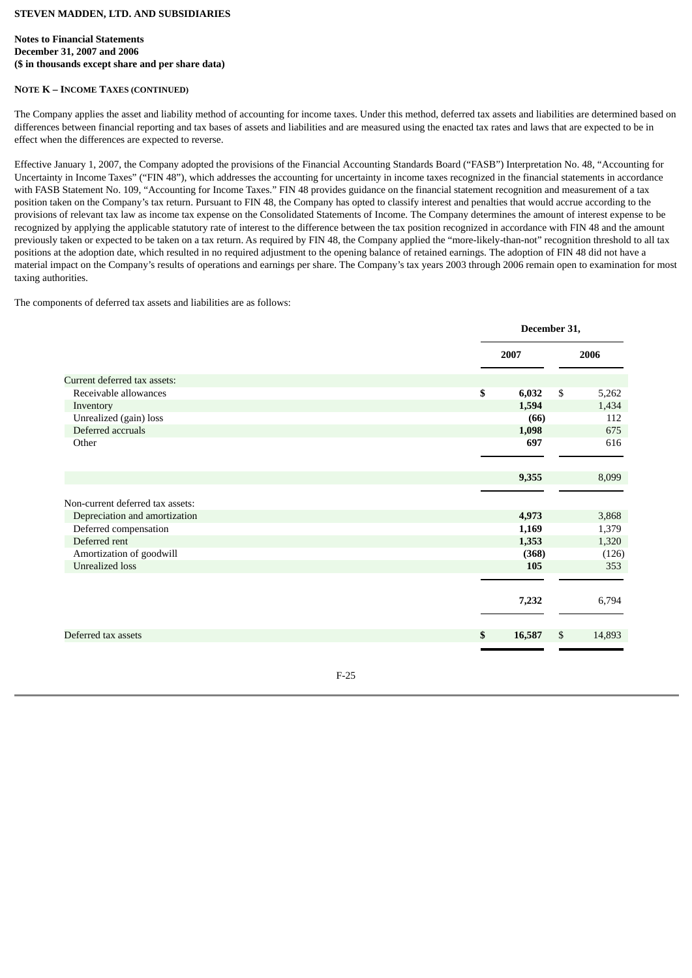## **Notes to Financial Statements December 31, 2007 and 2006 (\$ in thousands except share and per share data)**

## **NOTE K – INCOME TAXES (CONTINUED)**

The Company applies the asset and liability method of accounting for income taxes. Under this method, deferred tax assets and liabilities are determined based on differences between financial reporting and tax bases of assets and liabilities and are measured using the enacted tax rates and laws that are expected to be in effect when the differences are expected to reverse.

Effective January 1, 2007, the Company adopted the provisions of the Financial Accounting Standards Board ("FASB") Interpretation No. 48, "Accounting for Uncertainty in Income Taxes" ("FIN 48"), which addresses the accounting for uncertainty in income taxes recognized in the financial statements in accordance with FASB Statement No. 109, "Accounting for Income Taxes." FIN 48 provides guidance on the financial statement recognition and measurement of a tax position taken on the Company's tax return. Pursuant to FIN 48, the Company has opted to classify interest and penalties that would accrue according to the provisions of relevant tax law as income tax expense on the Consolidated Statements of Income. The Company determines the amount of interest expense to be recognized by applying the applicable statutory rate of interest to the difference between the tax position recognized in accordance with FIN 48 and the amount previously taken or expected to be taken on a tax return. As required by FIN 48, the Company applied the "more-likely-than-not" recognition threshold to all tax positions at the adoption date, which resulted in no required adjustment to the opening balance of retained earnings. The adoption of FIN 48 did not have a material impact on the Company's results of operations and earnings per share. The Company's tax years 2003 through 2006 remain open to examination for most taxing authorities.

The components of deferred tax assets and liabilities are as follows:

|                                  |        | December 31, |    |        |  |
|----------------------------------|--------|--------------|----|--------|--|
|                                  |        | 2007         |    | 2006   |  |
| Current deferred tax assets:     |        |              |    |        |  |
| Receivable allowances            |        | \$<br>6,032  | \$ | 5,262  |  |
| Inventory                        |        | 1,594        |    | 1,434  |  |
| Unrealized (gain) loss           |        | (66)         |    | 112    |  |
| Deferred accruals                |        | 1,098        |    | 675    |  |
| Other                            |        | 697          |    | 616    |  |
|                                  |        | 9,355        |    | 8,099  |  |
| Non-current deferred tax assets: |        |              |    |        |  |
| Depreciation and amortization    |        | 4,973        |    | 3,868  |  |
| Deferred compensation            |        | 1,169        |    | 1,379  |  |
| Deferred rent                    |        | 1,353        |    | 1,320  |  |
| Amortization of goodwill         |        | (368)        |    | (126)  |  |
| <b>Unrealized loss</b>           |        | 105          |    | 353    |  |
|                                  |        | 7,232        |    | 6,794  |  |
| Deferred tax assets              |        | \$<br>16,587 | \$ | 14,893 |  |
|                                  | $F-25$ |              |    |        |  |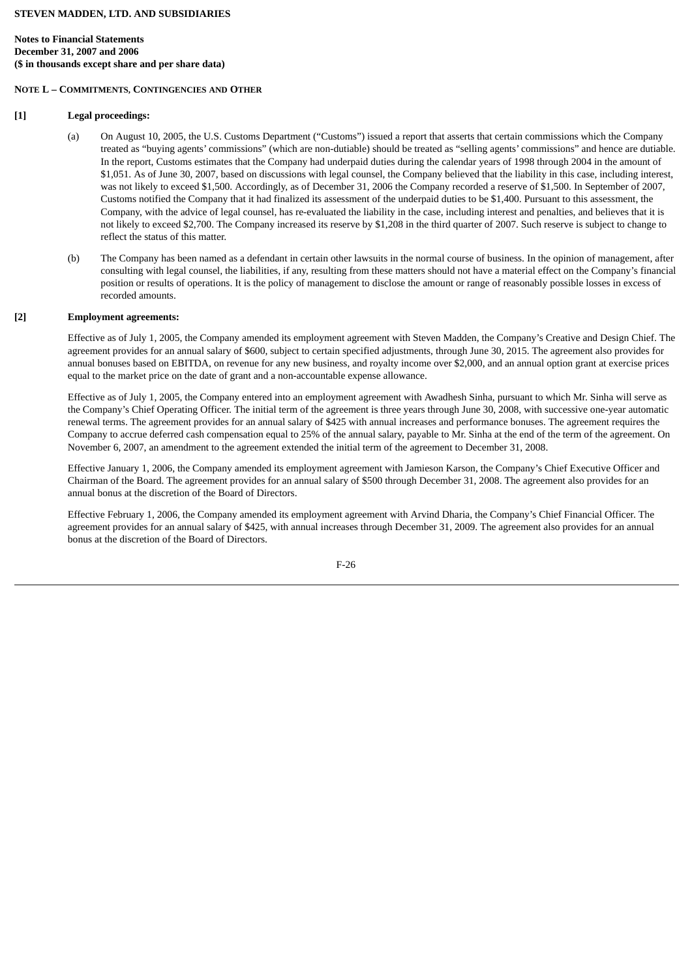**Notes to Financial Statements December 31, 2007 and 2006 (\$ in thousands except share and per share data)**

#### **NOTE L – COMMITMENTS, CONTINGENCIES AND OTHER**

## **[1] Legal proceedings:**

- (a) On August 10, 2005, the U.S. Customs Department ("Customs") issued a report that asserts that certain commissions which the Company treated as "buying agents' commissions" (which are non-dutiable) should be treated as "selling agents' commissions" and hence are dutiable. In the report, Customs estimates that the Company had underpaid duties during the calendar years of 1998 through 2004 in the amount of \$1,051. As of June 30, 2007, based on discussions with legal counsel, the Company believed that the liability in this case, including interest, was not likely to exceed \$1,500. Accordingly, as of December 31, 2006 the Company recorded a reserve of \$1,500. In September of 2007, Customs notified the Company that it had finalized its assessment of the underpaid duties to be \$1,400. Pursuant to this assessment, the Company, with the advice of legal counsel, has re-evaluated the liability in the case, including interest and penalties, and believes that it is not likely to exceed \$2,700. The Company increased its reserve by \$1,208 in the third quarter of 2007. Such reserve is subject to change to reflect the status of this matter.
- (b) The Company has been named as a defendant in certain other lawsuits in the normal course of business. In the opinion of management, after consulting with legal counsel, the liabilities, if any, resulting from these matters should not have a material effect on the Company's financial position or results of operations. It is the policy of management to disclose the amount or range of reasonably possible losses in excess of recorded amounts.

## **[2] Employment agreements:**

Effective as of July 1, 2005, the Company amended its employment agreement with Steven Madden, the Company's Creative and Design Chief. The agreement provides for an annual salary of \$600, subject to certain specified adjustments, through June 30, 2015. The agreement also provides for annual bonuses based on EBITDA, on revenue for any new business, and royalty income over \$2,000, and an annual option grant at exercise prices equal to the market price on the date of grant and a non-accountable expense allowance.

Effective as of July 1, 2005, the Company entered into an employment agreement with Awadhesh Sinha, pursuant to which Mr. Sinha will serve as the Company's Chief Operating Officer. The initial term of the agreement is three years through June 30, 2008, with successive one-year automatic renewal terms. The agreement provides for an annual salary of \$425 with annual increases and performance bonuses. The agreement requires the Company to accrue deferred cash compensation equal to 25% of the annual salary, payable to Mr. Sinha at the end of the term of the agreement. On November 6, 2007, an amendment to the agreement extended the initial term of the agreement to December 31, 2008.

Effective January 1, 2006, the Company amended its employment agreement with Jamieson Karson, the Company's Chief Executive Officer and Chairman of the Board. The agreement provides for an annual salary of \$500 through December 31, 2008. The agreement also provides for an annual bonus at the discretion of the Board of Directors.

Effective February 1, 2006, the Company amended its employment agreement with Arvind Dharia, the Company's Chief Financial Officer. The agreement provides for an annual salary of \$425, with annual increases through December 31, 2009. The agreement also provides for an annual bonus at the discretion of the Board of Directors.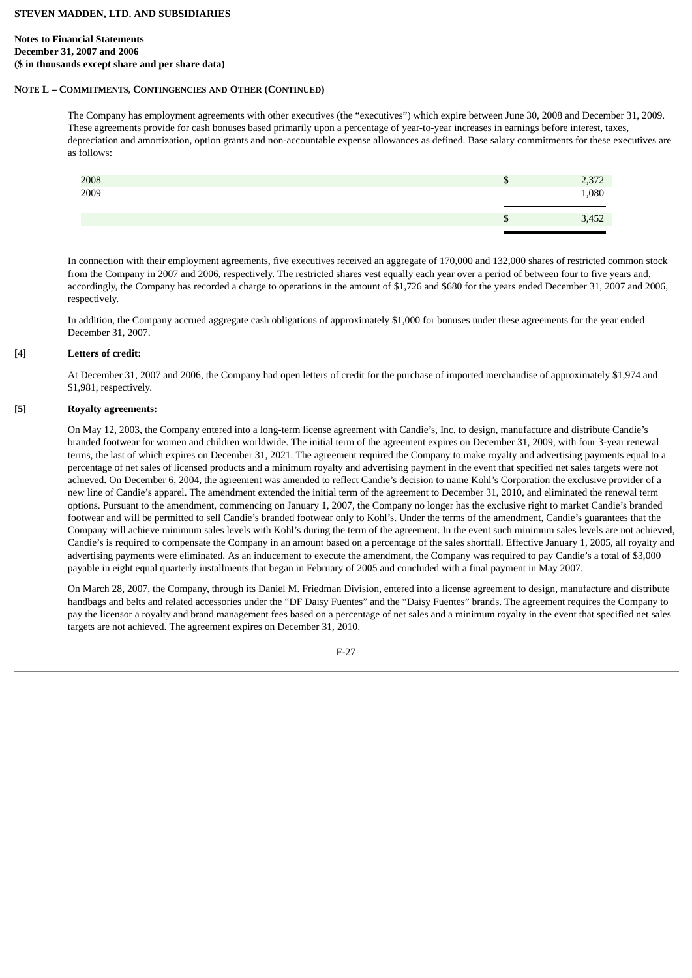## **Notes to Financial Statements December 31, 2007 and 2006 (\$ in thousands except share and per share data)**

#### **NOTE L – COMMITMENTS, CONTINGENCIES AND OTHER (CONTINUED)**

The Company has employment agreements with other executives (the "executives") which expire between June 30, 2008 and December 31, 2009. These agreements provide for cash bonuses based primarily upon a percentage of year-to-year increases in earnings before interest, taxes, depreciation and amortization, option grants and non-accountable expense allowances as defined. Base salary commitments for these executives are as follows:

| 2008 | D | 2,372 |
|------|---|-------|
| 2009 |   | 1,080 |
|      | D | 3,452 |
|      |   |       |

In connection with their employment agreements, five executives received an aggregate of 170,000 and 132,000 shares of restricted common stock from the Company in 2007 and 2006, respectively. The restricted shares vest equally each year over a period of between four to five years and, accordingly, the Company has recorded a charge to operations in the amount of \$1,726 and \$680 for the years ended December 31, 2007 and 2006, respectively.

In addition, the Company accrued aggregate cash obligations of approximately \$1,000 for bonuses under these agreements for the year ended December 31, 2007.

## **[4] Letters of credit:**

At December 31, 2007 and 2006, the Company had open letters of credit for the purchase of imported merchandise of approximately \$1,974 and \$1,981, respectively.

## **[5] Royalty agreements:**

On May 12, 2003, the Company entered into a long-term license agreement with Candie's, Inc. to design, manufacture and distribute Candie's branded footwear for women and children worldwide. The initial term of the agreement expires on December 31, 2009, with four 3-year renewal terms, the last of which expires on December 31, 2021. The agreement required the Company to make royalty and advertising payments equal to a percentage of net sales of licensed products and a minimum royalty and advertising payment in the event that specified net sales targets were not achieved. On December 6, 2004, the agreement was amended to reflect Candie's decision to name Kohl's Corporation the exclusive provider of a new line of Candie's apparel. The amendment extended the initial term of the agreement to December 31, 2010, and eliminated the renewal term options. Pursuant to the amendment, commencing on January 1, 2007, the Company no longer has the exclusive right to market Candie's branded footwear and will be permitted to sell Candie's branded footwear only to Kohl's. Under the terms of the amendment, Candie's guarantees that the Company will achieve minimum sales levels with Kohl's during the term of the agreement. In the event such minimum sales levels are not achieved, Candie's is required to compensate the Company in an amount based on a percentage of the sales shortfall. Effective January 1, 2005, all royalty and advertising payments were eliminated. As an inducement to execute the amendment, the Company was required to pay Candie's a total of \$3,000 payable in eight equal quarterly installments that began in February of 2005 and concluded with a final payment in May 2007.

On March 28, 2007, the Company, through its Daniel M. Friedman Division, entered into a license agreement to design, manufacture and distribute handbags and belts and related accessories under the "DF Daisy Fuentes" and the "Daisy Fuentes" brands. The agreement requires the Company to pay the licensor a royalty and brand management fees based on a percentage of net sales and a minimum royalty in the event that specified net sales targets are not achieved. The agreement expires on December 31, 2010.

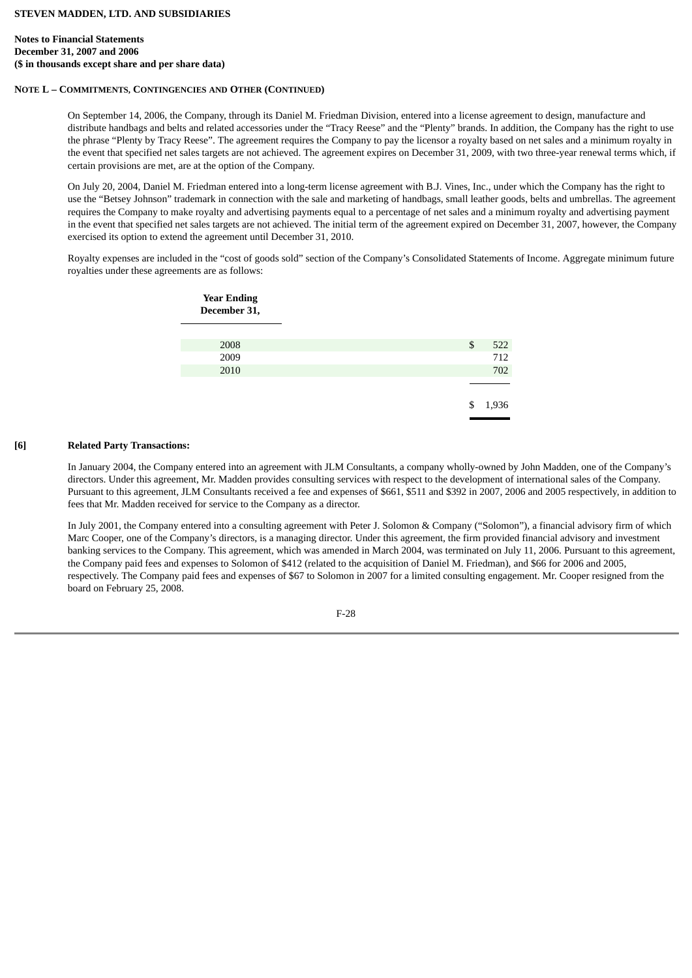### **Notes to Financial Statements December 31, 2007 and 2006 (\$ in thousands except share and per share data)**

#### **NOTE L – COMMITMENTS, CONTINGENCIES AND OTHER (CONTINUED)**

**Year Ending**

On September 14, 2006, the Company, through its Daniel M. Friedman Division, entered into a license agreement to design, manufacture and distribute handbags and belts and related accessories under the "Tracy Reese" and the "Plenty" brands. In addition, the Company has the right to use the phrase "Plenty by Tracy Reese". The agreement requires the Company to pay the licensor a royalty based on net sales and a minimum royalty in the event that specified net sales targets are not achieved. The agreement expires on December 31, 2009, with two three-year renewal terms which, if certain provisions are met, are at the option of the Company.

On July 20, 2004, Daniel M. Friedman entered into a long-term license agreement with B.J. Vines, Inc., under which the Company has the right to use the "Betsey Johnson" trademark in connection with the sale and marketing of handbags, small leather goods, belts and umbrellas. The agreement requires the Company to make royalty and advertising payments equal to a percentage of net sales and a minimum royalty and advertising payment in the event that specified net sales targets are not achieved. The initial term of the agreement expired on December 31, 2007, however, the Company exercised its option to extend the agreement until December 31, 2010.

Royalty expenses are included in the "cost of goods sold" section of the Company's Consolidated Statements of Income. Aggregate minimum future royalties under these agreements are as follows:

| December 31, |             |
|--------------|-------------|
|              |             |
| 2008         | \$<br>522   |
| 2009         | 712         |
| 2010         | 702         |
|              |             |
|              | \$<br>1,936 |

#### **[6] Related Party Transactions:**

In January 2004, the Company entered into an agreement with JLM Consultants, a company wholly-owned by John Madden, one of the Company's directors. Under this agreement, Mr. Madden provides consulting services with respect to the development of international sales of the Company. Pursuant to this agreement, JLM Consultants received a fee and expenses of \$661, \$511 and \$392 in 2007, 2006 and 2005 respectively, in addition to fees that Mr. Madden received for service to the Company as a director.

In July 2001, the Company entered into a consulting agreement with Peter J. Solomon & Company ("Solomon"), a financial advisory firm of which Marc Cooper, one of the Company's directors, is a managing director. Under this agreement, the firm provided financial advisory and investment banking services to the Company. This agreement, which was amended in March 2004, was terminated on July 11, 2006. Pursuant to this agreement, the Company paid fees and expenses to Solomon of \$412 (related to the acquisition of Daniel M. Friedman), and \$66 for 2006 and 2005, respectively. The Company paid fees and expenses of \$67 to Solomon in 2007 for a limited consulting engagement. Mr. Cooper resigned from the board on February 25, 2008.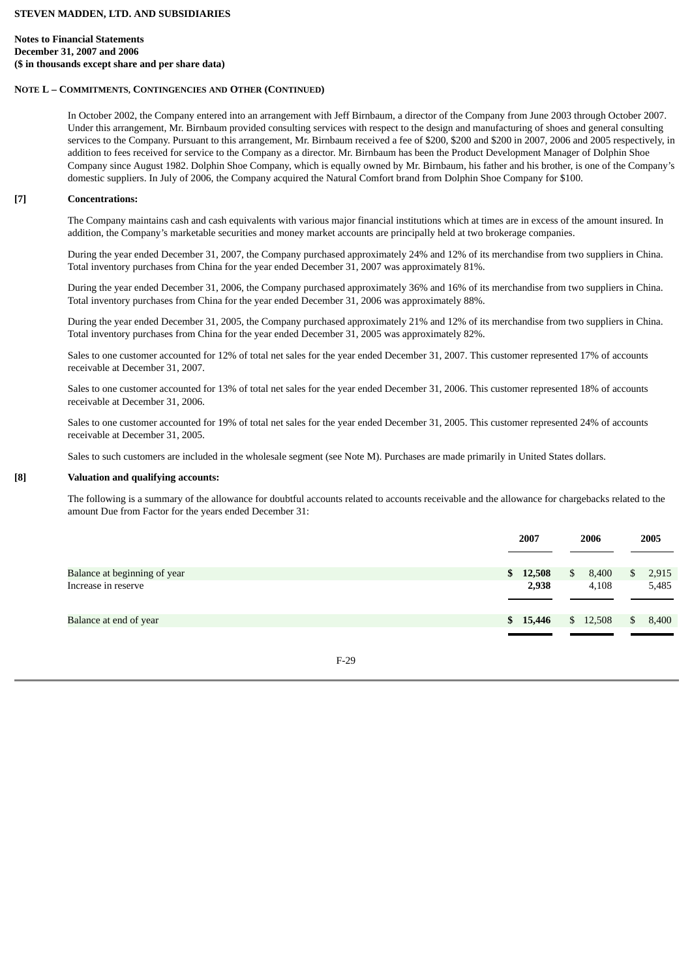## **Notes to Financial Statements December 31, 2007 and 2006 (\$ in thousands except share and per share data)**

#### **NOTE L – COMMITMENTS, CONTINGENCIES AND OTHER (CONTINUED)**

In October 2002, the Company entered into an arrangement with Jeff Birnbaum, a director of the Company from June 2003 through October 2007. Under this arrangement, Mr. Birnbaum provided consulting services with respect to the design and manufacturing of shoes and general consulting services to the Company. Pursuant to this arrangement, Mr. Birnbaum received a fee of \$200, \$200 and \$200 in 2007, 2006 and 2005 respectively, in addition to fees received for service to the Company as a director. Mr. Birnbaum has been the Product Development Manager of Dolphin Shoe Company since August 1982. Dolphin Shoe Company, which is equally owned by Mr. Birnbaum, his father and his brother, is one of the Company's domestic suppliers. In July of 2006, the Company acquired the Natural Comfort brand from Dolphin Shoe Company for \$100.

#### **[7] Concentrations:**

The Company maintains cash and cash equivalents with various major financial institutions which at times are in excess of the amount insured. In addition, the Company's marketable securities and money market accounts are principally held at two brokerage companies.

During the year ended December 31, 2007, the Company purchased approximately 24% and 12% of its merchandise from two suppliers in China. Total inventory purchases from China for the year ended December 31, 2007 was approximately 81%.

During the year ended December 31, 2006, the Company purchased approximately 36% and 16% of its merchandise from two suppliers in China. Total inventory purchases from China for the year ended December 31, 2006 was approximately 88%.

During the year ended December 31, 2005, the Company purchased approximately 21% and 12% of its merchandise from two suppliers in China. Total inventory purchases from China for the year ended December 31, 2005 was approximately 82%.

Sales to one customer accounted for 12% of total net sales for the year ended December 31, 2007. This customer represented 17% of accounts receivable at December 31, 2007.

Sales to one customer accounted for 13% of total net sales for the year ended December 31, 2006. This customer represented 18% of accounts receivable at December 31, 2006.

Sales to one customer accounted for 19% of total net sales for the year ended December 31, 2005. This customer represented 24% of accounts receivable at December 31, 2005.

Sales to such customers are included in the wholesale segment (see Note M). Purchases are made primarily in United States dollars.

#### **[8] Valuation and qualifying accounts:**

The following is a summary of the allowance for doubtful accounts related to accounts receivable and the allowance for chargebacks related to the amount Due from Factor for the years ended December 31:

|                              | 2007     | 2006        | 2005        |
|------------------------------|----------|-------------|-------------|
|                              |          |             |             |
| Balance at beginning of year | \$12,508 | \$<br>8,400 | 2,915<br>\$ |
| Increase in reserve          | 2,938    | 4,108       | 5,485       |
| Balance at end of year       | \$15,446 | \$12,508    | 8,400<br>\$ |
|                              |          |             |             |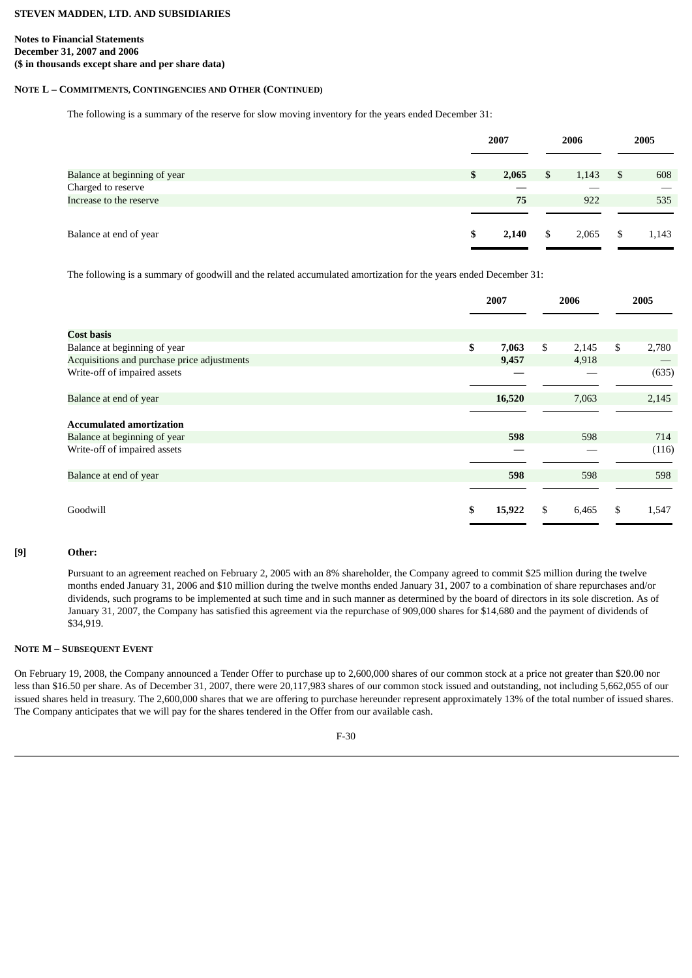## **Notes to Financial Statements December 31, 2007 and 2006 (\$ in thousands except share and per share data)**

#### **NOTE L – COMMITMENTS, CONTINGENCIES AND OTHER (CONTINUED)**

The following is a summary of the reserve for slow moving inventory for the years ended December 31:

|                              | 2007        |    | 2006  | 2005        |
|------------------------------|-------------|----|-------|-------------|
| Balance at beginning of year | \$<br>2,065 | \$ | 1,143 | \$<br>608   |
| Charged to reserve           |             |    |       |             |
| Increase to the reserve      | 75          |    | 922   | 535         |
|                              |             |    |       |             |
| Balance at end of year       | \$<br>2,140 | S  | 2,065 | \$<br>1,143 |

The following is a summary of goodwill and the related accumulated amortization for the years ended December 31:

|                                             | 2007         | 2006 |       | 2005 |       |
|---------------------------------------------|--------------|------|-------|------|-------|
|                                             |              |      |       |      |       |
| <b>Cost basis</b>                           |              |      |       |      |       |
| Balance at beginning of year                | \$<br>7,063  | \$   | 2,145 | \$   | 2,780 |
| Acquisitions and purchase price adjustments | 9,457        |      | 4,918 |      |       |
| Write-off of impaired assets                |              |      |       |      | (635) |
|                                             |              |      |       |      |       |
| Balance at end of year                      | 16,520       |      | 7,063 |      | 2,145 |
|                                             |              |      |       |      |       |
| <b>Accumulated amortization</b>             |              |      |       |      |       |
| Balance at beginning of year                | 598          |      | 598   |      | 714   |
| Write-off of impaired assets                |              |      |       |      | (116) |
|                                             |              |      |       |      |       |
| Balance at end of year                      | 598          |      | 598   |      | 598   |
|                                             |              |      |       |      |       |
| Goodwill                                    | \$<br>15,922 | S.   | 6,465 | \$   | 1,547 |
|                                             |              |      |       |      |       |

# **[9] Other:**

Pursuant to an agreement reached on February 2, 2005 with an 8% shareholder, the Company agreed to commit \$25 million during the twelve months ended January 31, 2006 and \$10 million during the twelve months ended January 31, 2007 to a combination of share repurchases and/or dividends, such programs to be implemented at such time and in such manner as determined by the board of directors in its sole discretion. As of January 31, 2007, the Company has satisfied this agreement via the repurchase of 909,000 shares for \$14,680 and the payment of dividends of \$34,919.

## **NOTE M – SUBSEQUENT EVENT**

On February 19, 2008, the Company announced a Tender Offer to purchase up to 2,600,000 shares of our common stock at a price not greater than \$20.00 nor less than \$16.50 per share. As of December 31, 2007, there were 20,117,983 shares of our common stock issued and outstanding, not including 5,662,055 of our issued shares held in treasury. The 2,600,000 shares that we are offering to purchase hereunder represent approximately 13% of the total number of issued shares. The Company anticipates that we will pay for the shares tendered in the Offer from our available cash.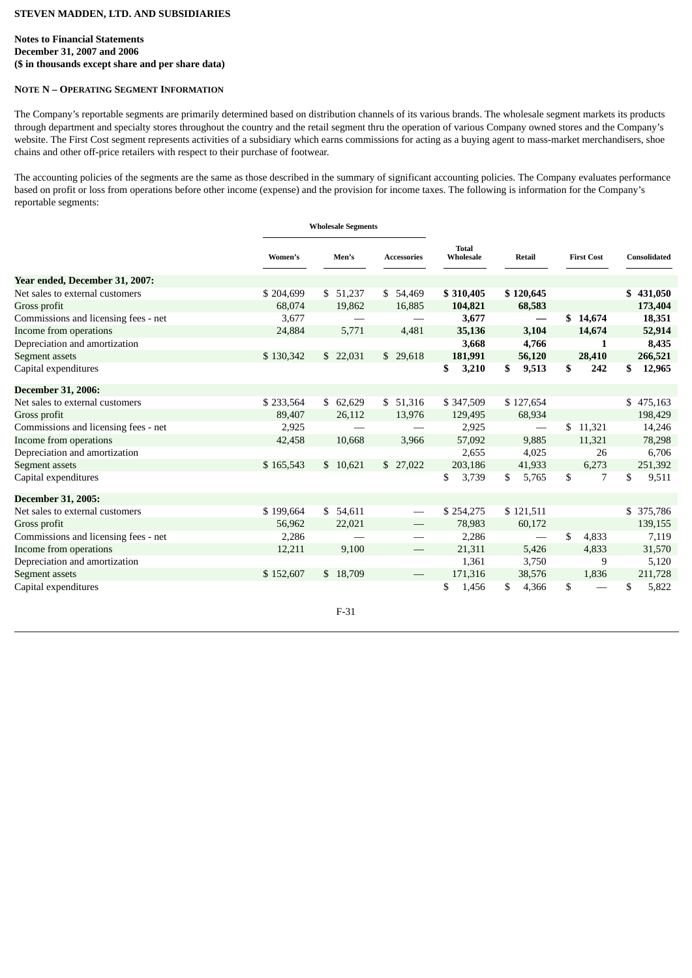## **Notes to Financial Statements December 31, 2007 and 2006 (\$ in thousands except share and per share data)**

#### **NOTE N – OPERATING SEGMENT INFORMATION**

The Company's reportable segments are primarily determined based on distribution channels of its various brands. The wholesale segment markets its products through department and specialty stores throughout the country and the retail segment thru the operation of various Company owned stores and the Company's website. The First Cost segment represents activities of a subsidiary which earns commissions for acting as a buying agent to mass-market merchandisers, shoe chains and other off-price retailers with respect to their purchase of footwear.

The accounting policies of the segments are the same as those described in the summary of significant accounting policies. The Company evaluates performance based on profit or loss from operations before other income (expense) and the provision for income taxes. The following is information for the Company's reportable segments:

|                                      |           | <b>Wholesale Segments</b> |                    |                           |                          |                   |              |
|--------------------------------------|-----------|---------------------------|--------------------|---------------------------|--------------------------|-------------------|--------------|
|                                      | Women's   | Men's                     | <b>Accessories</b> | <b>Total</b><br>Wholesale | Retail                   | <b>First Cost</b> | Consolidated |
| Year ended, December 31, 2007:       |           |                           |                    |                           |                          |                   |              |
| Net sales to external customers      | \$204,699 | \$51,237                  | \$54,469           | \$310,405                 | \$120,645                |                   | \$431,050    |
| Gross profit                         | 68,074    | 19,862                    | 16,885             | 104,821                   | 68,583                   |                   | 173,404      |
| Commissions and licensing fees - net | 3,677     |                           |                    | 3,677                     | $\overline{\phantom{0}}$ | \$14,674          | 18,351       |
| Income from operations               | 24,884    | 5,771                     | 4,481              | 35,136                    | 3,104                    | 14,674            | 52,914       |
| Depreciation and amortization        |           |                           |                    | 3,668                     | 4,766                    | $\mathbf{1}$      | 8,435        |
| Segment assets                       | \$130,342 | \$22,031                  | \$29,618           | 181,991                   | 56,120                   | 28,410            | 266,521      |
| Capital expenditures                 |           |                           |                    | \$<br>3,210               | 9,513<br>S.              | \$<br>242         | 12,965<br>\$ |
| <b>December 31, 2006:</b>            |           |                           |                    |                           |                          |                   |              |
| Net sales to external customers      | \$233,564 | \$62,629                  | \$ 51,316          | \$347,509                 | \$127,654                |                   | \$475,163    |
| Gross profit                         | 89,407    | 26,112                    | 13,976             | 129,495                   | 68,934                   |                   | 198,429      |
| Commissions and licensing fees - net | 2,925     |                           |                    | 2,925                     |                          | \$11,321          | 14,246       |
| Income from operations               | 42,458    | 10,668                    | 3,966              | 57,092                    | 9,885                    | 11,321            | 78,298       |
| Depreciation and amortization        |           |                           |                    | 2,655                     | 4,025                    | 26                | 6,706        |
| Segment assets                       | \$165,543 | \$10,621                  | \$27,022           | 203,186                   | 41,933                   | 6,273             | 251,392      |
| Capital expenditures                 |           |                           |                    | \$<br>3,739               | 5,765<br>\$              | \$<br>7           | 9,511<br>\$  |
| <b>December 31, 2005:</b>            |           |                           |                    |                           |                          |                   |              |
| Net sales to external customers      | \$199,664 | \$ 54,611                 |                    | \$254,275                 | \$121,511                |                   | \$375,786    |
| Gross profit                         | 56,962    | 22,021                    |                    | 78,983                    | 60,172                   |                   | 139,155      |
| Commissions and licensing fees - net | 2,286     |                           |                    | 2,286                     |                          | \$<br>4,833       | 7,119        |
| Income from operations               | 12,211    | 9,100                     |                    | 21,311                    | 5,426                    | 4,833             | 31,570       |
| Depreciation and amortization        |           |                           |                    | 1,361                     | 3,750                    | 9                 | 5,120        |
| Segment assets                       | \$152,607 | \$18,709                  |                    | 171,316                   | 38,576                   | 1,836             | 211,728      |
| Capital expenditures                 |           |                           |                    | \$<br>1,456               | 4,366<br>\$              | \$                | \$<br>5,822  |
|                                      |           | $F-31$                    |                    |                           |                          |                   |              |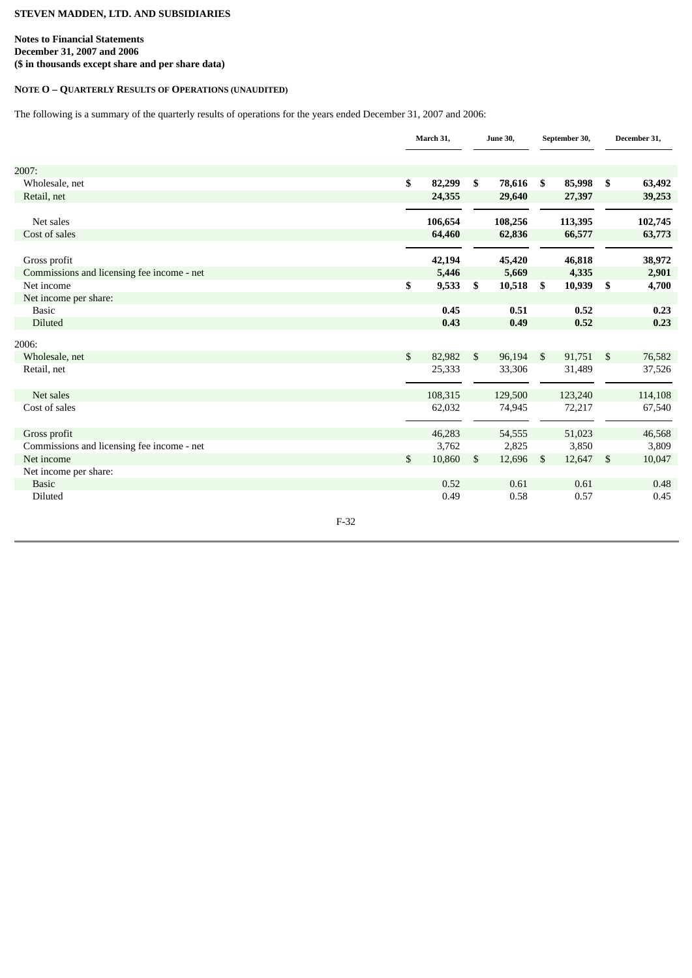## **Notes to Financial Statements December 31, 2007 and 2006 (\$ in thousands except share and per share data)**

# **NOTE O – QUARTERLY RESULTS OF OPERATIONS (UNAUDITED)**

The following is a summary of the quarterly results of operations for the years ended December 31, 2007 and 2006:

|                                            |        | March 31, |         | <b>June 30,</b> |             | September 30,  |         | December 31,  |         |
|--------------------------------------------|--------|-----------|---------|-----------------|-------------|----------------|---------|---------------|---------|
| 2007:                                      |        |           |         |                 |             |                |         |               |         |
| Wholesale, net                             |        | \$        | 82,299  | \$              | 78,616      | $\mathbf{s}$   | 85,998  | \$            | 63,492  |
| Retail, net                                |        |           | 24,355  |                 | 29,640      |                | 27,397  |               | 39,253  |
| Net sales                                  |        |           | 106,654 |                 | 108,256     |                | 113,395 |               | 102,745 |
| Cost of sales                              |        |           | 64,460  |                 | 62,836      |                | 66,577  |               | 63,773  |
| Gross profit                               |        |           | 42,194  |                 | 45,420      |                | 46,818  |               | 38,972  |
| Commissions and licensing fee income - net |        |           | 5,446   |                 | 5,669       |                | 4,335   |               | 2,901   |
| Net income                                 |        | \$        | 9,533   | \$              | $10,518$ \$ |                | 10,939  | \$            | 4,700   |
| Net income per share:                      |        |           |         |                 |             |                |         |               |         |
| <b>Basic</b>                               |        |           | 0.45    |                 | 0.51        |                | 0.52    |               | 0.23    |
| <b>Diluted</b>                             |        |           | 0.43    |                 | 0.49        |                | 0.52    |               | 0.23    |
| 2006:                                      |        |           |         |                 |             |                |         |               |         |
| Wholesale, net                             |        | \$        | 82,982  | \$              | 96,194      | $\mathbf{s}$   | 91,751  | $\mathbb{S}$  | 76,582  |
| Retail, net                                |        |           | 25,333  |                 | 33,306      |                | 31,489  |               | 37,526  |
| Net sales                                  |        |           | 108,315 |                 | 129,500     |                | 123,240 |               | 114,108 |
| Cost of sales                              |        |           | 62,032  |                 | 74,945      |                | 72,217  |               | 67,540  |
| Gross profit                               |        |           | 46,283  |                 | 54,555      |                | 51,023  |               | 46,568  |
| Commissions and licensing fee income - net |        |           | 3,762   |                 | 2,825       |                | 3,850   |               | 3,809   |
| Net income                                 |        | \$        | 10,860  | \$              | 12,696      | $\mathfrak{S}$ | 12,647  | $\mathcal{S}$ | 10,047  |
| Net income per share:                      |        |           |         |                 |             |                |         |               |         |
| <b>Basic</b>                               |        |           | 0.52    |                 | 0.61        |                | 0.61    |               | 0.48    |
| <b>Diluted</b>                             |        |           | 0.49    |                 | 0.58        |                | 0.57    |               | 0.45    |
|                                            | $F-32$ |           |         |                 |             |                |         |               |         |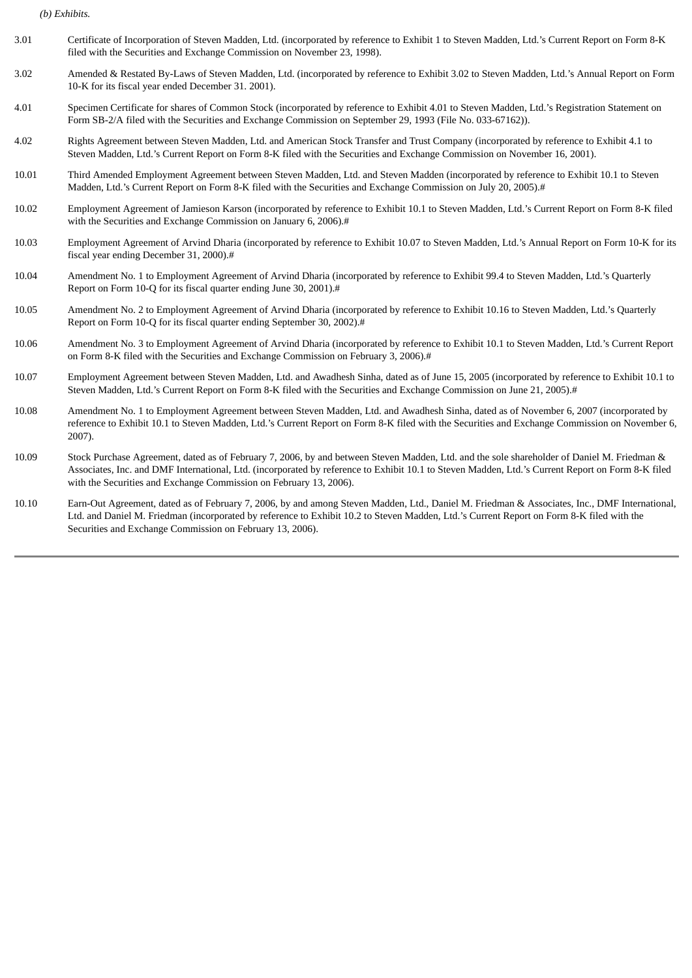*(b) Exhibits.*

- 3.01 Certificate of Incorporation of Steven Madden, Ltd. (incorporated by reference to Exhibit 1 to Steven Madden, Ltd.'s Current Report on Form 8-K filed with the Securities and Exchange Commission on November 23, 1998).
- 3.02 Amended & Restated By-Laws of Steven Madden, Ltd. (incorporated by reference to Exhibit 3.02 to Steven Madden, Ltd.'s Annual Report on Form 10-K for its fiscal year ended December 31. 2001).
- 4.01 Specimen Certificate for shares of Common Stock (incorporated by reference to Exhibit 4.01 to Steven Madden, Ltd.'s Registration Statement on Form SB-2/A filed with the Securities and Exchange Commission on September 29, 1993 (File No. 033-67162)).
- 4.02 Rights Agreement between Steven Madden, Ltd. and American Stock Transfer and Trust Company (incorporated by reference to Exhibit 4.1 to Steven Madden, Ltd.'s Current Report on Form 8-K filed with the Securities and Exchange Commission on November 16, 2001).
- 10.01 Third Amended Employment Agreement between Steven Madden, Ltd. and Steven Madden (incorporated by reference to Exhibit 10.1 to Steven Madden, Ltd.'s Current Report on Form 8-K filed with the Securities and Exchange Commission on July 20, 2005).#
- 10.02 Employment Agreement of Jamieson Karson (incorporated by reference to Exhibit 10.1 to Steven Madden, Ltd.'s Current Report on Form 8-K filed with the Securities and Exchange Commission on January 6, 2006).#
- 10.03 Employment Agreement of Arvind Dharia (incorporated by reference to Exhibit 10.07 to Steven Madden, Ltd.'s Annual Report on Form 10-K for its fiscal year ending December 31, 2000).#
- 10.04 Amendment No. 1 to Employment Agreement of Arvind Dharia (incorporated by reference to Exhibit 99.4 to Steven Madden, Ltd.'s Quarterly Report on Form 10-Q for its fiscal quarter ending June 30, 2001).#
- 10.05 Amendment No. 2 to Employment Agreement of Arvind Dharia (incorporated by reference to Exhibit 10.16 to Steven Madden, Ltd.'s Quarterly Report on Form 10-Q for its fiscal quarter ending September 30, 2002).#
- 10.06 Amendment No. 3 to Employment Agreement of Arvind Dharia (incorporated by reference to Exhibit 10.1 to Steven Madden, Ltd.'s Current Report on Form 8-K filed with the Securities and Exchange Commission on February 3, 2006).#
- 10.07 Employment Agreement between Steven Madden, Ltd. and Awadhesh Sinha, dated as of June 15, 2005 (incorporated by reference to Exhibit 10.1 to Steven Madden, Ltd.'s Current Report on Form 8-K filed with the Securities and Exchange Commission on June 21, 2005).#
- 10.08 Amendment No. 1 to Employment Agreement between Steven Madden, Ltd. and Awadhesh Sinha, dated as of November 6, 2007 (incorporated by reference to Exhibit 10.1 to Steven Madden, Ltd.'s Current Report on Form 8-K filed with the Securities and Exchange Commission on November 6, 2007).
- 10.09 Stock Purchase Agreement, dated as of February 7, 2006, by and between Steven Madden, Ltd. and the sole shareholder of Daniel M. Friedman & Associates, Inc. and DMF International, Ltd. (incorporated by reference to Exhibit 10.1 to Steven Madden, Ltd.'s Current Report on Form 8-K filed with the Securities and Exchange Commission on February 13, 2006).
- 10.10 Earn-Out Agreement, dated as of February 7, 2006, by and among Steven Madden, Ltd., Daniel M. Friedman & Associates, Inc., DMF International, Ltd. and Daniel M. Friedman (incorporated by reference to Exhibit 10.2 to Steven Madden, Ltd.'s Current Report on Form 8-K filed with the Securities and Exchange Commission on February 13, 2006).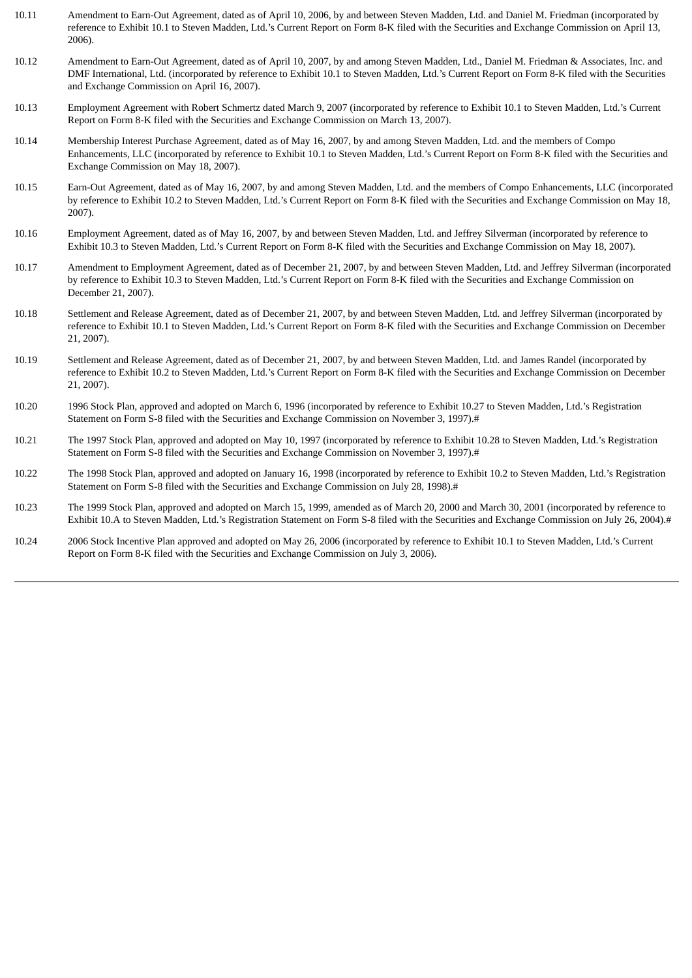- 10.11 Amendment to Earn-Out Agreement, dated as of April 10, 2006, by and between Steven Madden, Ltd. and Daniel M. Friedman (incorporated by reference to Exhibit 10.1 to Steven Madden, Ltd.'s Current Report on Form 8-K filed with the Securities and Exchange Commission on April 13, 2006).
- 10.12 Amendment to Earn-Out Agreement, dated as of April 10, 2007, by and among Steven Madden, Ltd., Daniel M. Friedman & Associates, Inc. and DMF International, Ltd. (incorporated by reference to Exhibit 10.1 to Steven Madden, Ltd.'s Current Report on Form 8-K filed with the Securities and Exchange Commission on April 16, 2007).
- 10.13 Employment Agreement with Robert Schmertz dated March 9, 2007 (incorporated by reference to Exhibit 10.1 to Steven Madden, Ltd.'s Current Report on Form 8-K filed with the Securities and Exchange Commission on March 13, 2007).
- 10.14 Membership Interest Purchase Agreement, dated as of May 16, 2007, by and among Steven Madden, Ltd. and the members of Compo Enhancements, LLC (incorporated by reference to Exhibit 10.1 to Steven Madden, Ltd.'s Current Report on Form 8-K filed with the Securities and Exchange Commission on May 18, 2007).
- 10.15 Earn-Out Agreement, dated as of May 16, 2007, by and among Steven Madden, Ltd. and the members of Compo Enhancements, LLC (incorporated by reference to Exhibit 10.2 to Steven Madden, Ltd.'s Current Report on Form 8-K filed with the Securities and Exchange Commission on May 18, 2007).
- 10.16 Employment Agreement, dated as of May 16, 2007, by and between Steven Madden, Ltd. and Jeffrey Silverman (incorporated by reference to Exhibit 10.3 to Steven Madden, Ltd.'s Current Report on Form 8-K filed with the Securities and Exchange Commission on May 18, 2007).
- 10.17 Amendment to Employment Agreement, dated as of December 21, 2007, by and between Steven Madden, Ltd. and Jeffrey Silverman (incorporated by reference to Exhibit 10.3 to Steven Madden, Ltd.'s Current Report on Form 8-K filed with the Securities and Exchange Commission on December 21, 2007).
- 10.18 Settlement and Release Agreement, dated as of December 21, 2007, by and between Steven Madden, Ltd. and Jeffrey Silverman (incorporated by reference to Exhibit 10.1 to Steven Madden, Ltd.'s Current Report on Form 8-K filed with the Securities and Exchange Commission on December 21, 2007).
- 10.19 Settlement and Release Agreement, dated as of December 21, 2007, by and between Steven Madden, Ltd. and James Randel (incorporated by reference to Exhibit 10.2 to Steven Madden, Ltd.'s Current Report on Form 8-K filed with the Securities and Exchange Commission on December 21, 2007).
- 10.20 1996 Stock Plan, approved and adopted on March 6, 1996 (incorporated by reference to Exhibit 10.27 to Steven Madden, Ltd.'s Registration Statement on Form S-8 filed with the Securities and Exchange Commission on November 3, 1997).#
- 10.21 The 1997 Stock Plan, approved and adopted on May 10, 1997 (incorporated by reference to Exhibit 10.28 to Steven Madden, Ltd.'s Registration Statement on Form S-8 filed with the Securities and Exchange Commission on November 3, 1997).#
- 10.22 The 1998 Stock Plan, approved and adopted on January 16, 1998 (incorporated by reference to Exhibit 10.2 to Steven Madden, Ltd.'s Registration Statement on Form S-8 filed with the Securities and Exchange Commission on July 28, 1998).#
- 10.23 The 1999 Stock Plan, approved and adopted on March 15, 1999, amended as of March 20, 2000 and March 30, 2001 (incorporated by reference to Exhibit 10.A to Steven Madden, Ltd.'s Registration Statement on Form S-8 filed with the Securities and Exchange Commission on July 26, 2004).#
- 10.24 2006 Stock Incentive Plan approved and adopted on May 26, 2006 (incorporated by reference to Exhibit 10.1 to Steven Madden, Ltd.'s Current Report on Form 8-K filed with the Securities and Exchange Commission on July 3, 2006).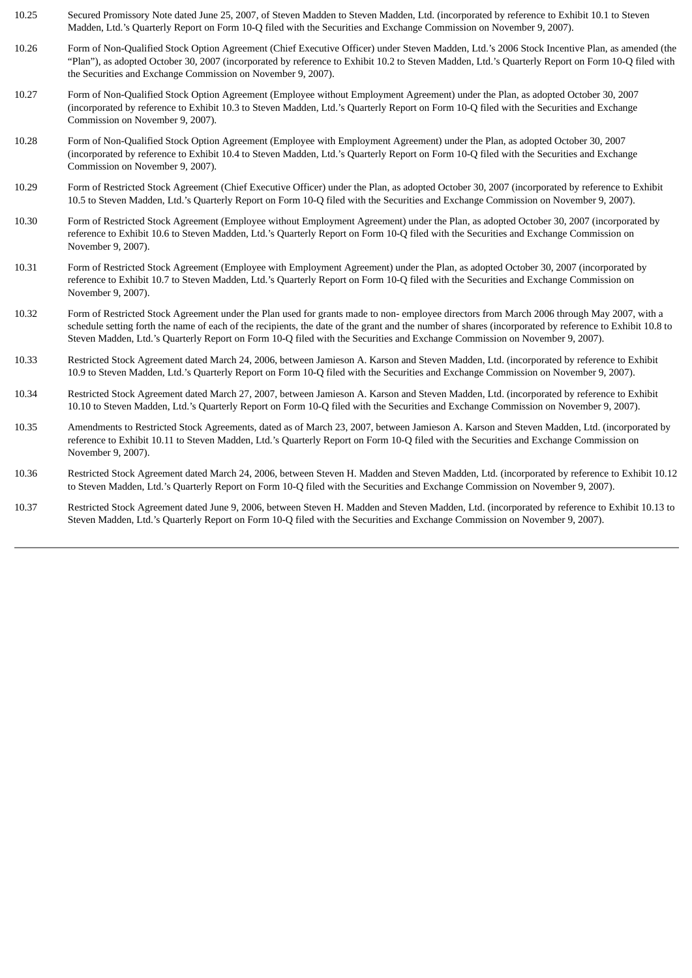- 10.25 Secured Promissory Note dated June 25, 2007, of Steven Madden to Steven Madden, Ltd. (incorporated by reference to Exhibit 10.1 to Steven Madden, Ltd.'s Quarterly Report on Form 10-Q filed with the Securities and Exchange Commission on November 9, 2007).
- 10.26 Form of Non-Qualified Stock Option Agreement (Chief Executive Officer) under Steven Madden, Ltd.'s 2006 Stock Incentive Plan, as amended (the "Plan"), as adopted October 30, 2007 (incorporated by reference to Exhibit 10.2 to Steven Madden, Ltd.'s Quarterly Report on Form 10-Q filed with the Securities and Exchange Commission on November 9, 2007).
- 10.27 Form of Non-Qualified Stock Option Agreement (Employee without Employment Agreement) under the Plan, as adopted October 30, 2007 (incorporated by reference to Exhibit 10.3 to Steven Madden, Ltd.'s Quarterly Report on Form 10-Q filed with the Securities and Exchange Commission on November 9, 2007).
- 10.28 Form of Non-Qualified Stock Option Agreement (Employee with Employment Agreement) under the Plan, as adopted October 30, 2007 (incorporated by reference to Exhibit 10.4 to Steven Madden, Ltd.'s Quarterly Report on Form 10-Q filed with the Securities and Exchange Commission on November 9, 2007).
- 10.29 Form of Restricted Stock Agreement (Chief Executive Officer) under the Plan, as adopted October 30, 2007 (incorporated by reference to Exhibit 10.5 to Steven Madden, Ltd.'s Quarterly Report on Form 10-Q filed with the Securities and Exchange Commission on November 9, 2007).
- 10.30 Form of Restricted Stock Agreement (Employee without Employment Agreement) under the Plan, as adopted October 30, 2007 (incorporated by reference to Exhibit 10.6 to Steven Madden, Ltd.'s Quarterly Report on Form 10-Q filed with the Securities and Exchange Commission on November 9, 2007).
- 10.31 Form of Restricted Stock Agreement (Employee with Employment Agreement) under the Plan, as adopted October 30, 2007 (incorporated by reference to Exhibit 10.7 to Steven Madden, Ltd.'s Quarterly Report on Form 10-Q filed with the Securities and Exchange Commission on November 9, 2007).
- 10.32 Form of Restricted Stock Agreement under the Plan used for grants made to non- employee directors from March 2006 through May 2007, with a schedule setting forth the name of each of the recipients, the date of the grant and the number of shares (incorporated by reference to Exhibit 10.8 to Steven Madden, Ltd.'s Quarterly Report on Form 10-Q filed with the Securities and Exchange Commission on November 9, 2007).
- 10.33 Restricted Stock Agreement dated March 24, 2006, between Jamieson A. Karson and Steven Madden, Ltd. (incorporated by reference to Exhibit 10.9 to Steven Madden, Ltd.'s Quarterly Report on Form 10-Q filed with the Securities and Exchange Commission on November 9, 2007).
- 10.34 Restricted Stock Agreement dated March 27, 2007, between Jamieson A. Karson and Steven Madden, Ltd. (incorporated by reference to Exhibit 10.10 to Steven Madden, Ltd.'s Quarterly Report on Form 10-Q filed with the Securities and Exchange Commission on November 9, 2007).
- 10.35 Amendments to Restricted Stock Agreements, dated as of March 23, 2007, between Jamieson A. Karson and Steven Madden, Ltd. (incorporated by reference to Exhibit 10.11 to Steven Madden, Ltd.'s Quarterly Report on Form 10-Q filed with the Securities and Exchange Commission on November 9, 2007).
- 10.36 Restricted Stock Agreement dated March 24, 2006, between Steven H. Madden and Steven Madden, Ltd. (incorporated by reference to Exhibit 10.12 to Steven Madden, Ltd.'s Quarterly Report on Form 10-Q filed with the Securities and Exchange Commission on November 9, 2007).
- 10.37 Restricted Stock Agreement dated June 9, 2006, between Steven H. Madden and Steven Madden, Ltd. (incorporated by reference to Exhibit 10.13 to Steven Madden, Ltd.'s Quarterly Report on Form 10-Q filed with the Securities and Exchange Commission on November 9, 2007).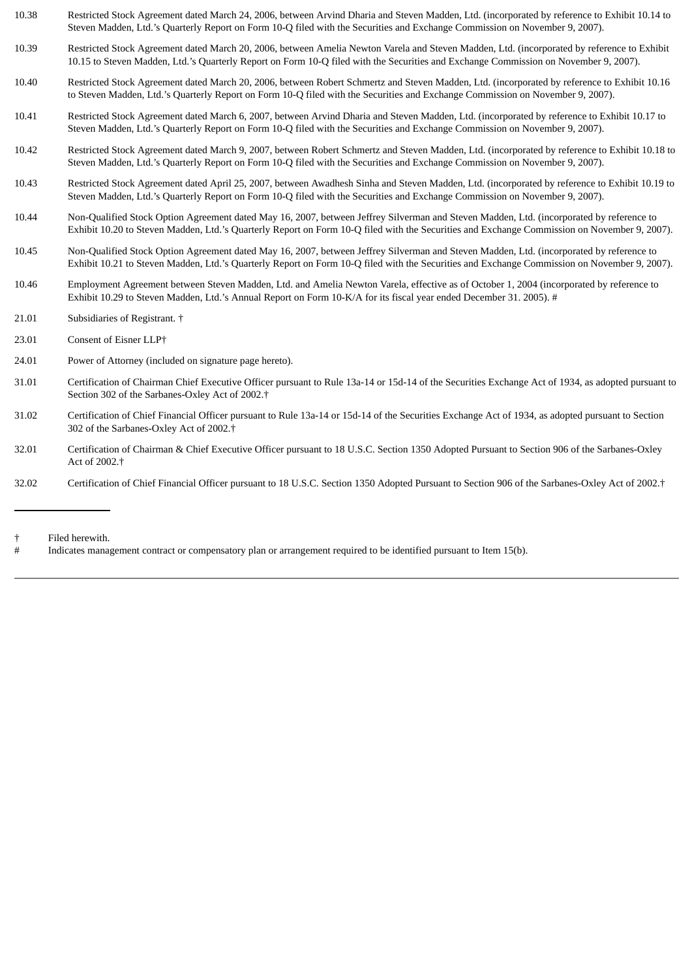- 10.38 Restricted Stock Agreement dated March 24, 2006, between Arvind Dharia and Steven Madden, Ltd. (incorporated by reference to Exhibit 10.14 to Steven Madden, Ltd.'s Quarterly Report on Form 10-Q filed with the Securities and Exchange Commission on November 9, 2007).
- 10.39 Restricted Stock Agreement dated March 20, 2006, between Amelia Newton Varela and Steven Madden, Ltd. (incorporated by reference to Exhibit 10.15 to Steven Madden, Ltd.'s Quarterly Report on Form 10-Q filed with the Securities and Exchange Commission on November 9, 2007).
- 10.40 Restricted Stock Agreement dated March 20, 2006, between Robert Schmertz and Steven Madden, Ltd. (incorporated by reference to Exhibit 10.16 to Steven Madden, Ltd.'s Quarterly Report on Form 10-Q filed with the Securities and Exchange Commission on November 9, 2007).
- 10.41 Restricted Stock Agreement dated March 6, 2007, between Arvind Dharia and Steven Madden, Ltd. (incorporated by reference to Exhibit 10.17 to Steven Madden, Ltd.'s Quarterly Report on Form 10-Q filed with the Securities and Exchange Commission on November 9, 2007).
- 10.42 Restricted Stock Agreement dated March 9, 2007, between Robert Schmertz and Steven Madden, Ltd. (incorporated by reference to Exhibit 10.18 to Steven Madden, Ltd.'s Quarterly Report on Form 10-Q filed with the Securities and Exchange Commission on November 9, 2007).
- 10.43 Restricted Stock Agreement dated April 25, 2007, between Awadhesh Sinha and Steven Madden, Ltd. (incorporated by reference to Exhibit 10.19 to Steven Madden, Ltd.'s Quarterly Report on Form 10-Q filed with the Securities and Exchange Commission on November 9, 2007).
- 10.44 Non-Qualified Stock Option Agreement dated May 16, 2007, between Jeffrey Silverman and Steven Madden, Ltd. (incorporated by reference to Exhibit 10.20 to Steven Madden, Ltd.'s Quarterly Report on Form 10-Q filed with the Securities and Exchange Commission on November 9, 2007).
- 10.45 Non-Qualified Stock Option Agreement dated May 16, 2007, between Jeffrey Silverman and Steven Madden, Ltd. (incorporated by reference to Exhibit 10.21 to Steven Madden, Ltd.'s Quarterly Report on Form 10-Q filed with the Securities and Exchange Commission on November 9, 2007).
- 10.46 Employment Agreement between Steven Madden, Ltd. and Amelia Newton Varela, effective as of October 1, 2004 (incorporated by reference to Exhibit 10.29 to Steven Madden, Ltd.'s Annual Report on Form 10-K/A for its fiscal year ended December 31. 2005). #
- 21.01 Subsidiaries of Registrant. †
- 23.01 Consent of Eisner LLP†
- 24.01 Power of Attorney (included on signature page hereto).
- 31.01 Certification of Chairman Chief Executive Officer pursuant to Rule 13a-14 or 15d-14 of the Securities Exchange Act of 1934, as adopted pursuant to Section 302 of the Sarbanes-Oxley Act of 2002.†
- 31.02 Certification of Chief Financial Officer pursuant to Rule 13a-14 or 15d-14 of the Securities Exchange Act of 1934, as adopted pursuant to Section 302 of the Sarbanes-Oxley Act of 2002.†
- 32.01 Certification of Chairman & Chief Executive Officer pursuant to 18 U.S.C. Section 1350 Adopted Pursuant to Section 906 of the Sarbanes-Oxley Act of 2002.†
- 32.02 Certification of Chief Financial Officer pursuant to 18 U.S.C. Section 1350 Adopted Pursuant to Section 906 of the Sarbanes-Oxley Act of 2002.†

† Filed herewith.

Indicates management contract or compensatory plan or arrangement required to be identified pursuant to Item 15(b).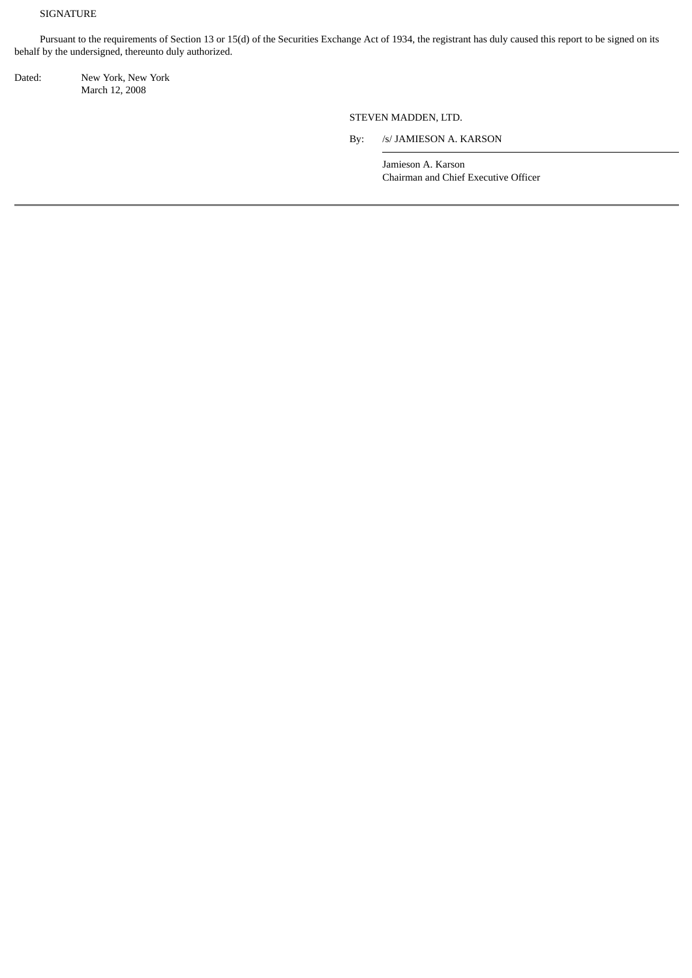## SIGNATURE

 Pursuant to the requirements of Section 13 or 15(d) of the Securities Exchange Act of 1934, the registrant has duly caused this report to be signed on its behalf by the undersigned, thereunto duly authorized.

Dated: New York, New York March 12, 2008

## STEVEN MADDEN, LTD.

By: /s/ JAMIESON A. KARSON

Jamieson A. Karson Chairman and Chief Executive Officer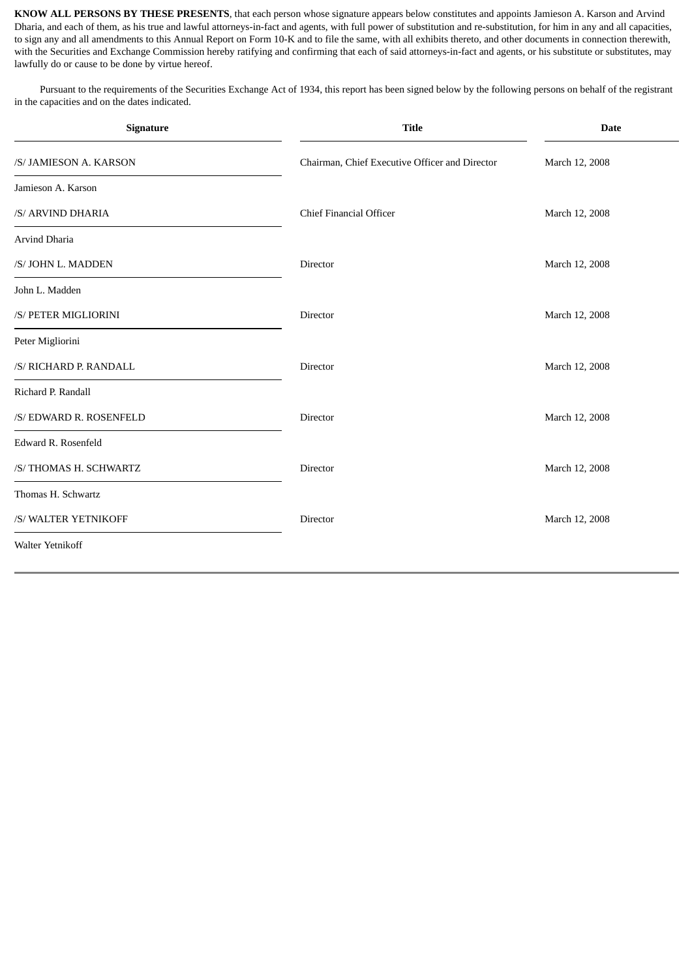**KNOW ALL PERSONS BY THESE PRESENTS**, that each person whose signature appears below constitutes and appoints Jamieson A. Karson and Arvind Dharia, and each of them, as his true and lawful attorneys-in-fact and agents, with full power of substitution and re-substitution, for him in any and all capacities, to sign any and all amendments to this Annual Report on Form 10-K and to file the same, with all exhibits thereto, and other documents in connection therewith, with the Securities and Exchange Commission hereby ratifying and confirming that each of said attorneys-in-fact and agents, or his substitute or substitutes, may lawfully do or cause to be done by virtue hereof.

 Pursuant to the requirements of the Securities Exchange Act of 1934, this report has been signed below by the following persons on behalf of the registrant in the capacities and on the dates indicated.

| Signature               | <b>Title</b>                                   | <b>Date</b>    |  |  |  |
|-------------------------|------------------------------------------------|----------------|--|--|--|
| /S/ JAMIESON A. KARSON  | Chairman, Chief Executive Officer and Director | March 12, 2008 |  |  |  |
| Jamieson A. Karson      |                                                |                |  |  |  |
| /S/ ARVIND DHARIA       | <b>Chief Financial Officer</b>                 | March 12, 2008 |  |  |  |
| Arvind Dharia           |                                                |                |  |  |  |
| /S/ JOHN L. MADDEN      | Director                                       | March 12, 2008 |  |  |  |
| John L. Madden          |                                                |                |  |  |  |
| /S/ PETER MIGLIORINI    | Director                                       | March 12, 2008 |  |  |  |
| Peter Migliorini        |                                                |                |  |  |  |
| /S/ RICHARD P. RANDALL  | Director                                       | March 12, 2008 |  |  |  |
| Richard P. Randall      |                                                |                |  |  |  |
| /S/ EDWARD R. ROSENFELD | Director                                       | March 12, 2008 |  |  |  |
| Edward R. Rosenfeld     |                                                |                |  |  |  |
| /S/ THOMAS H. SCHWARTZ  | Director                                       | March 12, 2008 |  |  |  |
| Thomas H. Schwartz      |                                                |                |  |  |  |
| /S/ WALTER YETNIKOFF    | Director                                       | March 12, 2008 |  |  |  |
| Walter Yetnikoff        |                                                |                |  |  |  |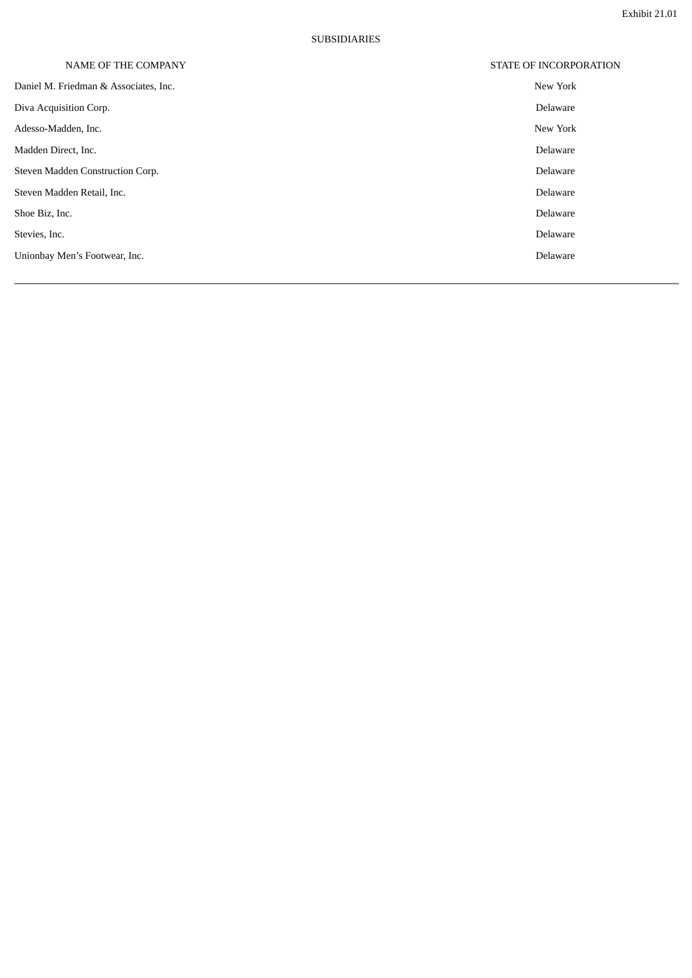## SUBSIDIARIES

| NAME OF THE COMPANY                   | <b>STATE OF INCORPORATION</b> |
|---------------------------------------|-------------------------------|
| Daniel M. Friedman & Associates, Inc. | New York                      |
| Diva Acquisition Corp.                | Delaware                      |
| Adesso-Madden, Inc.                   | New York                      |
| Madden Direct, Inc.                   | Delaware                      |
| Steven Madden Construction Corp.      | Delaware                      |
| Steven Madden Retail, Inc.            | Delaware                      |
| Shoe Biz, Inc.                        | Delaware                      |
| Stevies, Inc.                         | Delaware                      |
| Unionbay Men's Footwear, Inc.         | Delaware                      |
|                                       |                               |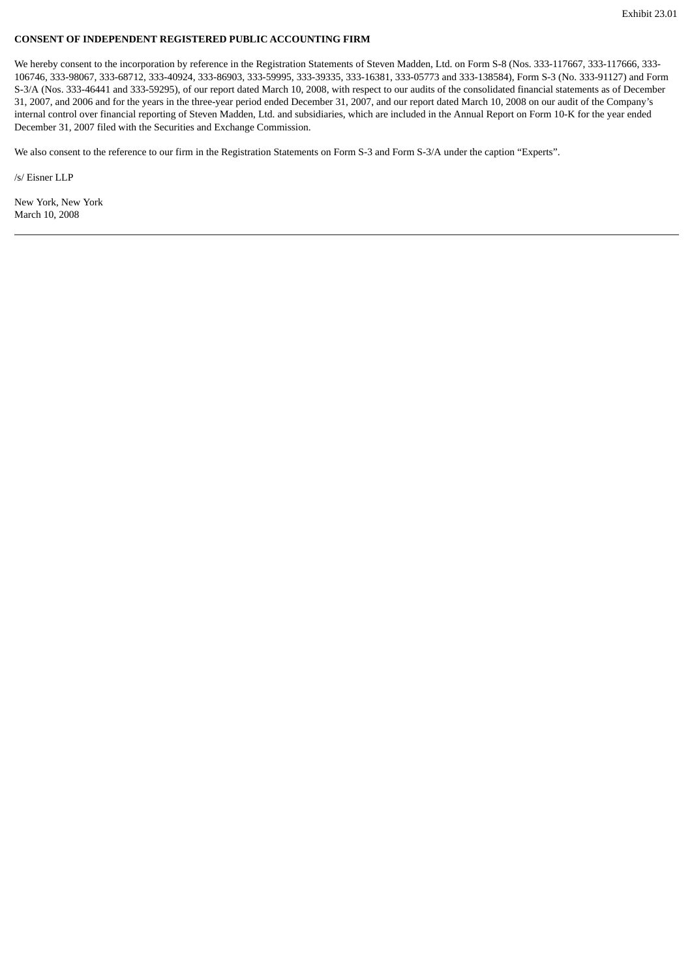# **CONSENT OF INDEPENDENT REGISTERED PUBLIC ACCOUNTING FIRM**

We hereby consent to the incorporation by reference in the Registration Statements of Steven Madden, Ltd. on Form S-8 (Nos. 333-117667, 333-117666, 333- 106746, 333-98067, 333-68712, 333-40924, 333-86903, 333-59995, 333-39335, 333-16381, 333-05773 and 333-138584), Form S-3 (No. 333-91127) and Form S-3/A (Nos. 333-46441 and 333-59295), of our report dated March 10, 2008, with respect to our audits of the consolidated financial statements as of December 31, 2007, and 2006 and for the years in the three-year period ended December 31, 2007, and our report dated March 10, 2008 on our audit of the Company's internal control over financial reporting of Steven Madden, Ltd. and subsidiaries, which are included in the Annual Report on Form 10-K for the year ended December 31, 2007 filed with the Securities and Exchange Commission.

We also consent to the reference to our firm in the Registration Statements on Form S-3 and Form S-3/A under the caption "Experts".

/s/ Eisner LLP

New York, New York March 10, 2008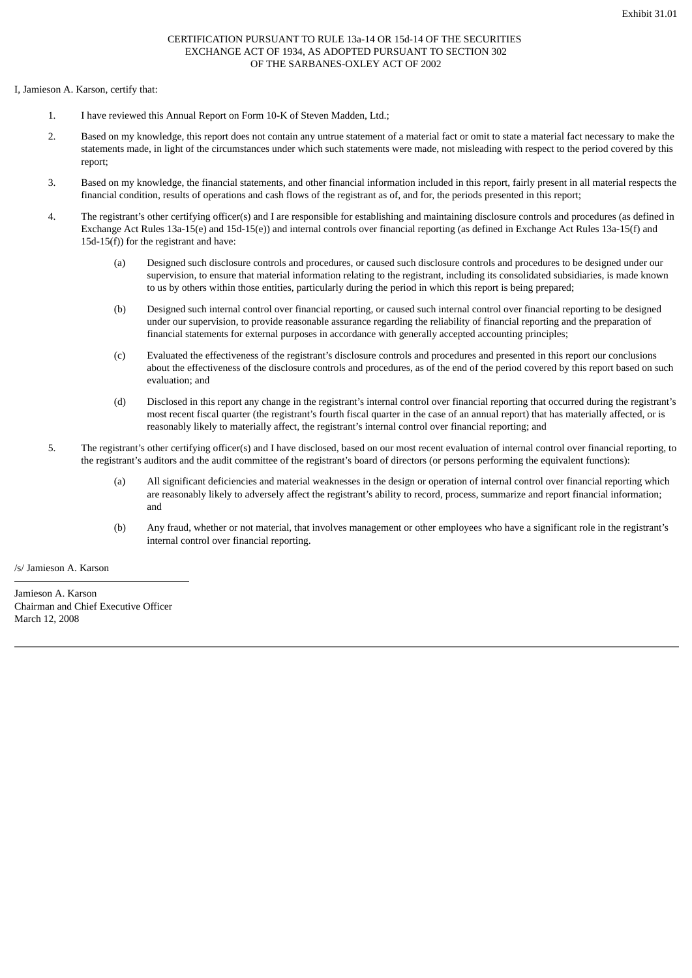# CERTIFICATION PURSUANT TO RULE 13a-14 OR 15d-14 OF THE SECURITIES EXCHANGE ACT OF 1934, AS ADOPTED PURSUANT TO SECTION 302 OF THE SARBANES-OXLEY ACT OF 2002

I, Jamieson A. Karson, certify that:

- 1. I have reviewed this Annual Report on Form 10-K of Steven Madden, Ltd.;
- 2. Based on my knowledge, this report does not contain any untrue statement of a material fact or omit to state a material fact necessary to make the statements made, in light of the circumstances under which such statements were made, not misleading with respect to the period covered by this report;
- 3. Based on my knowledge, the financial statements, and other financial information included in this report, fairly present in all material respects the financial condition, results of operations and cash flows of the registrant as of, and for, the periods presented in this report;
- 4. The registrant's other certifying officer(s) and I are responsible for establishing and maintaining disclosure controls and procedures (as defined in Exchange Act Rules 13a-15(e) and 15d-15(e)) and internal controls over financial reporting (as defined in Exchange Act Rules 13a-15(f) and 15d-15(f)) for the registrant and have:
	- (a) Designed such disclosure controls and procedures, or caused such disclosure controls and procedures to be designed under our supervision, to ensure that material information relating to the registrant, including its consolidated subsidiaries, is made known to us by others within those entities, particularly during the period in which this report is being prepared;
	- (b) Designed such internal control over financial reporting, or caused such internal control over financial reporting to be designed under our supervision, to provide reasonable assurance regarding the reliability of financial reporting and the preparation of financial statements for external purposes in accordance with generally accepted accounting principles;
	- (c) Evaluated the effectiveness of the registrant's disclosure controls and procedures and presented in this report our conclusions about the effectiveness of the disclosure controls and procedures, as of the end of the period covered by this report based on such evaluation; and
	- (d) Disclosed in this report any change in the registrant's internal control over financial reporting that occurred during the registrant's most recent fiscal quarter (the registrant's fourth fiscal quarter in the case of an annual report) that has materially affected, or is reasonably likely to materially affect, the registrant's internal control over financial reporting; and
- 5. The registrant's other certifying officer(s) and I have disclosed, based on our most recent evaluation of internal control over financial reporting, to the registrant's auditors and the audit committee of the registrant's board of directors (or persons performing the equivalent functions):
	- (a) All significant deficiencies and material weaknesses in the design or operation of internal control over financial reporting which are reasonably likely to adversely affect the registrant's ability to record, process, summarize and report financial information; and
	- (b) Any fraud, whether or not material, that involves management or other employees who have a significant role in the registrant's internal control over financial reporting.

/s/ Jamieson A. Karson

Jamieson A. Karson Chairman and Chief Executive Officer March 12, 2008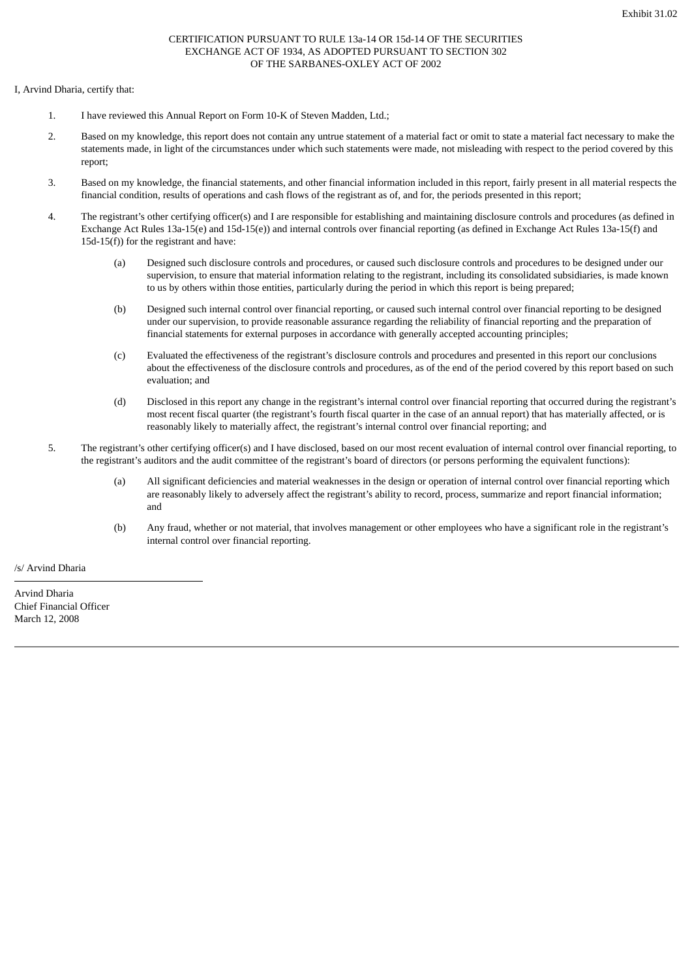# CERTIFICATION PURSUANT TO RULE 13a-14 OR 15d-14 OF THE SECURITIES EXCHANGE ACT OF 1934, AS ADOPTED PURSUANT TO SECTION 302 OF THE SARBANES-OXLEY ACT OF 2002

I, Arvind Dharia, certify that:

- 1. I have reviewed this Annual Report on Form 10-K of Steven Madden, Ltd.;
- 2. Based on my knowledge, this report does not contain any untrue statement of a material fact or omit to state a material fact necessary to make the statements made, in light of the circumstances under which such statements were made, not misleading with respect to the period covered by this report;
- 3. Based on my knowledge, the financial statements, and other financial information included in this report, fairly present in all material respects the financial condition, results of operations and cash flows of the registrant as of, and for, the periods presented in this report;
- 4. The registrant's other certifying officer(s) and I are responsible for establishing and maintaining disclosure controls and procedures (as defined in Exchange Act Rules 13a-15(e) and 15d-15(e)) and internal controls over financial reporting (as defined in Exchange Act Rules 13a-15(f) and 15d-15(f)) for the registrant and have:
	- (a) Designed such disclosure controls and procedures, or caused such disclosure controls and procedures to be designed under our supervision, to ensure that material information relating to the registrant, including its consolidated subsidiaries, is made known to us by others within those entities, particularly during the period in which this report is being prepared;
	- (b) Designed such internal control over financial reporting, or caused such internal control over financial reporting to be designed under our supervision, to provide reasonable assurance regarding the reliability of financial reporting and the preparation of financial statements for external purposes in accordance with generally accepted accounting principles;
	- (c) Evaluated the effectiveness of the registrant's disclosure controls and procedures and presented in this report our conclusions about the effectiveness of the disclosure controls and procedures, as of the end of the period covered by this report based on such evaluation; and
	- (d) Disclosed in this report any change in the registrant's internal control over financial reporting that occurred during the registrant's most recent fiscal quarter (the registrant's fourth fiscal quarter in the case of an annual report) that has materially affected, or is reasonably likely to materially affect, the registrant's internal control over financial reporting; and
- 5. The registrant's other certifying officer(s) and I have disclosed, based on our most recent evaluation of internal control over financial reporting, to the registrant's auditors and the audit committee of the registrant's board of directors (or persons performing the equivalent functions):
	- (a) All significant deficiencies and material weaknesses in the design or operation of internal control over financial reporting which are reasonably likely to adversely affect the registrant's ability to record, process, summarize and report financial information; and
	- (b) Any fraud, whether or not material, that involves management or other employees who have a significant role in the registrant's internal control over financial reporting.

/s/ Arvind Dharia

Arvind Dharia Chief Financial Officer March 12, 2008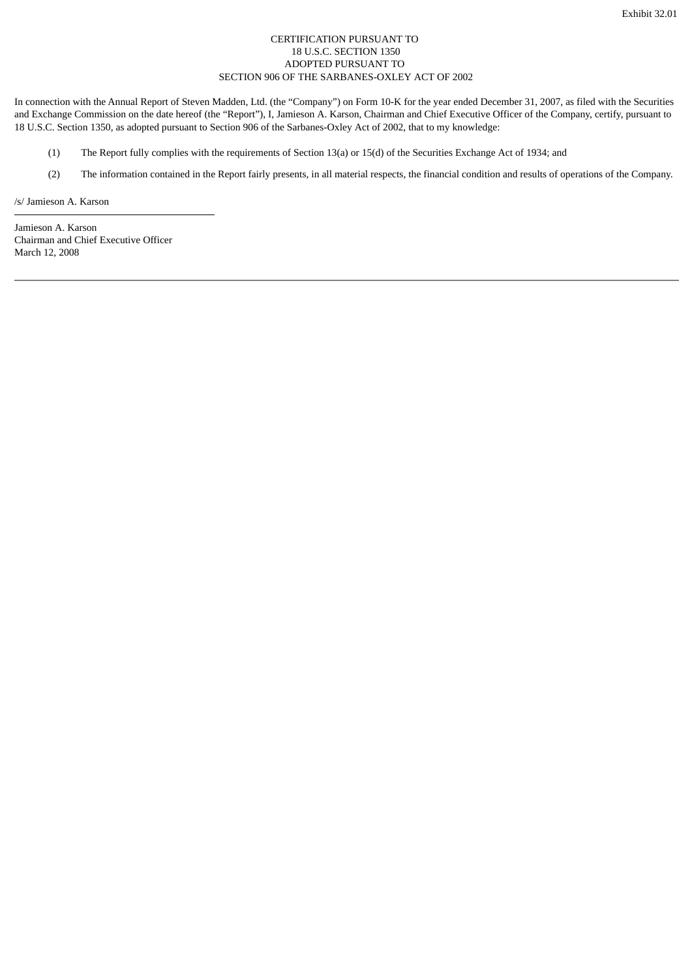## CERTIFICATION PURSUANT TO 18 U.S.C. SECTION 1350 ADOPTED PURSUANT TO SECTION 906 OF THE SARBANES-OXLEY ACT OF 2002

In connection with the Annual Report of Steven Madden, Ltd. (the "Company") on Form 10-K for the year ended December 31, 2007, as filed with the Securities and Exchange Commission on the date hereof (the "Report"), I, Jamieson A. Karson, Chairman and Chief Executive Officer of the Company, certify, pursuant to 18 U.S.C. Section 1350, as adopted pursuant to Section 906 of the Sarbanes-Oxley Act of 2002, that to my knowledge:

- (1) The Report fully complies with the requirements of Section 13(a) or 15(d) of the Securities Exchange Act of 1934; and
- (2) The information contained in the Report fairly presents, in all material respects, the financial condition and results of operations of the Company.

/s/ Jamieson A. Karson

Jamieson A. Karson Chairman and Chief Executive Officer March 12, 2008